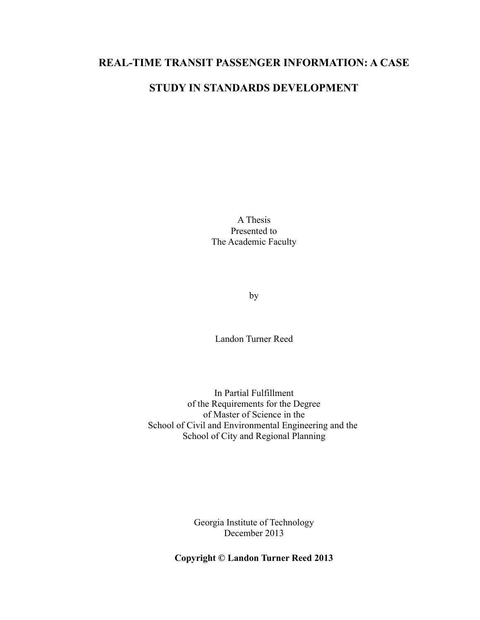## **REAL-TIME TRANSIT PASSENGER INFORMATION: A CASE**

# **STUDY IN STANDARDS DEVELOPMENT**

A Thesis Presented to The Academic Faculty

by

Landon Turner Reed

In Partial Fulfillment of the Requirements for the Degree of Master of Science in the School of Civil and Environmental Engineering and the School of City and Regional Planning

> Georgia Institute of Technology December 2013

**Copyright © Landon Turner Reed 2013**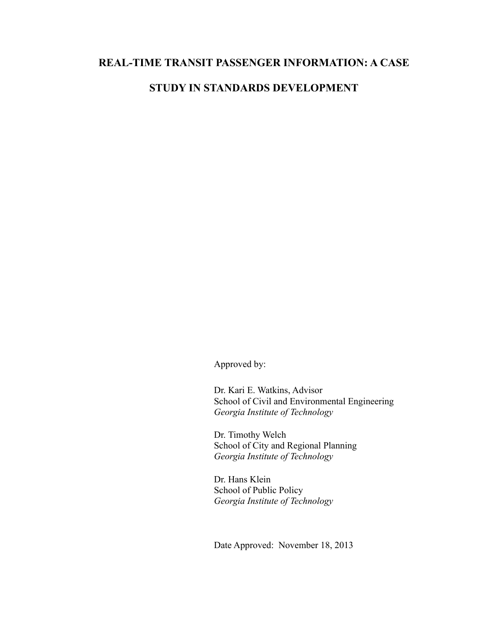## **REAL-TIME TRANSIT PASSENGER INFORMATION: A CASE**

# **STUDY IN STANDARDS DEVELOPMENT**

Approved by:

Dr. Kari E. Watkins, Advisor School of Civil and Environmental Engineering *Georgia Institute of Technology*

Dr. Timothy Welch School of City and Regional Planning *Georgia Institute of Technology*

Dr. Hans Klein School of Public Policy *Georgia Institute of Technology*

Date Approved: November 18, 2013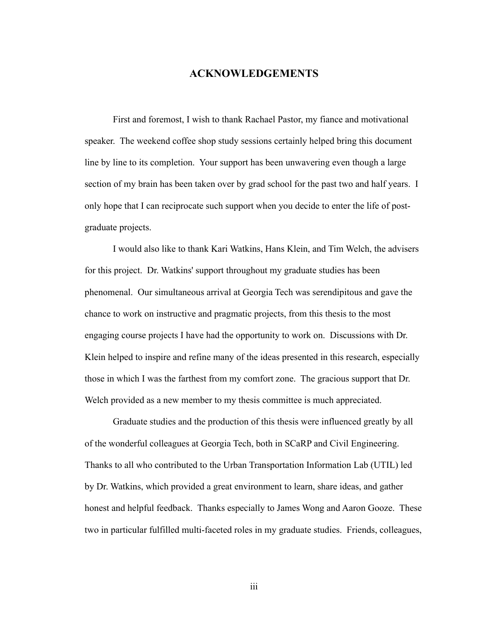## **ACKNOWLEDGEMENTS**

First and foremost, I wish to thank Rachael Pastor, my fiance and motivational speaker. The weekend coffee shop study sessions certainly helped bring this document line by line to its completion. Your support has been unwavering even though a large section of my brain has been taken over by grad school for the past two and half years. I only hope that I can reciprocate such support when you decide to enter the life of postgraduate projects.

I would also like to thank Kari Watkins, Hans Klein, and Tim Welch, the advisers for this project. Dr. Watkins' support throughout my graduate studies has been phenomenal. Our simultaneous arrival at Georgia Tech was serendipitous and gave the chance to work on instructive and pragmatic projects, from this thesis to the most engaging course projects I have had the opportunity to work on. Discussions with Dr. Klein helped to inspire and refine many of the ideas presented in this research, especially those in which I was the farthest from my comfort zone. The gracious support that Dr. Welch provided as a new member to my thesis committee is much appreciated.

Graduate studies and the production of this thesis were influenced greatly by all of the wonderful colleagues at Georgia Tech, both in SCaRP and Civil Engineering. Thanks to all who contributed to the Urban Transportation Information Lab (UTIL) led by Dr. Watkins, which provided a great environment to learn, share ideas, and gather honest and helpful feedback. Thanks especially to James Wong and Aaron Gooze. These two in particular fulfilled multi-faceted roles in my graduate studies. Friends, colleagues,

iii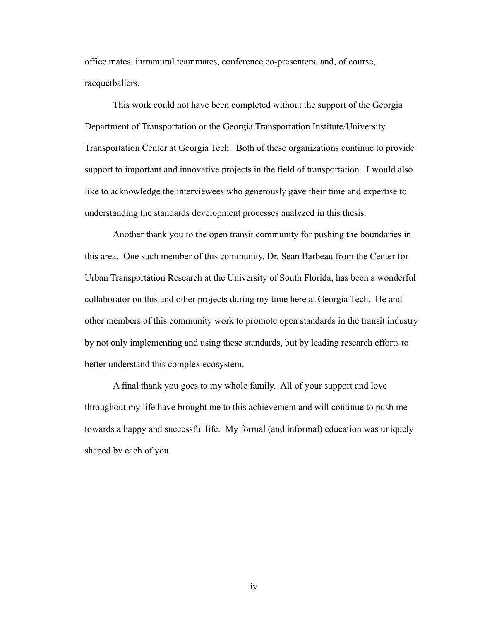office mates, intramural teammates, conference co-presenters, and, of course, racquetballers.

This work could not have been completed without the support of the Georgia Department of Transportation or the Georgia Transportation Institute/University Transportation Center at Georgia Tech. Both of these organizations continue to provide support to important and innovative projects in the field of transportation. I would also like to acknowledge the interviewees who generously gave their time and expertise to understanding the standards development processes analyzed in this thesis.

Another thank you to the open transit community for pushing the boundaries in this area. One such member of this community, Dr. Sean Barbeau from the Center for Urban Transportation Research at the University of South Florida, has been a wonderful collaborator on this and other projects during my time here at Georgia Tech. He and other members of this community work to promote open standards in the transit industry by not only implementing and using these standards, but by leading research efforts to better understand this complex ecosystem.

A final thank you goes to my whole family. All of your support and love throughout my life have brought me to this achievement and will continue to push me towards a happy and successful life. My formal (and informal) education was uniquely shaped by each of you.

iv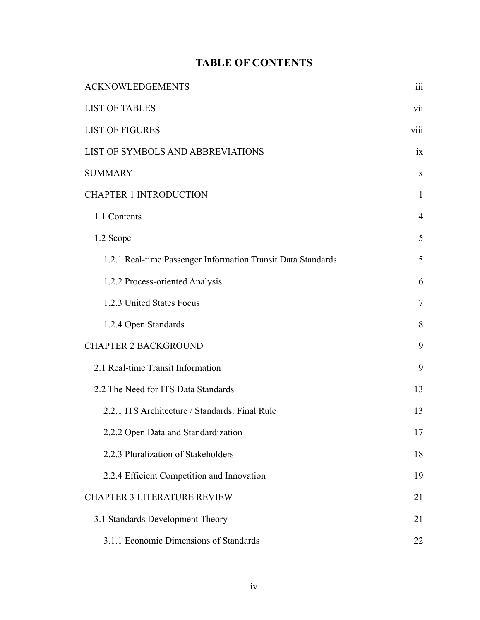# **TABLE OF CONTENTS**

| <b>ACKNOWLEDGEMENTS</b>                                      |                |  |
|--------------------------------------------------------------|----------------|--|
| <b>LIST OF TABLES</b>                                        |                |  |
| <b>LIST OF FIGURES</b>                                       |                |  |
| LIST OF SYMBOLS AND ABBREVIATIONS                            |                |  |
| <b>SUMMARY</b>                                               | $\mathbf X$    |  |
| <b>CHAPTER 1 INTRODUCTION</b>                                | $\mathbf{1}$   |  |
| 1.1 Contents                                                 | $\overline{4}$ |  |
| 1.2 Scope                                                    | 5              |  |
| 1.2.1 Real-time Passenger Information Transit Data Standards | 5              |  |
| 1.2.2 Process-oriented Analysis                              | 6              |  |
| 1.2.3 United States Focus                                    | 7              |  |
| 1.2.4 Open Standards                                         | 8              |  |
| <b>CHAPTER 2 BACKGROUND</b>                                  | 9              |  |
| 2.1 Real-time Transit Information                            | 9              |  |
| 2.2 The Need for ITS Data Standards                          | 13             |  |
| 2.2.1 ITS Architecture / Standards: Final Rule               | 13             |  |
| 2.2.2 Open Data and Standardization                          | 17             |  |
| 2.2.3 Pluralization of Stakeholders                          | 18             |  |
| 2.2.4 Efficient Competition and Innovation                   | 19             |  |
| <b>CHAPTER 3 LITERATURE REVIEW</b>                           | 21             |  |
| 3.1 Standards Development Theory                             | 21             |  |
| 3.1.1 Economic Dimensions of Standards                       |                |  |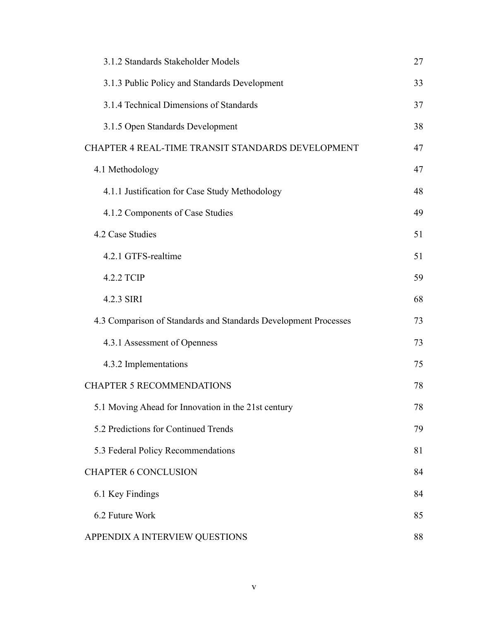| 3.1.2 Standards Stakeholder Models                              |    |  |
|-----------------------------------------------------------------|----|--|
| 3.1.3 Public Policy and Standards Development                   |    |  |
| 3.1.4 Technical Dimensions of Standards                         |    |  |
| 3.1.5 Open Standards Development                                |    |  |
| CHAPTER 4 REAL-TIME TRANSIT STANDARDS DEVELOPMENT               | 47 |  |
| 4.1 Methodology                                                 | 47 |  |
| 4.1.1 Justification for Case Study Methodology                  |    |  |
| 4.1.2 Components of Case Studies                                |    |  |
| 4.2 Case Studies                                                | 51 |  |
| 4.2.1 GTFS-realtime                                             | 51 |  |
| 4.2.2 TCIP                                                      | 59 |  |
| 4.2.3 SIRI                                                      | 68 |  |
| 4.3 Comparison of Standards and Standards Development Processes | 73 |  |
| 4.3.1 Assessment of Openness                                    | 73 |  |
| 4.3.2 Implementations                                           | 75 |  |
| <b>CHAPTER 5 RECOMMENDATIONS</b>                                | 78 |  |
| 5.1 Moving Ahead for Innovation in the 21st century             | 78 |  |
| 5.2 Predictions for Continued Trends                            | 79 |  |
| 5.3 Federal Policy Recommendations                              | 81 |  |
| <b>CHAPTER 6 CONCLUSION</b>                                     | 84 |  |
| 6.1 Key Findings                                                | 84 |  |
| 6.2 Future Work                                                 |    |  |
| APPENDIX A INTERVIEW QUESTIONS                                  |    |  |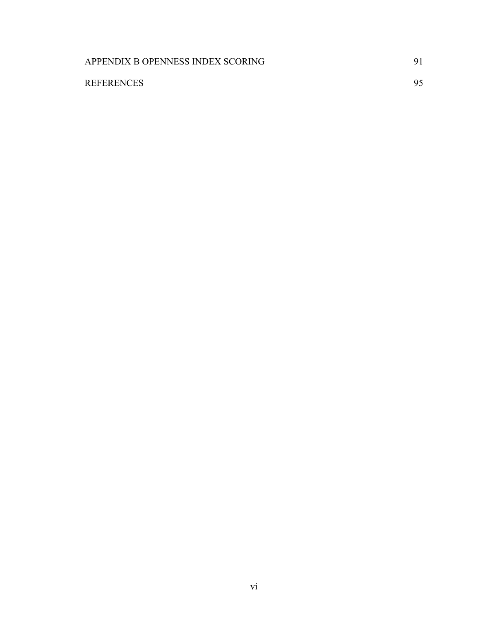| APPENDIX B OPENNESS INDEX SCORING |  |
|-----------------------------------|--|
| <b>REFERENCES</b>                 |  |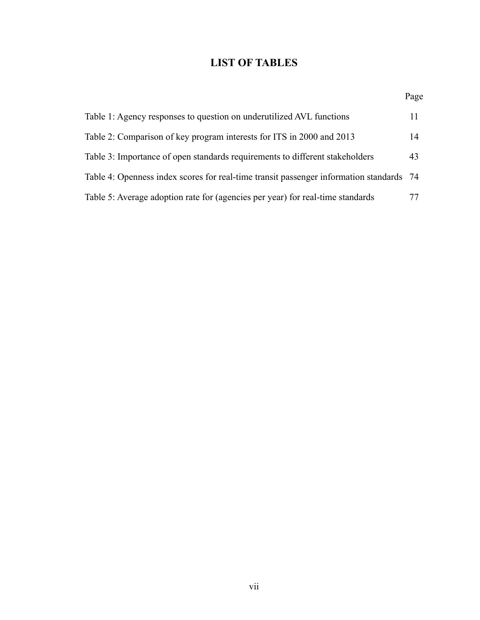# <span id="page-7-0"></span>**LIST OF TABLES**

|                                                                                         | Page |
|-----------------------------------------------------------------------------------------|------|
| Table 1: Agency responses to question on underutilized AVL functions                    | 11   |
| Table 2: Comparison of key program interests for ITS in 2000 and 2013                   | 14   |
| Table 3: Importance of open standards requirements to different stakeholders            | 43   |
| Table 4: Openness index scores for real-time transit passenger information standards 74 |      |
| Table 5: Average adoption rate for (agencies per year) for real-time standards          | 77   |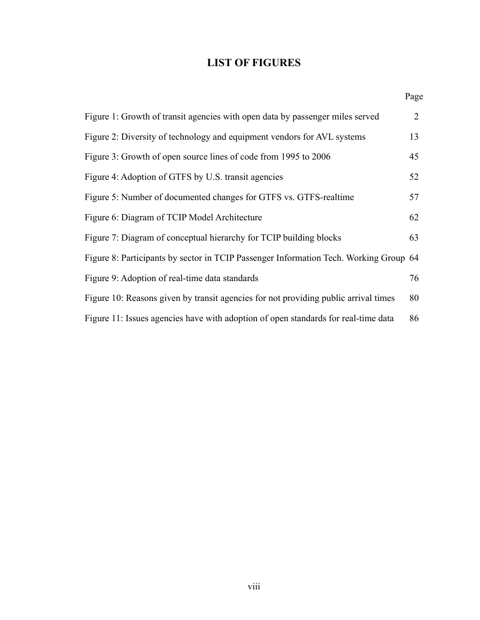# <span id="page-8-0"></span>**LIST OF FIGURES**

|                                                                                       | Page |
|---------------------------------------------------------------------------------------|------|
| Figure 1: Growth of transit agencies with open data by passenger miles served         | 2    |
| Figure 2: Diversity of technology and equipment vendors for AVL systems               | 13   |
| Figure 3: Growth of open source lines of code from 1995 to 2006                       | 45   |
| Figure 4: Adoption of GTFS by U.S. transit agencies                                   | 52   |
| Figure 5: Number of documented changes for GTFS vs. GTFS-realtime                     | 57   |
| Figure 6: Diagram of TCIP Model Architecture                                          | 62   |
| Figure 7: Diagram of conceptual hierarchy for TCIP building blocks                    | 63   |
| Figure 8: Participants by sector in TCIP Passenger Information Tech. Working Group 64 |      |
| Figure 9: Adoption of real-time data standards                                        | 76   |
| Figure 10: Reasons given by transit agencies for not providing public arrival times   | 80   |
| Figure 11: Issues agencies have with adoption of open standards for real-time data    | 86   |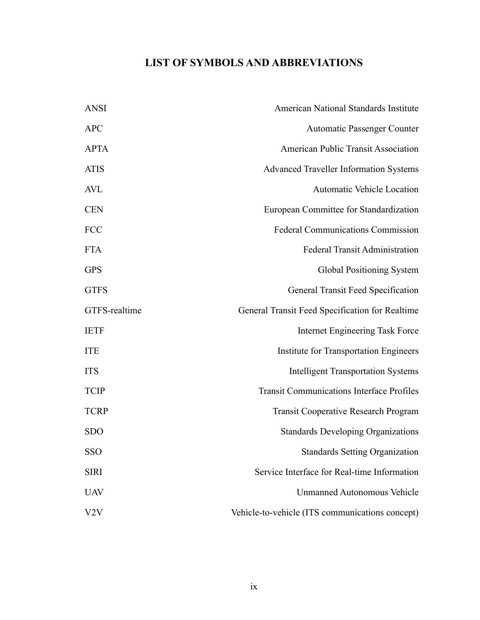# **LIST OF SYMBOLS AND ABBREVIATIONS**

| <b>ANSI</b>   | <b>American National Standards Institute</b>     |
|---------------|--------------------------------------------------|
| <b>APC</b>    | <b>Automatic Passenger Counter</b>               |
| <b>APTA</b>   | American Public Transit Association              |
| <b>ATIS</b>   | <b>Advanced Traveller Information Systems</b>    |
| AVL           | <b>Automatic Vehicle Location</b>                |
| <b>CEN</b>    | European Committee for Standardization           |
| <b>FCC</b>    | <b>Federal Communications Commission</b>         |
| <b>FTA</b>    | <b>Federal Transit Administration</b>            |
| <b>GPS</b>    | Global Positioning System                        |
| <b>GTFS</b>   | General Transit Feed Specification               |
| GTFS-realtime | General Transit Feed Specification for Realtime  |
| <b>IETF</b>   | <b>Internet Engineering Task Force</b>           |
| <b>ITE</b>    | Institute for Transportation Engineers           |
| <b>ITS</b>    | <b>Intelligent Transportation Systems</b>        |
| <b>TCIP</b>   | <b>Transit Communications Interface Profiles</b> |
| <b>TCRP</b>   | <b>Transit Cooperative Research Program</b>      |
| <b>SDO</b>    | <b>Standards Developing Organizations</b>        |
| <b>SSO</b>    | <b>Standards Setting Organization</b>            |
| <b>SIRI</b>   | Service Interface for Real-time Information      |
| <b>UAV</b>    | <b>Unmanned Autonomous Vehicle</b>               |
| V2V           | Vehicle-to-vehicle (ITS communications concept)  |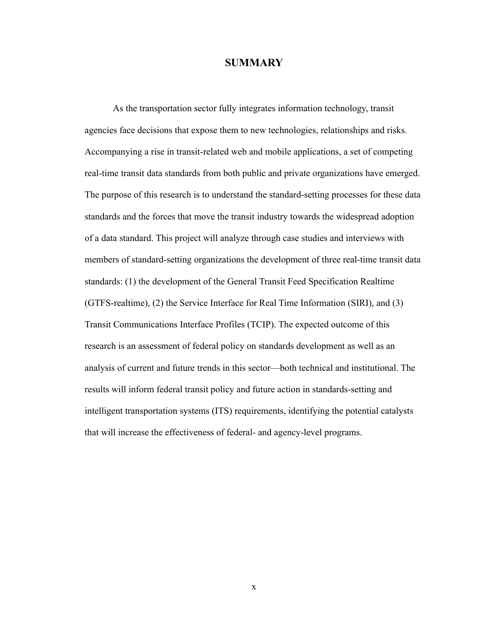### **SUMMARY**

As the transportation sector fully integrates information technology, transit agencies face decisions that expose them to new technologies, relationships and risks. Accompanying a rise in transit-related web and mobile applications, a set of competing real-time transit data standards from both public and private organizations have emerged. The purpose of this research is to understand the standard-setting processes for these data standards and the forces that move the transit industry towards the widespread adoption of a data standard. This project will analyze through case studies and interviews with members of standard-setting organizations the development of three real-time transit data standards: (1) the development of the General Transit Feed Specification Realtime (GTFS-realtime), (2) the Service Interface for Real Time Information (SIRI), and (3) Transit Communications Interface Profiles (TCIP). The expected outcome of this research is an assessment of federal policy on standards development as well as an analysis of current and future trends in this sector—both technical and institutional. The results will inform federal transit policy and future action in standards-setting and intelligent transportation systems (ITS) requirements, identifying the potential catalysts that will increase the effectiveness of federal- and agency-level programs.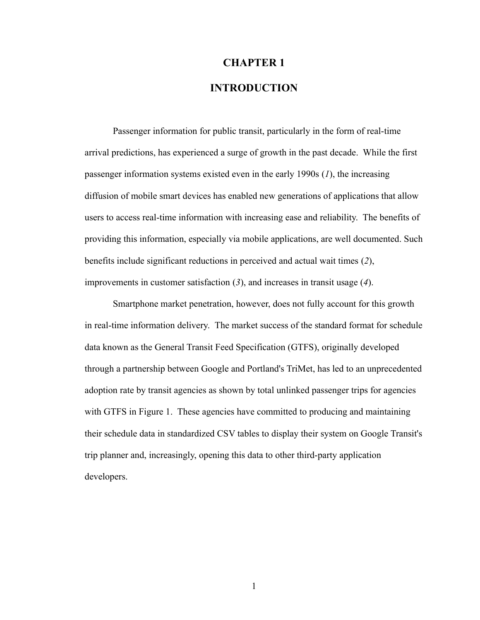# <span id="page-11-0"></span>**CHAPTER 1 INTRODUCTION**

Passenger information for public transit, particularly in the form of real-time arrival predictions, has experienced a surge of growth in the past decade. While the first passenger information systems existed even in the early 1990s (*1*), the increasing diffusion of mobile smart devices has enabled new generations of applications that allow users to access real-time information with increasing ease and reliability. The benefits of providing this information, especially via mobile applications, are well documented. Such benefits include significant reductions in perceived and actual wait times (*2*), improvements in customer satisfaction (*3*), and increases in transit usage (*4*).

Smartphone market penetration, however, does not fully account for this growth in real-time information delivery. The market success of the standard format for schedule data known as the General Transit Feed Specification (GTFS), originally developed through a partnership between Google and Portland's TriMet, has led to an unprecedented adoption rate by transit agencies as shown by total unlinked passenger trips for agencies with GTFS in [Figure 1.](#page-12-0) These agencies have committed to producing and maintaining their schedule data in standardized CSV tables to display their system on Google Transit's trip planner and, increasingly, opening this data to other third-party application developers.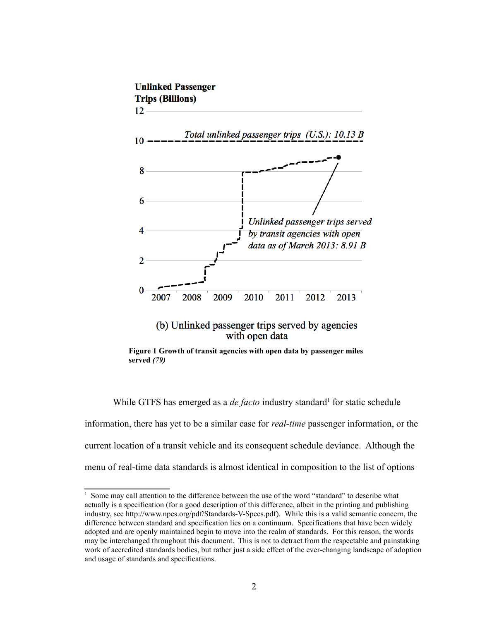

<span id="page-12-0"></span>**Figure 1 Growth of transit agencies with open data by passenger miles served** *(79)*

While GTFS has emerged as a *de facto* industry standard<sup>[1](#page-12-1)</sup> for static schedule

information, there has yet to be a similar case for *real-time* passenger information, or the current location of a transit vehicle and its consequent schedule deviance. Although the menu of real-time data standards is almost identical in composition to the list of options

<span id="page-12-1"></span><sup>&</sup>lt;sup>1</sup> Some may call attention to the difference between the use of the word "standard" to describe what actually is a specification (for a good description of this difference, albeit in the printing and publishing industry, see [http://www.npes.org/pdf/Standards-V-Specs.pdf\)](http://www.npes.org/pdf/Standards-V-Specs.pdf). While this is a valid semantic concern, the difference between standard and specification lies on a continuum. Specifications that have been widely adopted and are openly maintained begin to move into the realm of standards. For this reason, the words may be interchanged throughout this document. This is not to detract from the respectable and painstaking work of accredited standards bodies, but rather just a side effect of the ever-changing landscape of adoption and usage of standards and specifications.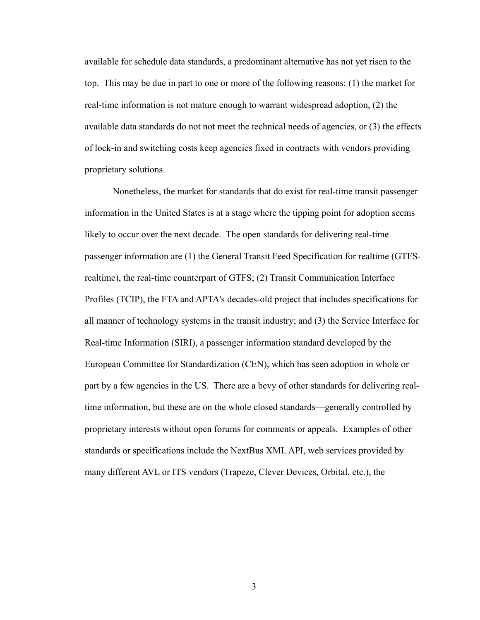available for schedule data standards, a predominant alternative has not yet risen to the top. This may be due in part to one or more of the following reasons: (1) the market for real-time information is not mature enough to warrant widespread adoption, (2) the available data standards do not not meet the technical needs of agencies, or (3) the effects of lock-in and switching costs keep agencies fixed in contracts with vendors providing proprietary solutions.

Nonetheless, the market for standards that do exist for real-time transit passenger information in the United States is at a stage where the tipping point for adoption seems likely to occur over the next decade. The open standards for delivering real-time passenger information are (1) the General Transit Feed Specification for realtime (GTFSrealtime), the real-time counterpart of GTFS; (2) Transit Communication Interface Profiles (TCIP), the FTA and APTA's decades-old project that includes specifications for all manner of technology systems in the transit industry; and (3) the Service Interface for Real-time Information (SIRI), a passenger information standard developed by the European Committee for Standardization (CEN), which has seen adoption in whole or part by a few agencies in the US. There are a bevy of other standards for delivering realtime information, but these are on the whole closed standards—generally controlled by proprietary interests without open forums for comments or appeals. Examples of other standards or specifications include the NextBus XML API, web services provided by many different AVL or ITS vendors (Trapeze, Clever Devices, Orbital, etc.), the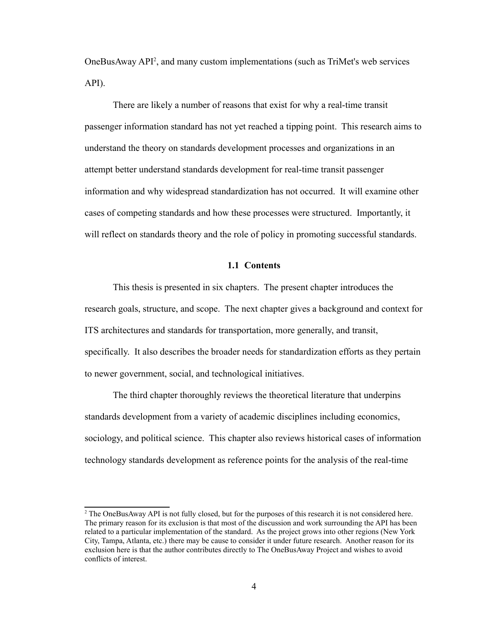OneBusAway API<sup>[2](#page-14-1)</sup>, and many custom implementations (such as TriMet's web services API).

There are likely a number of reasons that exist for why a real-time transit passenger information standard has not yet reached a tipping point. This research aims to understand the theory on standards development processes and organizations in an attempt better understand standards development for real-time transit passenger information and why widespread standardization has not occurred. It will examine other cases of competing standards and how these processes were structured. Importantly, it will reflect on standards theory and the role of policy in promoting successful standards.

#### <span id="page-14-0"></span>**1.1 Contents**

This thesis is presented in six chapters. The present chapter introduces the research goals, structure, and scope. The next chapter gives a background and context for ITS architectures and standards for transportation, more generally, and transit, specifically. It also describes the broader needs for standardization efforts as they pertain to newer government, social, and technological initiatives.

The third chapter thoroughly reviews the theoretical literature that underpins standards development from a variety of academic disciplines including economics, sociology, and political science. This chapter also reviews historical cases of information technology standards development as reference points for the analysis of the real-time

<span id="page-14-1"></span><sup>&</sup>lt;sup>2</sup> The OneBusAway API is not fully closed, but for the purposes of this research it is not considered here. The primary reason for its exclusion is that most of the discussion and work surrounding the API has been related to a particular implementation of the standard. As the project grows into other regions (New York City, Tampa, Atlanta, etc.) there may be cause to consider it under future research. Another reason for its exclusion here is that the author contributes directly to The OneBusAway Project and wishes to avoid conflicts of interest.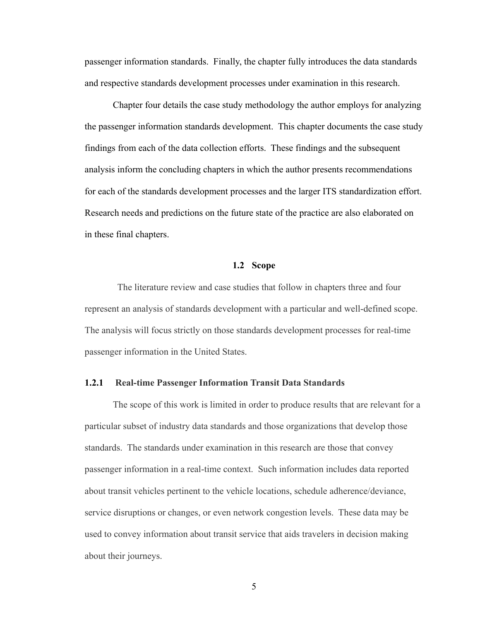passenger information standards. Finally, the chapter fully introduces the data standards and respective standards development processes under examination in this research.

Chapter four details the case study methodology the author employs for analyzing the passenger information standards development. This chapter documents the case study findings from each of the data collection efforts. These findings and the subsequent analysis inform the concluding chapters in which the author presents recommendations for each of the standards development processes and the larger ITS standardization effort. Research needs and predictions on the future state of the practice are also elaborated on in these final chapters.

## <span id="page-15-0"></span>**1.2 Scope**

 The literature review and case studies that follow in chapters three and four represent an analysis of standards development with a particular and well-defined scope. The analysis will focus strictly on those standards development processes for real-time passenger information in the United States.

#### <span id="page-15-1"></span>**1.2.1 Real-time Passenger Information Transit Data Standards**

The scope of this work is limited in order to produce results that are relevant for a particular subset of industry data standards and those organizations that develop those standards. The standards under examination in this research are those that convey passenger information in a real-time context. Such information includes data reported about transit vehicles pertinent to the vehicle locations, schedule adherence/deviance, service disruptions or changes, or even network congestion levels. These data may be used to convey information about transit service that aids travelers in decision making about their journeys.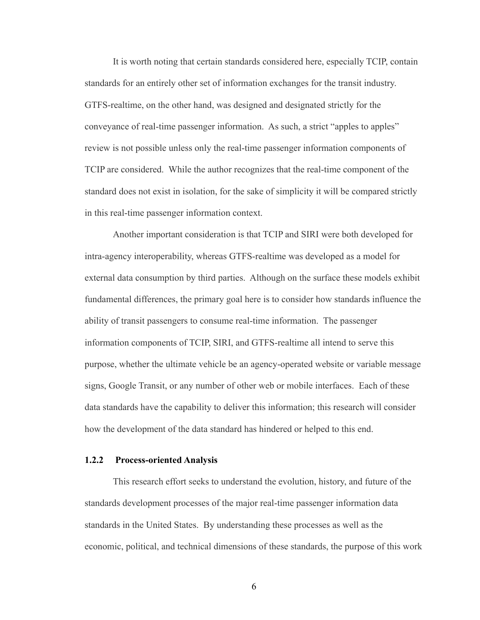It is worth noting that certain standards considered here, especially TCIP, contain standards for an entirely other set of information exchanges for the transit industry. GTFS-realtime, on the other hand, was designed and designated strictly for the conveyance of real-time passenger information. As such, a strict "apples to apples" review is not possible unless only the real-time passenger information components of TCIP are considered. While the author recognizes that the real-time component of the standard does not exist in isolation, for the sake of simplicity it will be compared strictly in this real-time passenger information context.

Another important consideration is that TCIP and SIRI were both developed for intra-agency interoperability, whereas GTFS-realtime was developed as a model for external data consumption by third parties. Although on the surface these models exhibit fundamental differences, the primary goal here is to consider how standards influence the ability of transit passengers to consume real-time information. The passenger information components of TCIP, SIRI, and GTFS-realtime all intend to serve this purpose, whether the ultimate vehicle be an agency-operated website or variable message signs, Google Transit, or any number of other web or mobile interfaces. Each of these data standards have the capability to deliver this information; this research will consider how the development of the data standard has hindered or helped to this end.

#### <span id="page-16-0"></span>**1.2.2 Process-oriented Analysis**

This research effort seeks to understand the evolution, history, and future of the standards development processes of the major real-time passenger information data standards in the United States. By understanding these processes as well as the economic, political, and technical dimensions of these standards, the purpose of this work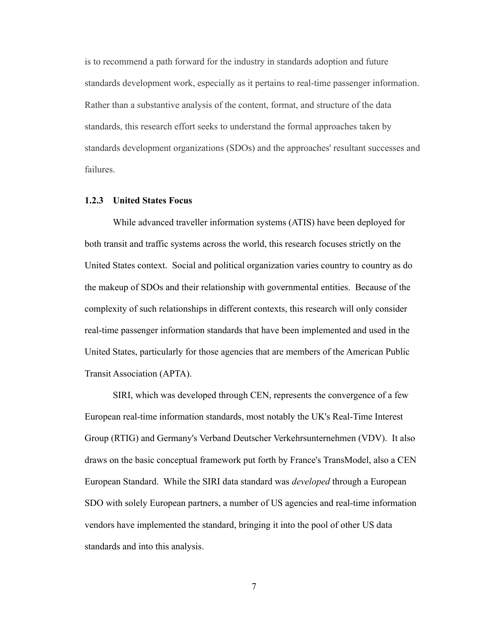is to recommend a path forward for the industry in standards adoption and future standards development work, especially as it pertains to real-time passenger information. Rather than a substantive analysis of the content, format, and structure of the data standards, this research effort seeks to understand the formal approaches taken by standards development organizations (SDOs) and the approaches' resultant successes and failures.

#### <span id="page-17-0"></span>**1.2.3 United States Focus**

While advanced traveller information systems (ATIS) have been deployed for both transit and traffic systems across the world, this research focuses strictly on the United States context. Social and political organization varies country to country as do the makeup of SDOs and their relationship with governmental entities. Because of the complexity of such relationships in different contexts, this research will only consider real-time passenger information standards that have been implemented and used in the United States, particularly for those agencies that are members of the American Public Transit Association (APTA).

SIRI, which was developed through CEN, represents the convergence of a few European real-time information standards, most notably the UK's Real-Time Interest Group (RTIG) and Germany's Verband Deutscher Verkehrsunternehmen (VDV). It also draws on the basic conceptual framework put forth by France's TransModel, also a CEN European Standard. While the SIRI data standard was *developed* through a European SDO with solely European partners, a number of US agencies and real-time information vendors have implemented the standard, bringing it into the pool of other US data standards and into this analysis.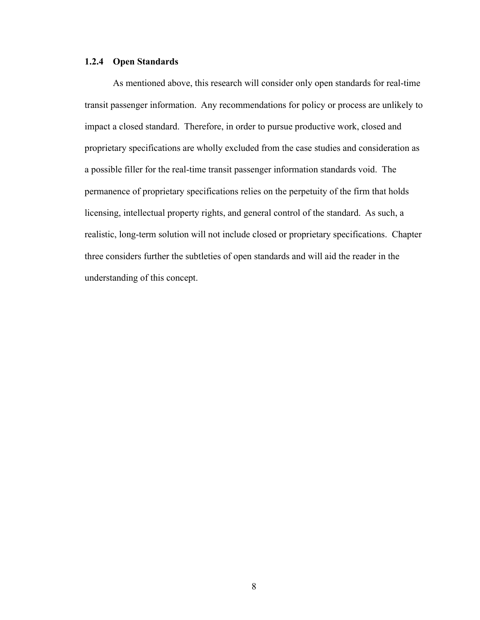## <span id="page-18-0"></span>**1.2.4 Open Standards**

As mentioned above, this research will consider only open standards for real-time transit passenger information. Any recommendations for policy or process are unlikely to impact a closed standard. Therefore, in order to pursue productive work, closed and proprietary specifications are wholly excluded from the case studies and consideration as a possible filler for the real-time transit passenger information standards void. The permanence of proprietary specifications relies on the perpetuity of the firm that holds licensing, intellectual property rights, and general control of the standard. As such, a realistic, long-term solution will not include closed or proprietary specifications. Chapter three considers further the subtleties of open standards and will aid the reader in the understanding of this concept.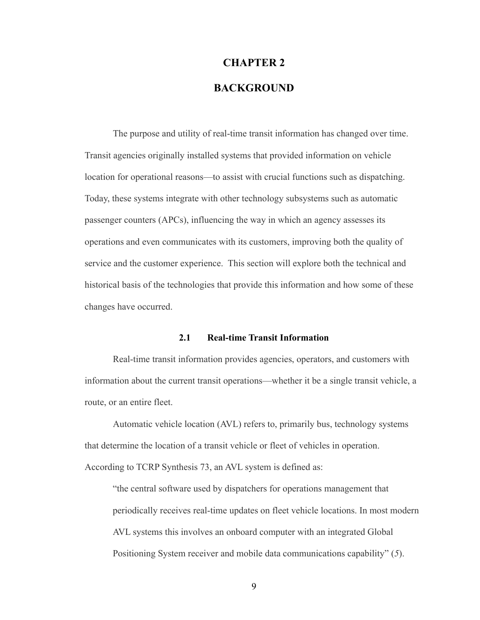# <span id="page-19-0"></span>**CHAPTER 2 BACKGROUND**

The purpose and utility of real-time transit information has changed over time. Transit agencies originally installed systems that provided information on vehicle location for operational reasons—to assist with crucial functions such as dispatching. Today, these systems integrate with other technology subsystems such as automatic passenger counters (APCs), influencing the way in which an agency assesses its operations and even communicates with its customers, improving both the quality of service and the customer experience. This section will explore both the technical and historical basis of the technologies that provide this information and how some of these changes have occurred.

#### <span id="page-19-1"></span>**2.1 Real-time Transit Information**

Real-time transit information provides agencies, operators, and customers with information about the current transit operations—whether it be a single transit vehicle, a route, or an entire fleet.

Automatic vehicle location (AVL) refers to, primarily bus, technology systems that determine the location of a transit vehicle or fleet of vehicles in operation. According to TCRP Synthesis 73, an AVL system is defined as:

"the central software used by dispatchers for operations management that periodically receives real-time updates on fleet vehicle locations. In most modern AVL systems this involves an onboard computer with an integrated Global Positioning System receiver and mobile data communications capability" (*5*).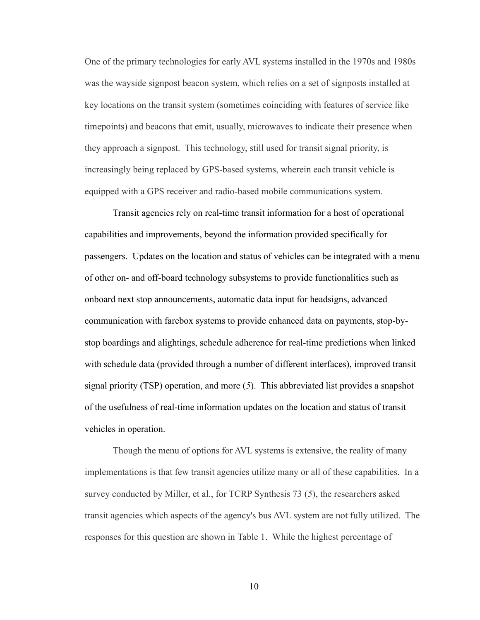One of the primary technologies for early AVL systems installed in the 1970s and 1980s was the wayside signpost beacon system, which relies on a set of signposts installed at key locations on the transit system (sometimes coinciding with features of service like timepoints) and beacons that emit, usually, microwaves to indicate their presence when they approach a signpost. This technology, still used for transit signal priority, is increasingly being replaced by GPS-based systems, wherein each transit vehicle is equipped with a GPS receiver and radio-based mobile communications system.

Transit agencies rely on real-time transit information for a host of operational capabilities and improvements, beyond the information provided specifically for passengers. Updates on the location and status of vehicles can be integrated with a menu of other on- and off-board technology subsystems to provide functionalities such as onboard next stop announcements, automatic data input for headsigns, advanced communication with farebox systems to provide enhanced data on payments, stop-bystop boardings and alightings, schedule adherence for real-time predictions when linked with schedule data (provided through a number of different interfaces), improved transit signal priority (TSP) operation, and more (*5*). This abbreviated list provides a snapshot of the usefulness of real-time information updates on the location and status of transit vehicles in operation.

Though the menu of options for AVL systems is extensive, the reality of many implementations is that few transit agencies utilize many or all of these capabilities. In a survey conducted by Miller, et al., for TCRP Synthesis 73 (*5*), the researchers asked transit agencies which aspects of the agency's bus AVL system are not fully utilized. The responses for this question are shown in [Table 1.](#page-21-0) While the highest percentage of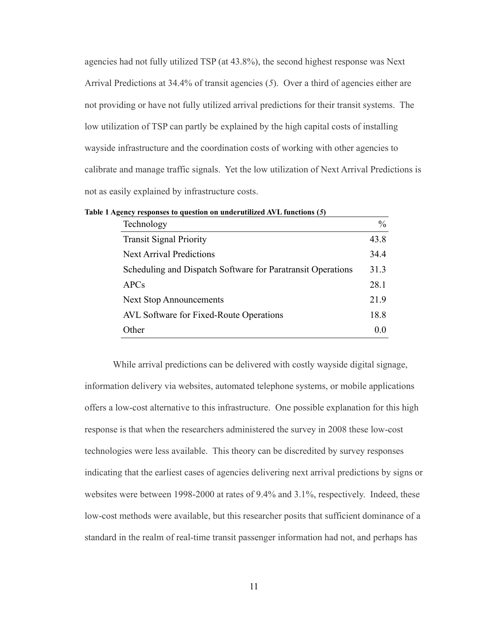agencies had not fully utilized TSP (at 43.8%), the second highest response was Next Arrival Predictions at 34.4% of transit agencies (*5*). Over a third of agencies either are not providing or have not fully utilized arrival predictions for their transit systems. The low utilization of TSP can partly be explained by the high capital costs of installing wayside infrastructure and the coordination costs of working with other agencies to calibrate and manage traffic signals. Yet the low utilization of Next Arrival Predictions is not as easily explained by infrastructure costs.

<span id="page-21-0"></span>

| Technology                                                  | $\frac{0}{0}$ |
|-------------------------------------------------------------|---------------|
| <b>Transit Signal Priority</b>                              | 43.8          |
| <b>Next Arrival Predictions</b>                             | 34.4          |
| Scheduling and Dispatch Software for Paratransit Operations | 31.3          |
| <b>APCs</b>                                                 | 28.1          |
| <b>Next Stop Announcements</b>                              | 21.9          |
| <b>AVL</b> Software for Fixed-Route Operations              | 18.8          |
| Other                                                       | 0.0           |

While arrival predictions can be delivered with costly wayside digital signage, information delivery via websites, automated telephone systems, or mobile applications offers a low-cost alternative to this infrastructure. One possible explanation for this high response is that when the researchers administered the survey in 2008 these low-cost technologies were less available. This theory can be discredited by survey responses indicating that the earliest cases of agencies delivering next arrival predictions by signs or websites were between 1998-2000 at rates of 9.4% and 3.1%, respectively. Indeed, these low-cost methods were available, but this researcher posits that sufficient dominance of a standard in the realm of real-time transit passenger information had not, and perhaps has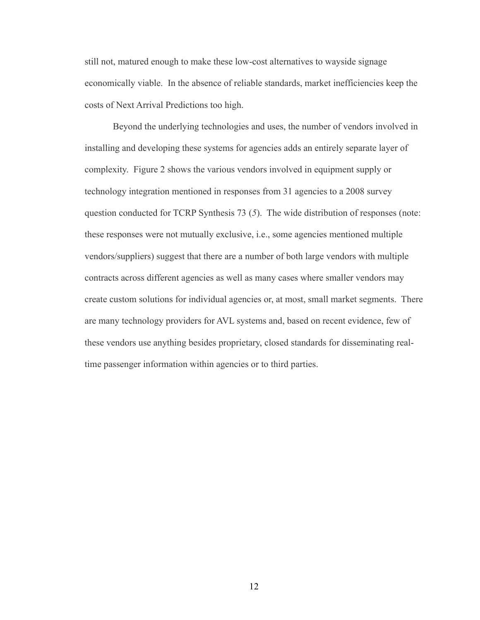still not, matured enough to make these low-cost alternatives to wayside signage economically viable. In the absence of reliable standards, market inefficiencies keep the costs of Next Arrival Predictions too high.

Beyond the underlying technologies and uses, the number of vendors involved in installing and developing these systems for agencies adds an entirely separate layer of complexity. [Figure 2](#page-23-2) shows the various vendors involved in equipment supply or technology integration mentioned in responses from 31 agencies to a 2008 survey question conducted for TCRP Synthesis 73 (*5*). The wide distribution of responses (note: these responses were not mutually exclusive, i.e., some agencies mentioned multiple vendors/suppliers) suggest that there are a number of both large vendors with multiple contracts across different agencies as well as many cases where smaller vendors may create custom solutions for individual agencies or, at most, small market segments. There are many technology providers for AVL systems and, based on recent evidence, few of these vendors use anything besides proprietary, closed standards for disseminating realtime passenger information within agencies or to third parties.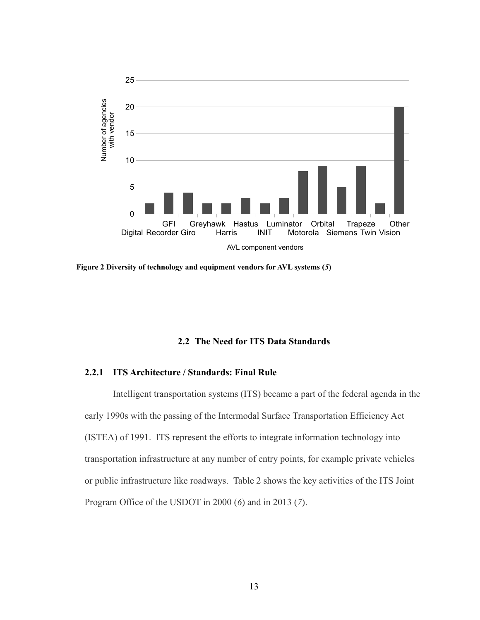

<span id="page-23-2"></span>**Figure 2 Diversity of technology and equipment vendors for AVL systems (***5***)**

#### <span id="page-23-0"></span>**2.2 The Need for ITS Data Standards**

#### <span id="page-23-1"></span>**2.2.1 ITS Architecture / Standards: Final Rule**

Intelligent transportation systems (ITS) became a part of the federal agenda in the early 1990s with the passing of the Intermodal Surface Transportation Efficiency Act (ISTEA) of 1991. ITS represent the efforts to integrate information technology into transportation infrastructure at any number of entry points, for example private vehicles or public infrastructure like roadways. [Table 2](#page-24-0) shows the key activities of the ITS Joint Program Office of the USDOT in 2000 (*6*) and in 2013 (*7*).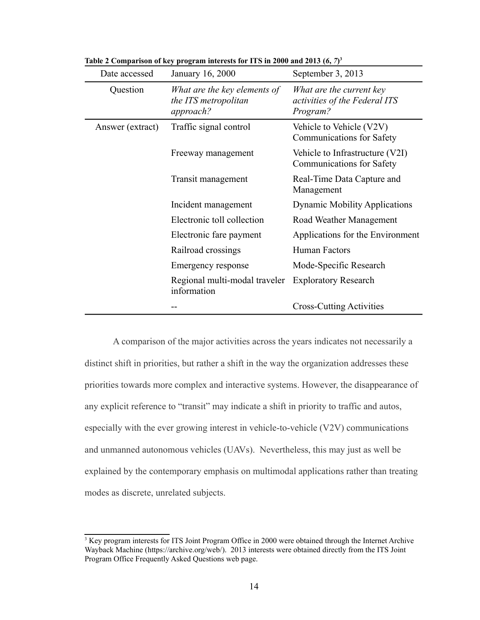<span id="page-24-0"></span>

| Date accessed    | January 16, 2000                                                  | September 3, 2013                                                     |
|------------------|-------------------------------------------------------------------|-----------------------------------------------------------------------|
| Question         | What are the key elements of<br>the ITS metropolitan<br>approach? | What are the current key<br>activities of the Federal ITS<br>Program? |
| Answer (extract) | Traffic signal control                                            | Vehicle to Vehicle (V2V)<br><b>Communications for Safety</b>          |
|                  | Freeway management                                                | Vehicle to Infrastructure (V2I)<br><b>Communications for Safety</b>   |
|                  | Transit management                                                | Real-Time Data Capture and<br>Management                              |
|                  | Incident management                                               | <b>Dynamic Mobility Applications</b>                                  |
|                  | Electronic toll collection                                        | Road Weather Management                                               |
|                  | Electronic fare payment                                           | Applications for the Environment                                      |
|                  | Railroad crossings                                                | Human Factors                                                         |
|                  | Emergency response                                                | Mode-Specific Research                                                |
|                  | Regional multi-modal traveler<br>information                      | <b>Exploratory Research</b>                                           |
|                  |                                                                   | <b>Cross-Cutting Activities</b>                                       |

Table 2 Comparison of key program interests for ITS in 2000 and 201[3](#page-24-1)  $(6, 7)^3$ 

A comparison of the major activities across the years indicates not necessarily a distinct shift in priorities, but rather a shift in the way the organization addresses these priorities towards more complex and interactive systems. However, the disappearance of any explicit reference to "transit" may indicate a shift in priority to traffic and autos, especially with the ever growing interest in vehicle-to-vehicle (V2V) communications and unmanned autonomous vehicles (UAVs). Nevertheless, this may just as well be explained by the contemporary emphasis on multimodal applications rather than treating modes as discrete, unrelated subjects.

<span id="page-24-1"></span><sup>&</sup>lt;sup>3</sup> Key program interests for ITS Joint Program Office in 2000 were obtained through the Internet Archive Wayback Machine [\(https://archive.org/web/\)](https://archive.org/web/). 2013 interests were obtained directly from the ITS Joint Program Office Frequently Asked Questions web page.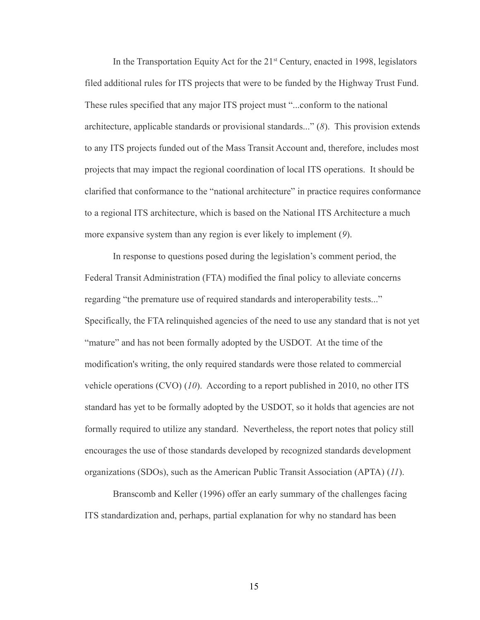In the Transportation Equity Act for the  $21<sup>st</sup>$  Century, enacted in 1998, legislators filed additional rules for ITS projects that were to be funded by the Highway Trust Fund. These rules specified that any major ITS project must "...conform to the national architecture, applicable standards or provisional standards..." (*8*). This provision extends to any ITS projects funded out of the Mass Transit Account and, therefore, includes most projects that may impact the regional coordination of local ITS operations. It should be clarified that conformance to the "national architecture" in practice requires conformance to a regional ITS architecture, which is based on the National ITS Architecture a much more expansive system than any region is ever likely to implement (*9*).

In response to questions posed during the legislation's comment period, the Federal Transit Administration (FTA) modified the final policy to alleviate concerns regarding "the premature use of required standards and interoperability tests..." Specifically, the FTA relinquished agencies of the need to use any standard that is not yet "mature" and has not been formally adopted by the USDOT. At the time of the modification's writing, the only required standards were those related to commercial vehicle operations (CVO) (*10*). According to a report published in 2010, no other ITS standard has yet to be formally adopted by the USDOT, so it holds that agencies are not formally required to utilize any standard. Nevertheless, the report notes that policy still encourages the use of those standards developed by recognized standards development organizations (SDOs), such as the American Public Transit Association (APTA) (*11*).

Branscomb and Keller (1996) offer an early summary of the challenges facing ITS standardization and, perhaps, partial explanation for why no standard has been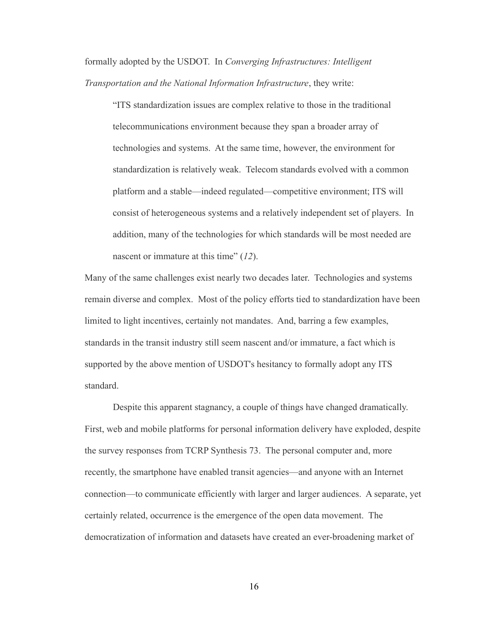formally adopted by the USDOT. In *Converging Infrastructures: Intelligent Transportation and the National Information Infrastructure*, they write:

"ITS standardization issues are complex relative to those in the traditional telecommunications environment because they span a broader array of technologies and systems. At the same time, however, the environment for standardization is relatively weak. Telecom standards evolved with a common platform and a stable—indeed regulated—competitive environment; ITS will consist of heterogeneous systems and a relatively independent set of players. In addition, many of the technologies for which standards will be most needed are nascent or immature at this time" (*12*).

Many of the same challenges exist nearly two decades later. Technologies and systems remain diverse and complex. Most of the policy efforts tied to standardization have been limited to light incentives, certainly not mandates. And, barring a few examples, standards in the transit industry still seem nascent and/or immature, a fact which is supported by the above mention of USDOT's hesitancy to formally adopt any ITS standard.

Despite this apparent stagnancy, a couple of things have changed dramatically. First, web and mobile platforms for personal information delivery have exploded, despite the survey responses from TCRP Synthesis 73. The personal computer and, more recently, the smartphone have enabled transit agencies—and anyone with an Internet connection—to communicate efficiently with larger and larger audiences. A separate, yet certainly related, occurrence is the emergence of the open data movement. The democratization of information and datasets have created an ever-broadening market of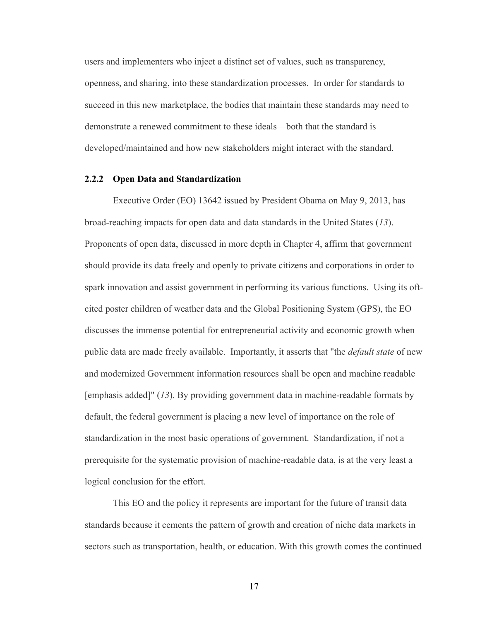users and implementers who inject a distinct set of values, such as transparency, openness, and sharing, into these standardization processes. In order for standards to succeed in this new marketplace, the bodies that maintain these standards may need to demonstrate a renewed commitment to these ideals—both that the standard is developed/maintained and how new stakeholders might interact with the standard.

#### <span id="page-27-0"></span>**2.2.2 Open Data and Standardization**

Executive Order (EO) 13642 issued by President Obama on May 9, 2013, has broad-reaching impacts for open data and data standards in the United States (*13*). Proponents of open data, discussed in more depth in Chapter 4, affirm that government should provide its data freely and openly to private citizens and corporations in order to spark innovation and assist government in performing its various functions. Using its oftcited poster children of weather data and the Global Positioning System (GPS), the EO discusses the immense potential for entrepreneurial activity and economic growth when public data are made freely available. Importantly, it asserts that "the *default state* of new and modernized Government information resources shall be open and machine readable [emphasis added]" (*13*). By providing government data in machine-readable formats by default, the federal government is placing a new level of importance on the role of standardization in the most basic operations of government. Standardization, if not a prerequisite for the systematic provision of machine-readable data, is at the very least a logical conclusion for the effort.

This EO and the policy it represents are important for the future of transit data standards because it cements the pattern of growth and creation of niche data markets in sectors such as transportation, health, or education. With this growth comes the continued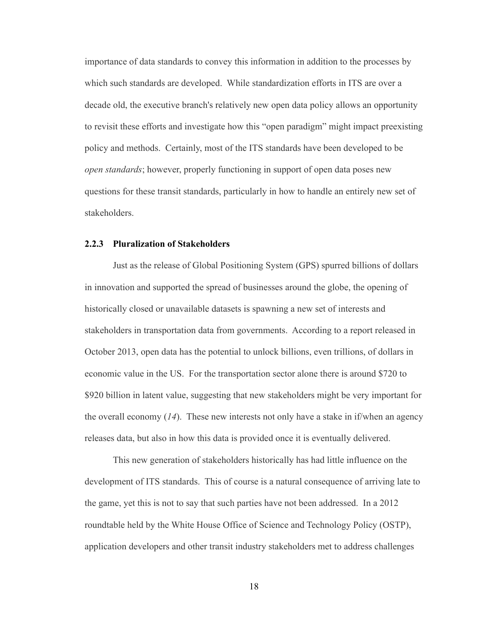importance of data standards to convey this information in addition to the processes by which such standards are developed. While standardization efforts in ITS are over a decade old, the executive branch's relatively new open data policy allows an opportunity to revisit these efforts and investigate how this "open paradigm" might impact preexisting policy and methods. Certainly, most of the ITS standards have been developed to be *open standards*; however, properly functioning in support of open data poses new questions for these transit standards, particularly in how to handle an entirely new set of stakeholders.

#### <span id="page-28-0"></span>**2.2.3 Pluralization of Stakeholders**

Just as the release of Global Positioning System (GPS) spurred billions of dollars in innovation and supported the spread of businesses around the globe, the opening of historically closed or unavailable datasets is spawning a new set of interests and stakeholders in transportation data from governments. According to a report released in October 2013, open data has the potential to unlock billions, even trillions, of dollars in economic value in the US. For the transportation sector alone there is around \$720 to \$920 billion in latent value, suggesting that new stakeholders might be very important for the overall economy (*14*). These new interests not only have a stake in if/when an agency releases data, but also in how this data is provided once it is eventually delivered.

This new generation of stakeholders historically has had little influence on the development of ITS standards. This of course is a natural consequence of arriving late to the game, yet this is not to say that such parties have not been addressed. In a 2012 roundtable held by the White House Office of Science and Technology Policy (OSTP), application developers and other transit industry stakeholders met to address challenges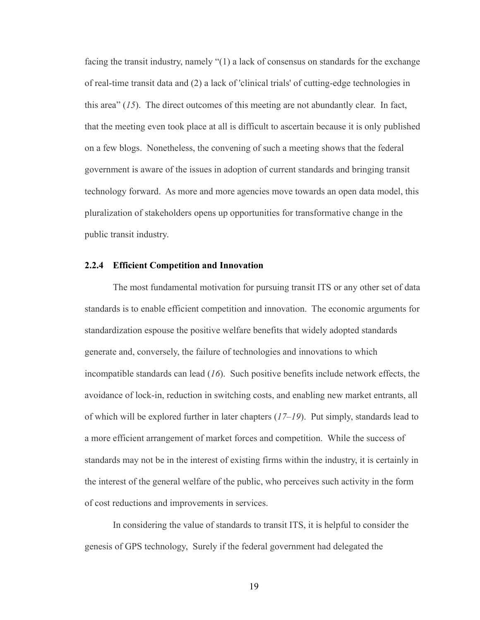facing the transit industry, namely "(1) a lack of consensus on standards for the exchange of real-time transit data and (2) a lack of 'clinical trials' of cutting-edge technologies in this area" (*15*). The direct outcomes of this meeting are not abundantly clear. In fact, that the meeting even took place at all is difficult to ascertain because it is only published on a few blogs. Nonetheless, the convening of such a meeting shows that the federal government is aware of the issues in adoption of current standards and bringing transit technology forward. As more and more agencies move towards an open data model, this pluralization of stakeholders opens up opportunities for transformative change in the public transit industry.

#### <span id="page-29-0"></span>**2.2.4 Efficient Competition and Innovation**

The most fundamental motivation for pursuing transit ITS or any other set of data standards is to enable efficient competition and innovation. The economic arguments for standardization espouse the positive welfare benefits that widely adopted standards generate and, conversely, the failure of technologies and innovations to which incompatible standards can lead (*16*). Such positive benefits include network effects, the avoidance of lock-in, reduction in switching costs, and enabling new market entrants, all of which will be explored further in later chapters (*17*–*19*). Put simply, standards lead to a more efficient arrangement of market forces and competition. While the success of standards may not be in the interest of existing firms within the industry, it is certainly in the interest of the general welfare of the public, who perceives such activity in the form of cost reductions and improvements in services.

In considering the value of standards to transit ITS, it is helpful to consider the genesis of GPS technology, Surely if the federal government had delegated the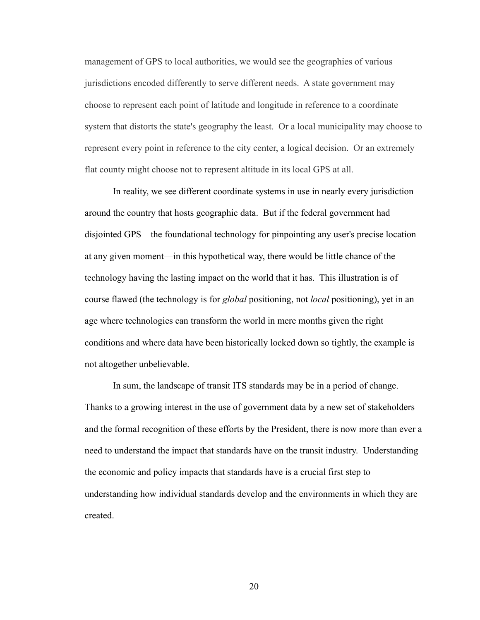management of GPS to local authorities, we would see the geographies of various jurisdictions encoded differently to serve different needs. A state government may choose to represent each point of latitude and longitude in reference to a coordinate system that distorts the state's geography the least. Or a local municipality may choose to represent every point in reference to the city center, a logical decision. Or an extremely flat county might choose not to represent altitude in its local GPS at all.

In reality, we see different coordinate systems in use in nearly every jurisdiction around the country that hosts geographic data. But if the federal government had disjointed GPS—the foundational technology for pinpointing any user's precise location at any given moment—in this hypothetical way, there would be little chance of the technology having the lasting impact on the world that it has. This illustration is of course flawed (the technology is for *global* positioning, not *local* positioning), yet in an age where technologies can transform the world in mere months given the right conditions and where data have been historically locked down so tightly, the example is not altogether unbelievable.

In sum, the landscape of transit ITS standards may be in a period of change. Thanks to a growing interest in the use of government data by a new set of stakeholders and the formal recognition of these efforts by the President, there is now more than ever a need to understand the impact that standards have on the transit industry. Understanding the economic and policy impacts that standards have is a crucial first step to understanding how individual standards develop and the environments in which they are created.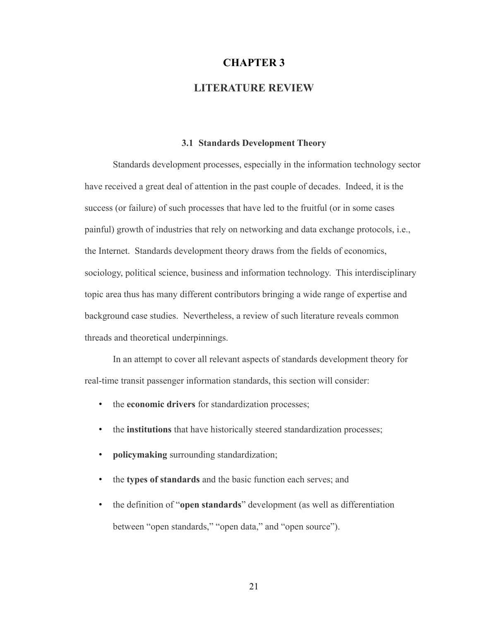## <span id="page-31-0"></span>**CHAPTER 3**

## **LITERATURE REVIEW**

#### <span id="page-31-1"></span>**3.1 Standards Development Theory**

Standards development processes, especially in the information technology sector have received a great deal of attention in the past couple of decades. Indeed, it is the success (or failure) of such processes that have led to the fruitful (or in some cases painful) growth of industries that rely on networking and data exchange protocols, i.e., the Internet. Standards development theory draws from the fields of economics, sociology, political science, business and information technology. This interdisciplinary topic area thus has many different contributors bringing a wide range of expertise and background case studies. Nevertheless, a review of such literature reveals common threads and theoretical underpinnings.

In an attempt to cover all relevant aspects of standards development theory for real-time transit passenger information standards, this section will consider:

- the **economic drivers** for standardization processes;
- the **institutions** that have historically steered standardization processes;
- **policymaking** surrounding standardization;
- the **types of standards** and the basic function each serves; and
- the definition of "**open standards**" development (as well as differentiation between "open standards," "open data," and "open source").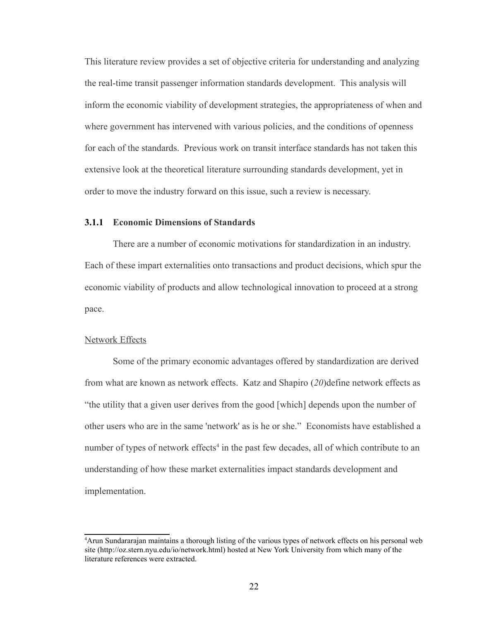This literature review provides a set of objective criteria for understanding and analyzing the real-time transit passenger information standards development. This analysis will inform the economic viability of development strategies, the appropriateness of when and where government has intervened with various policies, and the conditions of openness for each of the standards. Previous work on transit interface standards has not taken this extensive look at the theoretical literature surrounding standards development, yet in order to move the industry forward on this issue, such a review is necessary.

## <span id="page-32-0"></span>**3.1.1 Economic Dimensions of Standards**

There are a number of economic motivations for standardization in an industry. Each of these impart externalities onto transactions and product decisions, which spur the economic viability of products and allow technological innovation to proceed at a strong pace.

### Network Effects

Some of the primary economic advantages offered by standardization are derived from what are known as network effects. Katz and Shapiro (*20*)define network effects as "the utility that a given user derives from the good [which] depends upon the number of other users who are in the same 'network' as is he or she." Economists have established a number of types of network effects<sup>[4](#page-32-1)</sup> in the past few decades, all of which contribute to an understanding of how these market externalities impact standards development and implementation.

<span id="page-32-1"></span><sup>4</sup>Arun Sundararajan maintains a thorough listing of the various types of network effects on his personal web site (http://oz.stern.nyu.edu/io/network.html) hosted at New York University from which many of the literature references were extracted.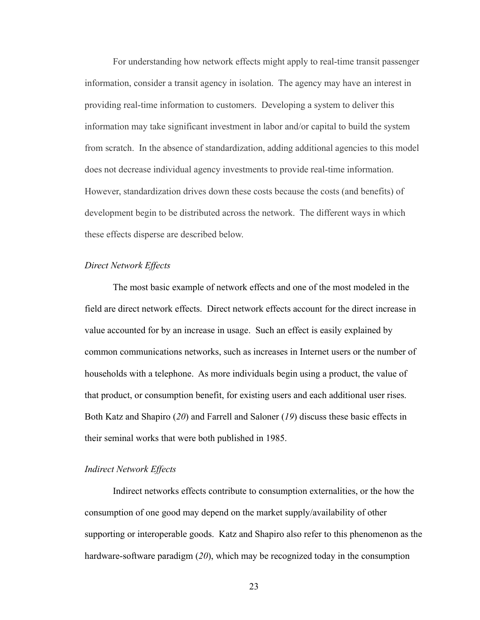For understanding how network effects might apply to real-time transit passenger information, consider a transit agency in isolation. The agency may have an interest in providing real-time information to customers. Developing a system to deliver this information may take significant investment in labor and/or capital to build the system from scratch. In the absence of standardization, adding additional agencies to this model does not decrease individual agency investments to provide real-time information. However, standardization drives down these costs because the costs (and benefits) of development begin to be distributed across the network. The different ways in which these effects disperse are described below.

#### *Direct Network Effects*

The most basic example of network effects and one of the most modeled in the field are direct network effects. Direct network effects account for the direct increase in value accounted for by an increase in usage. Such an effect is easily explained by common communications networks, such as increases in Internet users or the number of households with a telephone. As more individuals begin using a product, the value of that product, or consumption benefit, for existing users and each additional user rises. Both Katz and Shapiro (*20*) and Farrell and Saloner (*19*) discuss these basic effects in their seminal works that were both published in 1985.

#### *Indirect Network Effects*

Indirect networks effects contribute to consumption externalities, or the how the consumption of one good may depend on the market supply/availability of other supporting or interoperable goods. Katz and Shapiro also refer to this phenomenon as the hardware-software paradigm (*20*), which may be recognized today in the consumption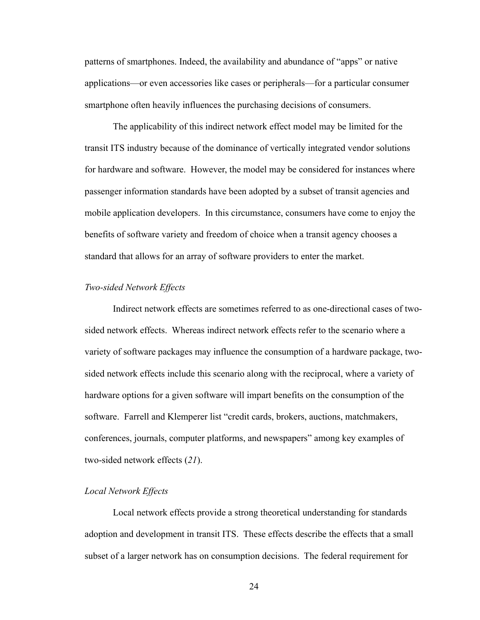patterns of smartphones. Indeed, the availability and abundance of "apps" or native applications—or even accessories like cases or peripherals—for a particular consumer smartphone often heavily influences the purchasing decisions of consumers.

The applicability of this indirect network effect model may be limited for the transit ITS industry because of the dominance of vertically integrated vendor solutions for hardware and software. However, the model may be considered for instances where passenger information standards have been adopted by a subset of transit agencies and mobile application developers. In this circumstance, consumers have come to enjoy the benefits of software variety and freedom of choice when a transit agency chooses a standard that allows for an array of software providers to enter the market.

## *Two-sided Network Effects*

Indirect network effects are sometimes referred to as one-directional cases of twosided network effects. Whereas indirect network effects refer to the scenario where a variety of software packages may influence the consumption of a hardware package, twosided network effects include this scenario along with the reciprocal, where a variety of hardware options for a given software will impart benefits on the consumption of the software. Farrell and Klemperer list "credit cards, brokers, auctions, matchmakers, conferences, journals, computer platforms, and newspapers" among key examples of two-sided network effects (*21*).

#### *Local Network Effects*

Local network effects provide a strong theoretical understanding for standards adoption and development in transit ITS. These effects describe the effects that a small subset of a larger network has on consumption decisions. The federal requirement for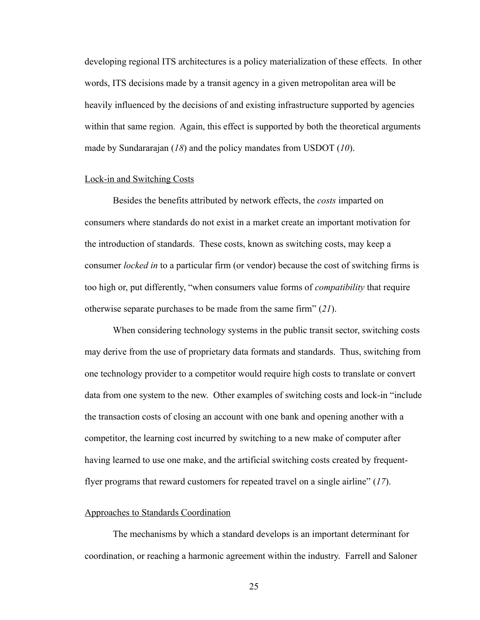developing regional ITS architectures is a policy materialization of these effects. In other words, ITS decisions made by a transit agency in a given metropolitan area will be heavily influenced by the decisions of and existing infrastructure supported by agencies within that same region. Again, this effect is supported by both the theoretical arguments made by Sundararajan (*18*) and the policy mandates from USDOT (*10*).

#### Lock-in and Switching Costs

Besides the benefits attributed by network effects, the *costs* imparted on consumers where standards do not exist in a market create an important motivation for the introduction of standards. These costs, known as switching costs, may keep a consumer *locked in* to a particular firm (or vendor) because the cost of switching firms is too high or, put differently, "when consumers value forms of *compatibility* that require otherwise separate purchases to be made from the same firm" (*21*).

When considering technology systems in the public transit sector, switching costs may derive from the use of proprietary data formats and standards. Thus, switching from one technology provider to a competitor would require high costs to translate or convert data from one system to the new. Other examples of switching costs and lock-in "include the transaction costs of closing an account with one bank and opening another with a competitor, the learning cost incurred by switching to a new make of computer after having learned to use one make, and the artificial switching costs created by frequentflyer programs that reward customers for repeated travel on a single airline" (*17*).

#### Approaches to Standards Coordination

The mechanisms by which a standard develops is an important determinant for coordination, or reaching a harmonic agreement within the industry. Farrell and Saloner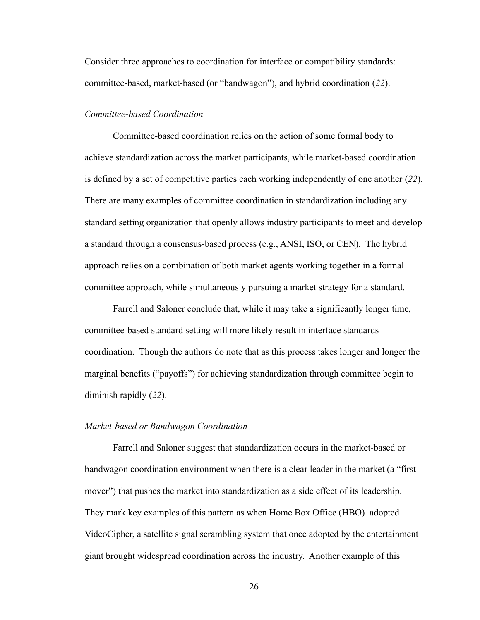Consider three approaches to coordination for interface or compatibility standards: committee-based, market-based (or "bandwagon"), and hybrid coordination (*22*).

### *Committee-based Coordination*

Committee-based coordination relies on the action of some formal body to achieve standardization across the market participants, while market-based coordination is defined by a set of competitive parties each working independently of one another (*22*). There are many examples of committee coordination in standardization including any standard setting organization that openly allows industry participants to meet and develop a standard through a consensus-based process (e.g., ANSI, ISO, or CEN). The hybrid approach relies on a combination of both market agents working together in a formal committee approach, while simultaneously pursuing a market strategy for a standard.

Farrell and Saloner conclude that, while it may take a significantly longer time, committee-based standard setting will more likely result in interface standards coordination. Though the authors do note that as this process takes longer and longer the marginal benefits ("payoffs") for achieving standardization through committee begin to diminish rapidly (*22*).

## *Market-based or Bandwagon Coordination*

Farrell and Saloner suggest that standardization occurs in the market-based or bandwagon coordination environment when there is a clear leader in the market (a "first mover") that pushes the market into standardization as a side effect of its leadership. They mark key examples of this pattern as when Home Box Office (HBO) adopted VideoCipher, a satellite signal scrambling system that once adopted by the entertainment giant brought widespread coordination across the industry. Another example of this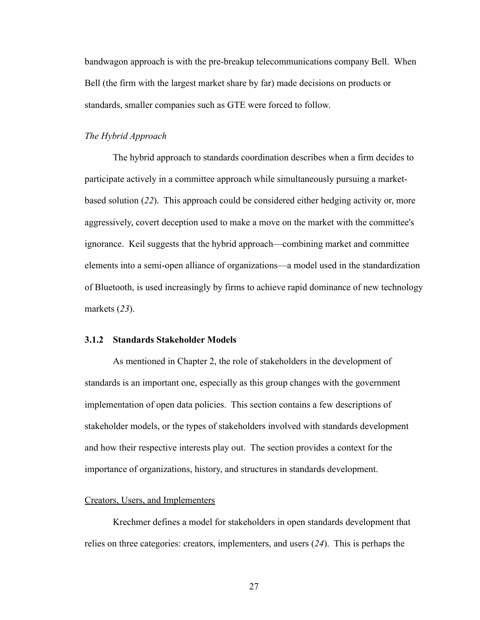bandwagon approach is with the pre-breakup telecommunications company Bell. When Bell (the firm with the largest market share by far) made decisions on products or standards, smaller companies such as GTE were forced to follow.

## *The Hybrid Approach*

The hybrid approach to standards coordination describes when a firm decides to participate actively in a committee approach while simultaneously pursuing a marketbased solution (*22*). This approach could be considered either hedging activity or, more aggressively, covert deception used to make a move on the market with the committee's ignorance. Keil suggests that the hybrid approach—combining market and committee elements into a semi-open alliance of organizations—a model used in the standardization of Bluetooth, is used increasingly by firms to achieve rapid dominance of new technology markets (*23*).

# **3.1.2 Standards Stakeholder Models**

As mentioned in Chapter 2, the role of stakeholders in the development of standards is an important one, especially as this group changes with the government implementation of open data policies. This section contains a few descriptions of stakeholder models, or the types of stakeholders involved with standards development and how their respective interests play out. The section provides a context for the importance of organizations, history, and structures in standards development.

## Creators, Users, and Implementers

Krechmer defines a model for stakeholders in open standards development that relies on three categories: creators, implementers, and users (*24*). This is perhaps the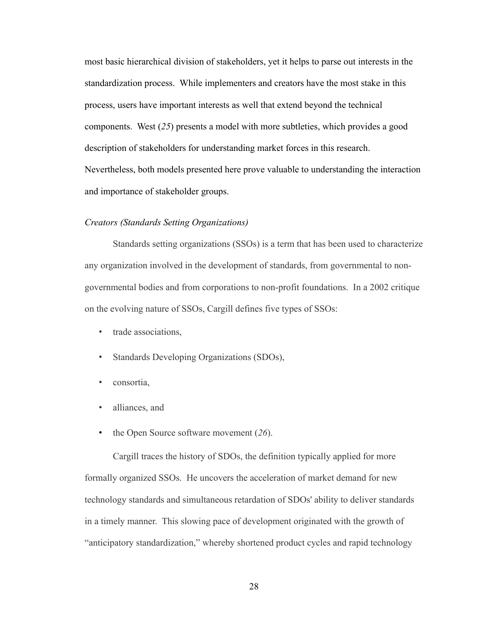most basic hierarchical division of stakeholders, yet it helps to parse out interests in the standardization process. While implementers and creators have the most stake in this process, users have important interests as well that extend beyond the technical components. West (*25*) presents a model with more subtleties, which provides a good description of stakeholders for understanding market forces in this research. Nevertheless, both models presented here prove valuable to understanding the interaction and importance of stakeholder groups.

## *Creators (Standards Setting Organizations)*

Standards setting organizations (SSOs) is a term that has been used to characterize any organization involved in the development of standards, from governmental to nongovernmental bodies and from corporations to non-profit foundations. In a 2002 critique on the evolving nature of SSOs, Cargill defines five types of SSOs:

- trade associations,
- Standards Developing Organizations (SDOs),
- consortia,
- alliances, and
- the Open Source software movement (*26*).

Cargill traces the history of SDOs, the definition typically applied for more formally organized SSOs. He uncovers the acceleration of market demand for new technology standards and simultaneous retardation of SDOs' ability to deliver standards in a timely manner. This slowing pace of development originated with the growth of "anticipatory standardization," whereby shortened product cycles and rapid technology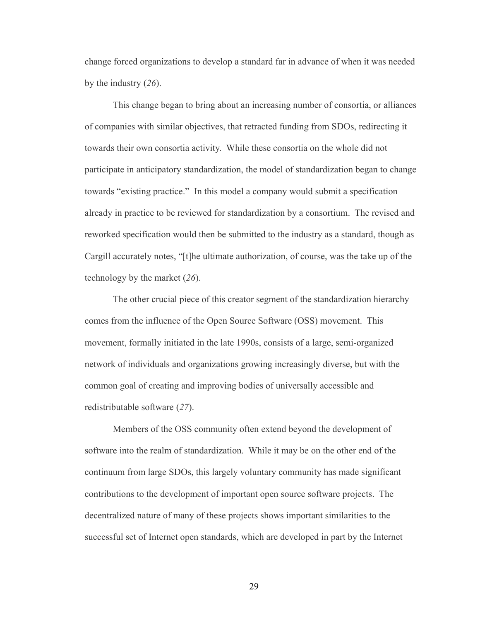change forced organizations to develop a standard far in advance of when it was needed by the industry (*26*).

This change began to bring about an increasing number of consortia, or alliances of companies with similar objectives, that retracted funding from SDOs, redirecting it towards their own consortia activity. While these consortia on the whole did not participate in anticipatory standardization, the model of standardization began to change towards "existing practice." In this model a company would submit a specification already in practice to be reviewed for standardization by a consortium. The revised and reworked specification would then be submitted to the industry as a standard, though as Cargill accurately notes, "[t]he ultimate authorization, of course, was the take up of the technology by the market (*26*).

The other crucial piece of this creator segment of the standardization hierarchy comes from the influence of the Open Source Software (OSS) movement. This movement, formally initiated in the late 1990s, consists of a large, semi-organized network of individuals and organizations growing increasingly diverse, but with the common goal of creating and improving bodies of universally accessible and redistributable software (*27*).

Members of the OSS community often extend beyond the development of software into the realm of standardization. While it may be on the other end of the continuum from large SDOs, this largely voluntary community has made significant contributions to the development of important open source software projects. The decentralized nature of many of these projects shows important similarities to the successful set of Internet open standards, which are developed in part by the Internet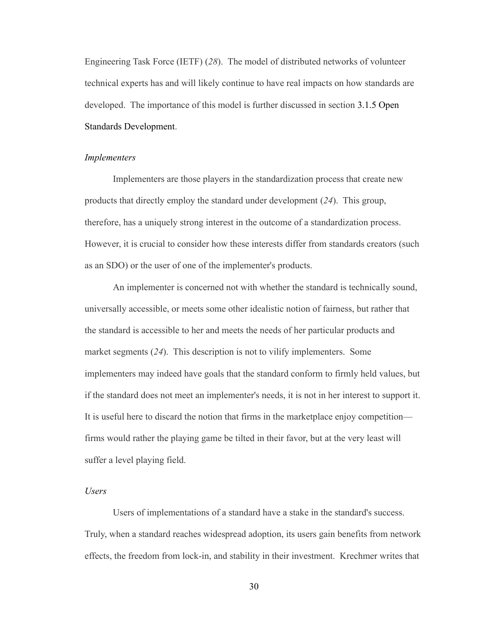Engineering Task Force (IETF) (*28*). The model of distributed networks of volunteer technical experts has and will likely continue to have real impacts on how standards are developed. The importance of this model is further discussed in section [3.1.5 Open](#page-48-0)  [Standards Development.](#page-48-0)

#### *Implementers*

Implementers are those players in the standardization process that create new products that directly employ the standard under development (*24*). This group, therefore, has a uniquely strong interest in the outcome of a standardization process. However, it is crucial to consider how these interests differ from standards creators (such as an SDO) or the user of one of the implementer's products.

An implementer is concerned not with whether the standard is technically sound, universally accessible, or meets some other idealistic notion of fairness, but rather that the standard is accessible to her and meets the needs of her particular products and market segments (*24*). This description is not to vilify implementers. Some implementers may indeed have goals that the standard conform to firmly held values, but if the standard does not meet an implementer's needs, it is not in her interest to support it. It is useful here to discard the notion that firms in the marketplace enjoy competition firms would rather the playing game be tilted in their favor, but at the very least will suffer a level playing field.

### *Users*

Users of implementations of a standard have a stake in the standard's success. Truly, when a standard reaches widespread adoption, its users gain benefits from network effects, the freedom from lock-in, and stability in their investment. Krechmer writes that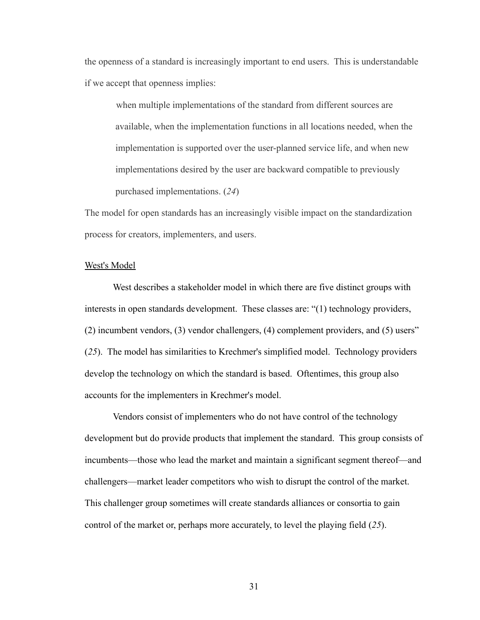the openness of a standard is increasingly important to end users. This is understandable if we accept that openness implies:

when multiple implementations of the standard from different sources are available, when the implementation functions in all locations needed, when the implementation is supported over the user-planned service life, and when new implementations desired by the user are backward compatible to previously purchased implementations. (*24*)

The model for open standards has an increasingly visible impact on the standardization process for creators, implementers, and users.

## West's Model

West describes a stakeholder model in which there are five distinct groups with interests in open standards development. These classes are: "(1) technology providers, (2) incumbent vendors, (3) vendor challengers, (4) complement providers, and (5) users" (*25*). The model has similarities to Krechmer's simplified model. Technology providers develop the technology on which the standard is based. Oftentimes, this group also accounts for the implementers in Krechmer's model.

Vendors consist of implementers who do not have control of the technology development but do provide products that implement the standard. This group consists of incumbents—those who lead the market and maintain a significant segment thereof—and challengers—market leader competitors who wish to disrupt the control of the market. This challenger group sometimes will create standards alliances or consortia to gain control of the market or, perhaps more accurately, to level the playing field (*25*).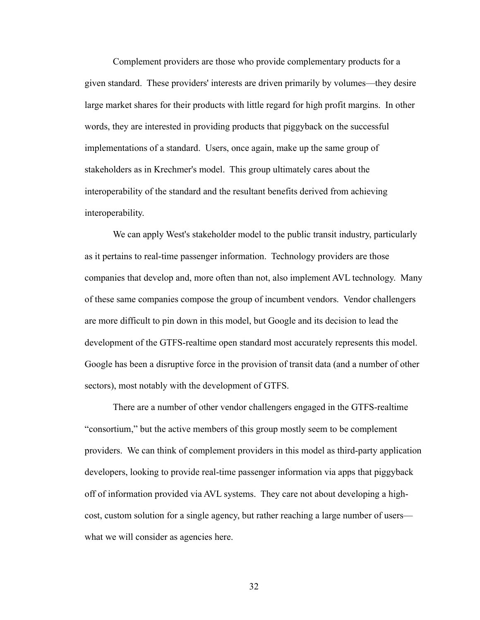Complement providers are those who provide complementary products for a given standard. These providers' interests are driven primarily by volumes—they desire large market shares for their products with little regard for high profit margins. In other words, they are interested in providing products that piggyback on the successful implementations of a standard. Users, once again, make up the same group of stakeholders as in Krechmer's model. This group ultimately cares about the interoperability of the standard and the resultant benefits derived from achieving interoperability.

We can apply West's stakeholder model to the public transit industry, particularly as it pertains to real-time passenger information. Technology providers are those companies that develop and, more often than not, also implement AVL technology. Many of these same companies compose the group of incumbent vendors. Vendor challengers are more difficult to pin down in this model, but Google and its decision to lead the development of the GTFS-realtime open standard most accurately represents this model. Google has been a disruptive force in the provision of transit data (and a number of other sectors), most notably with the development of GTFS.

There are a number of other vendor challengers engaged in the GTFS-realtime "consortium," but the active members of this group mostly seem to be complement providers. We can think of complement providers in this model as third-party application developers, looking to provide real-time passenger information via apps that piggyback off of information provided via AVL systems. They care not about developing a highcost, custom solution for a single agency, but rather reaching a large number of users what we will consider as agencies here.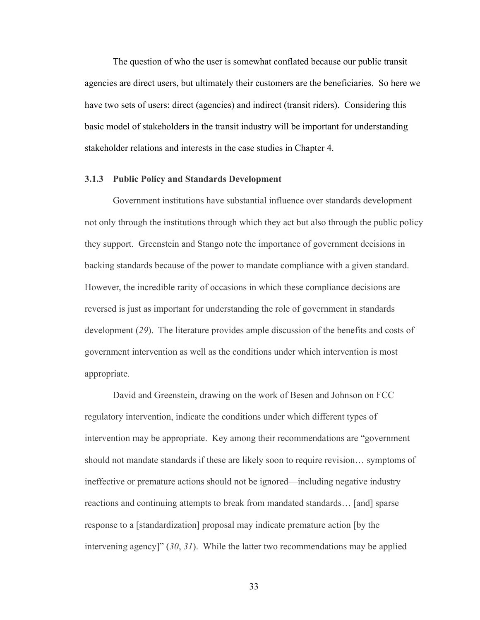The question of who the user is somewhat conflated because our public transit agencies are direct users, but ultimately their customers are the beneficiaries. So here we have two sets of users: direct (agencies) and indirect (transit riders). Considering this basic model of stakeholders in the transit industry will be important for understanding stakeholder relations and interests in the case studies in Chapter 4.

## **3.1.3 Public Policy and Standards Development**

Government institutions have substantial influence over standards development not only through the institutions through which they act but also through the public policy they support. Greenstein and Stango note the importance of government decisions in backing standards because of the power to mandate compliance with a given standard. However, the incredible rarity of occasions in which these compliance decisions are reversed is just as important for understanding the role of government in standards development (*29*). The literature provides ample discussion of the benefits and costs of government intervention as well as the conditions under which intervention is most appropriate.

David and Greenstein, drawing on the work of Besen and Johnson on FCC regulatory intervention, indicate the conditions under which different types of intervention may be appropriate. Key among their recommendations are "government should not mandate standards if these are likely soon to require revision… symptoms of ineffective or premature actions should not be ignored—including negative industry reactions and continuing attempts to break from mandated standards… [and] sparse response to a [standardization] proposal may indicate premature action [by the intervening agency]" (*30*, *31*). While the latter two recommendations may be applied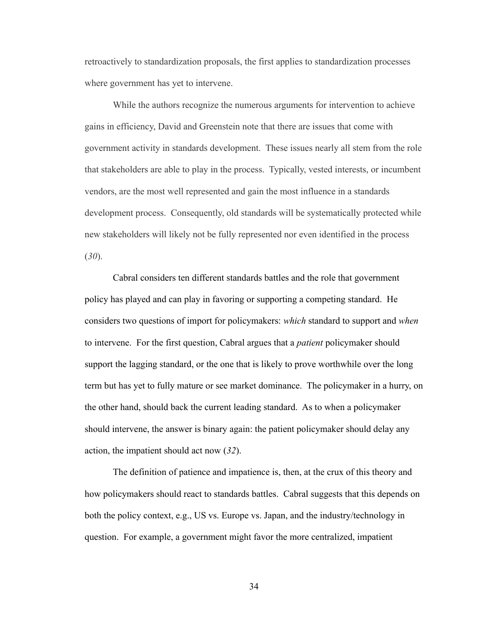retroactively to standardization proposals, the first applies to standardization processes where government has yet to intervene.

While the authors recognize the numerous arguments for intervention to achieve gains in efficiency, David and Greenstein note that there are issues that come with government activity in standards development. These issues nearly all stem from the role that stakeholders are able to play in the process. Typically, vested interests, or incumbent vendors, are the most well represented and gain the most influence in a standards development process. Consequently, old standards will be systematically protected while new stakeholders will likely not be fully represented nor even identified in the process (*30*).

Cabral considers ten different standards battles and the role that government policy has played and can play in favoring or supporting a competing standard. He considers two questions of import for policymakers: *which* standard to support and *when*  to intervene. For the first question, Cabral argues that a *patient* policymaker should support the lagging standard, or the one that is likely to prove worthwhile over the long term but has yet to fully mature or see market dominance. The policymaker in a hurry, on the other hand, should back the current leading standard. As to when a policymaker should intervene, the answer is binary again: the patient policymaker should delay any action, the impatient should act now (*32*).

The definition of patience and impatience is, then, at the crux of this theory and how policymakers should react to standards battles. Cabral suggests that this depends on both the policy context, e.g., US vs. Europe vs. Japan, and the industry/technology in question. For example, a government might favor the more centralized, impatient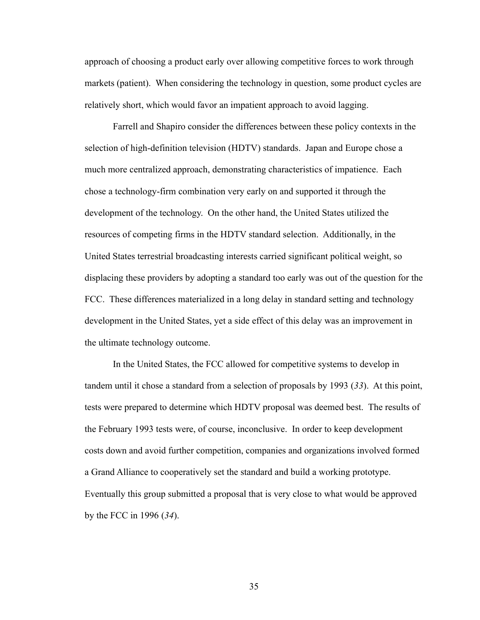approach of choosing a product early over allowing competitive forces to work through markets (patient). When considering the technology in question, some product cycles are relatively short, which would favor an impatient approach to avoid lagging.

Farrell and Shapiro consider the differences between these policy contexts in the selection of high-definition television (HDTV) standards. Japan and Europe chose a much more centralized approach, demonstrating characteristics of impatience. Each chose a technology-firm combination very early on and supported it through the development of the technology. On the other hand, the United States utilized the resources of competing firms in the HDTV standard selection. Additionally, in the United States terrestrial broadcasting interests carried significant political weight, so displacing these providers by adopting a standard too early was out of the question for the FCC. These differences materialized in a long delay in standard setting and technology development in the United States, yet a side effect of this delay was an improvement in the ultimate technology outcome.

In the United States, the FCC allowed for competitive systems to develop in tandem until it chose a standard from a selection of proposals by 1993 (*33*). At this point, tests were prepared to determine which HDTV proposal was deemed best. The results of the February 1993 tests were, of course, inconclusive. In order to keep development costs down and avoid further competition, companies and organizations involved formed a Grand Alliance to cooperatively set the standard and build a working prototype. Eventually this group submitted a proposal that is very close to what would be approved by the FCC in 1996 (*34*).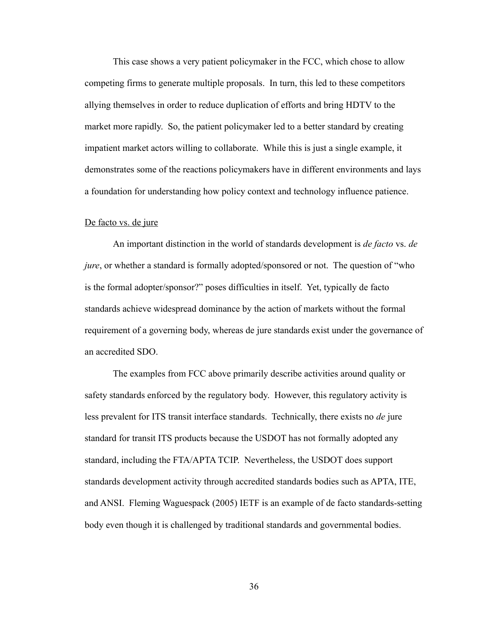This case shows a very patient policymaker in the FCC, which chose to allow competing firms to generate multiple proposals. In turn, this led to these competitors allying themselves in order to reduce duplication of efforts and bring HDTV to the market more rapidly. So, the patient policymaker led to a better standard by creating impatient market actors willing to collaborate. While this is just a single example, it demonstrates some of the reactions policymakers have in different environments and lays a foundation for understanding how policy context and technology influence patience.

### De facto vs. de jure

An important distinction in the world of standards development is *de facto* vs. *de jure*, or whether a standard is formally adopted/sponsored or not. The question of "who is the formal adopter/sponsor?" poses difficulties in itself. Yet, typically de facto standards achieve widespread dominance by the action of markets without the formal requirement of a governing body, whereas de jure standards exist under the governance of an accredited SDO.

The examples from FCC above primarily describe activities around quality or safety standards enforced by the regulatory body. However, this regulatory activity is less prevalent for ITS transit interface standards. Technically, there exists no *de* jure standard for transit ITS products because the USDOT has not formally adopted any standard, including the FTA/APTA TCIP. Nevertheless, the USDOT does support standards development activity through accredited standards bodies such as APTA, ITE, and ANSI. Fleming Waguespack (2005) IETF is an example of de facto standards-setting body even though it is challenged by traditional standards and governmental bodies.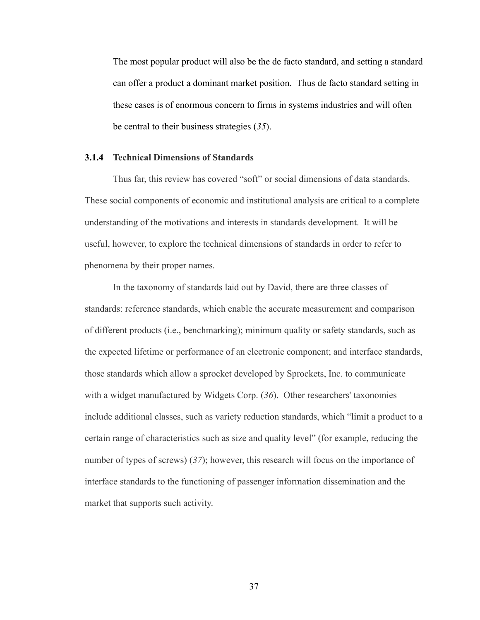The most popular product will also be the de facto standard, and setting a standard can offer a product a dominant market position. Thus de facto standard setting in these cases is of enormous concern to firms in systems industries and will often be central to their business strategies (*35*).

## **3.1.4 Technical Dimensions of Standards**

Thus far, this review has covered "soft" or social dimensions of data standards. These social components of economic and institutional analysis are critical to a complete understanding of the motivations and interests in standards development. It will be useful, however, to explore the technical dimensions of standards in order to refer to phenomena by their proper names.

In the taxonomy of standards laid out by David, there are three classes of standards: reference standards, which enable the accurate measurement and comparison of different products (i.e., benchmarking); minimum quality or safety standards, such as the expected lifetime or performance of an electronic component; and interface standards, those standards which allow a sprocket developed by Sprockets, Inc. to communicate with a widget manufactured by Widgets Corp. (*36*). Other researchers' taxonomies include additional classes, such as variety reduction standards, which "limit a product to a certain range of characteristics such as size and quality level" (for example, reducing the number of types of screws) (*37*); however, this research will focus on the importance of interface standards to the functioning of passenger information dissemination and the market that supports such activity.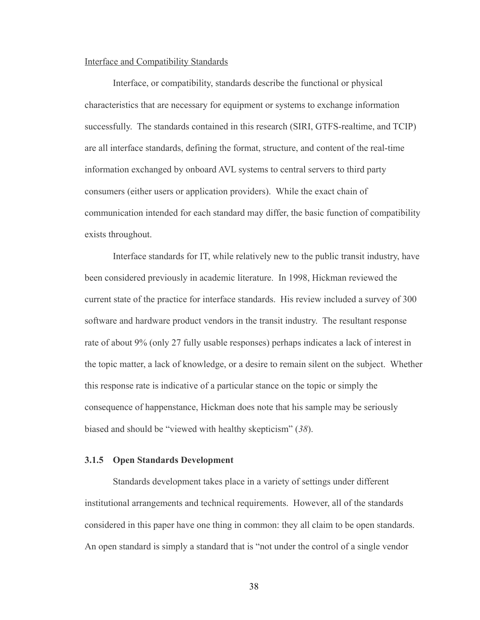## Interface and Compatibility Standards

Interface, or compatibility, standards describe the functional or physical characteristics that are necessary for equipment or systems to exchange information successfully. The standards contained in this research (SIRI, GTFS-realtime, and TCIP) are all interface standards, defining the format, structure, and content of the real-time information exchanged by onboard AVL systems to central servers to third party consumers (either users or application providers). While the exact chain of communication intended for each standard may differ, the basic function of compatibility exists throughout.

Interface standards for IT, while relatively new to the public transit industry, have been considered previously in academic literature. In 1998, Hickman reviewed the current state of the practice for interface standards. His review included a survey of 300 software and hardware product vendors in the transit industry. The resultant response rate of about 9% (only 27 fully usable responses) perhaps indicates a lack of interest in the topic matter, a lack of knowledge, or a desire to remain silent on the subject. Whether this response rate is indicative of a particular stance on the topic or simply the consequence of happenstance, Hickman does note that his sample may be seriously biased and should be "viewed with healthy skepticism" (*38*).

# <span id="page-48-0"></span>**3.1.5 Open Standards Development**

Standards development takes place in a variety of settings under different institutional arrangements and technical requirements. However, all of the standards considered in this paper have one thing in common: they all claim to be open standards. An open standard is simply a standard that is "not under the control of a single vendor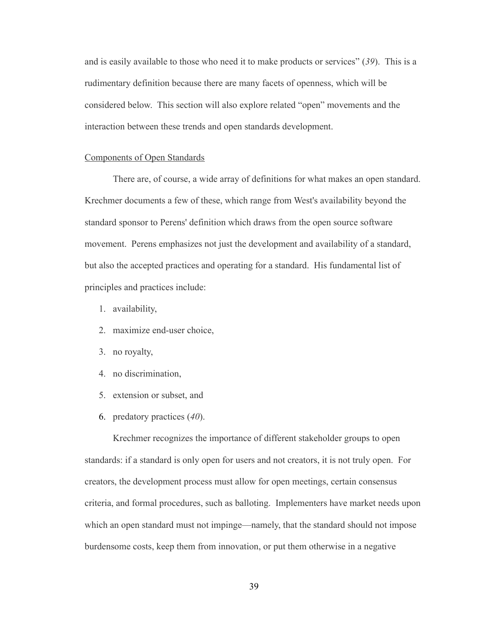and is easily available to those who need it to make products or services" (*39*). This is a rudimentary definition because there are many facets of openness, which will be considered below. This section will also explore related "open" movements and the interaction between these trends and open standards development.

## Components of Open Standards

There are, of course, a wide array of definitions for what makes an open standard. Krechmer documents a few of these, which range from West's availability beyond the standard sponsor to Perens' definition which draws from the open source software movement. Perens emphasizes not just the development and availability of a standard, but also the accepted practices and operating for a standard. His fundamental list of principles and practices include:

- 1. availability,
- 2. maximize end-user choice,
- 3. no royalty,
- 4. no discrimination,
- 5. extension or subset, and
- 6. predatory practices (*40*).

Krechmer recognizes the importance of different stakeholder groups to open standards: if a standard is only open for users and not creators, it is not truly open. For creators, the development process must allow for open meetings, certain consensus criteria, and formal procedures, such as balloting. Implementers have market needs upon which an open standard must not impinge—namely, that the standard should not impose burdensome costs, keep them from innovation, or put them otherwise in a negative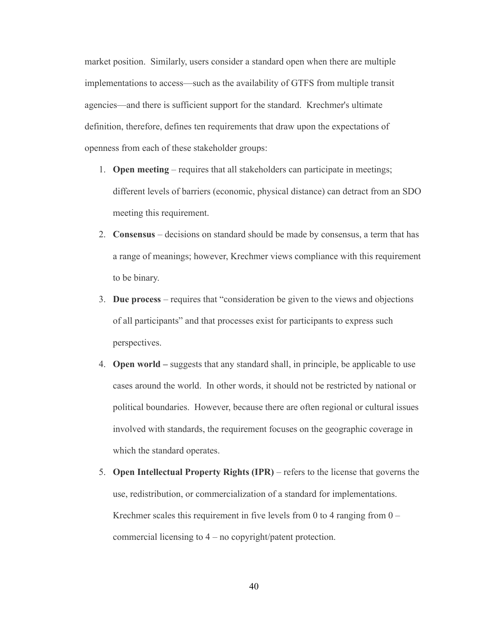market position. Similarly, users consider a standard open when there are multiple implementations to access—such as the availability of GTFS from multiple transit agencies—and there is sufficient support for the standard. Krechmer's ultimate definition, therefore, defines ten requirements that draw upon the expectations of openness from each of these stakeholder groups:

- 1. **Open meeting** requires that all stakeholders can participate in meetings; different levels of barriers (economic, physical distance) can detract from an SDO meeting this requirement.
- 2. **Consensus**  decisions on standard should be made by consensus, a term that has a range of meanings; however, Krechmer views compliance with this requirement to be binary.
- 3. **Due process** requires that "consideration be given to the views and objections of all participants" and that processes exist for participants to express such perspectives.
- 4. **Open world** suggests that any standard shall, in principle, be applicable to use cases around the world. In other words, it should not be restricted by national or political boundaries. However, because there are often regional or cultural issues involved with standards, the requirement focuses on the geographic coverage in which the standard operates.
- 5. **Open Intellectual Property Rights (IPR)** refers to the license that governs the use, redistribution, or commercialization of a standard for implementations. Krechmer scales this requirement in five levels from 0 to 4 ranging from  $0$ commercial licensing to 4 – no copyright/patent protection.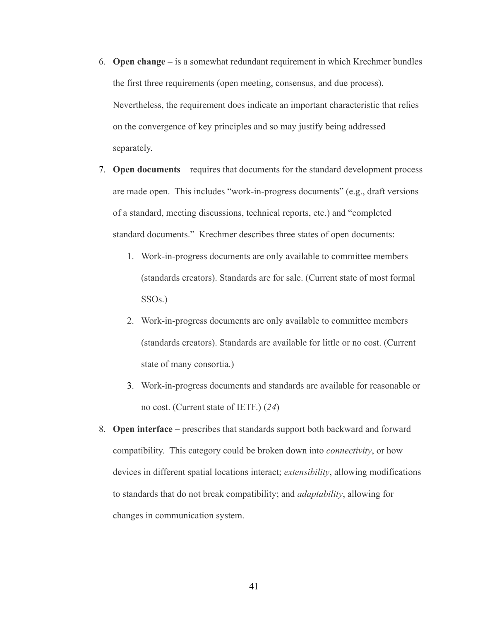- 6. **Open change –** is a somewhat redundant requirement in which Krechmer bundles the first three requirements (open meeting, consensus, and due process). Nevertheless, the requirement does indicate an important characteristic that relies on the convergence of key principles and so may justify being addressed separately.
- 7. **Open documents** requires that documents for the standard development process are made open. This includes "work-in-progress documents" (e.g., draft versions of a standard, meeting discussions, technical reports, etc.) and "completed standard documents." Krechmer describes three states of open documents:
	- 1. Work-in-progress documents are only available to committee members (standards creators). Standards are for sale. (Current state of most formal SSOs.)
	- 2. Work-in-progress documents are only available to committee members (standards creators). Standards are available for little or no cost. (Current state of many consortia.)
	- 3. Work-in-progress documents and standards are available for reasonable or no cost. (Current state of IETF.) (*24*)
- 8. **Open interface –** prescribes that standards support both backward and forward compatibility. This category could be broken down into *connectivity*, or how devices in different spatial locations interact; *extensibility*, allowing modifications to standards that do not break compatibility; and *adaptability*, allowing for changes in communication system.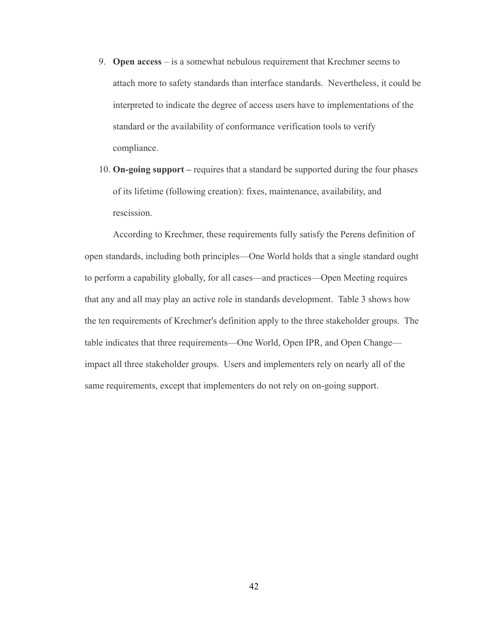- 9. **Open access** is a somewhat nebulous requirement that Krechmer seems to attach more to safety standards than interface standards. Nevertheless, it could be interpreted to indicate the degree of access users have to implementations of the standard or the availability of conformance verification tools to verify compliance.
- 10. **On-going support –** requires that a standard be supported during the four phases of its lifetime (following creation): fixes, maintenance, availability, and rescission.

According to Krechmer, these requirements fully satisfy the Perens definition of open standards, including both principles—One World holds that a single standard ought to perform a capability globally, for all cases—and practices—Open Meeting requires that any and all may play an active role in standards development. [Table 3](#page-53-0) shows how the ten requirements of Krechmer's definition apply to the three stakeholder groups. The table indicates that three requirements—One World, Open IPR, and Open Change impact all three stakeholder groups. Users and implementers rely on nearly all of the same requirements, except that implementers do not rely on on-going support.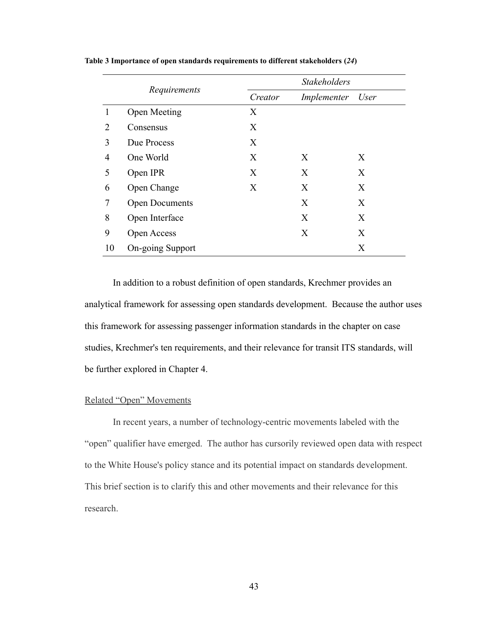<span id="page-53-0"></span>

|                |                       | <b>Stakeholders</b> |             |      |
|----------------|-----------------------|---------------------|-------------|------|
|                | Requirements          | Creator             | Implementer | User |
|                | <b>Open Meeting</b>   | X                   |             |      |
| $\overline{2}$ | Consensus             | X                   |             |      |
| 3              | Due Process           | X                   |             |      |
| 4              | One World             | X                   | X           | X    |
| 5              | Open IPR              | X                   | X           | X    |
| 6              | Open Change           | X                   | X           | X    |
| 7              | <b>Open Documents</b> |                     | X           | X    |
| 8              | Open Interface        |                     | X           | X    |
| 9              | Open Access           |                     | X           | X    |
| 10             | On-going Support      |                     |             | X    |

**Table 3 Importance of open standards requirements to different stakeholders (***24***)**

In addition to a robust definition of open standards, Krechmer provides an analytical framework for assessing open standards development. Because the author uses this framework for assessing passenger information standards in the chapter on case studies, Krechmer's ten requirements, and their relevance for transit ITS standards, will be further explored in Chapter 4.

## Related "Open" Movements

In recent years, a number of technology-centric movements labeled with the "open" qualifier have emerged. The author has cursorily reviewed open data with respect to the White House's policy stance and its potential impact on standards development. This brief section is to clarify this and other movements and their relevance for this research.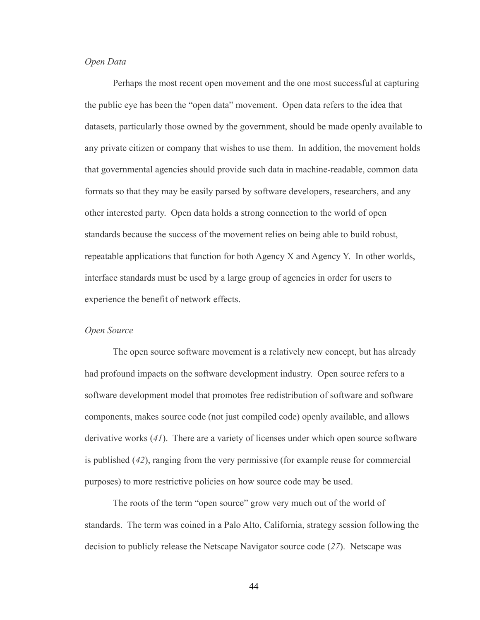## *Open Data*

Perhaps the most recent open movement and the one most successful at capturing the public eye has been the "open data" movement. Open data refers to the idea that datasets, particularly those owned by the government, should be made openly available to any private citizen or company that wishes to use them. In addition, the movement holds that governmental agencies should provide such data in machine-readable, common data formats so that they may be easily parsed by software developers, researchers, and any other interested party. Open data holds a strong connection to the world of open standards because the success of the movement relies on being able to build robust, repeatable applications that function for both Agency X and Agency Y. In other worlds, interface standards must be used by a large group of agencies in order for users to experience the benefit of network effects.

## *Open Source*

The open source software movement is a relatively new concept, but has already had profound impacts on the software development industry. Open source refers to a software development model that promotes free redistribution of software and software components, makes source code (not just compiled code) openly available, and allows derivative works (*41*). There are a variety of licenses under which open source software is published (*42*), ranging from the very permissive (for example reuse for commercial purposes) to more restrictive policies on how source code may be used.

The roots of the term "open source" grow very much out of the world of standards. The term was coined in a Palo Alto, California, strategy session following the decision to publicly release the Netscape Navigator source code (*27*). Netscape was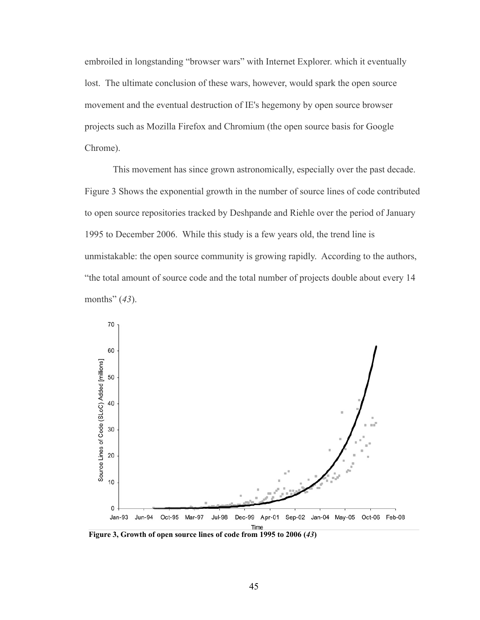embroiled in longstanding "browser wars" with Internet Explorer. which it eventually lost. The ultimate conclusion of these wars, however, would spark the open source movement and the eventual destruction of IE's hegemony by open source browser projects such as Mozilla Firefox and Chromium (the open source basis for Google Chrome).

This movement has since grown astronomically, especially over the past decade[.](#page-55-0) [Figure 3](#page-55-0) Shows the exponential growth in the number of source lines of code contributed to open source repositories tracked by Deshpande and Riehle over the period of January 1995 to December 2006. While this study is a few years old, the trend line is unmistakable: the open source community is growing rapidly. According to the authors, "the total amount of source code and the total number of projects double about every 14 months" (*43*).



<span id="page-55-0"></span>**Figure 3, Growth of open source lines of code from 1995 to 2006 (***43***)**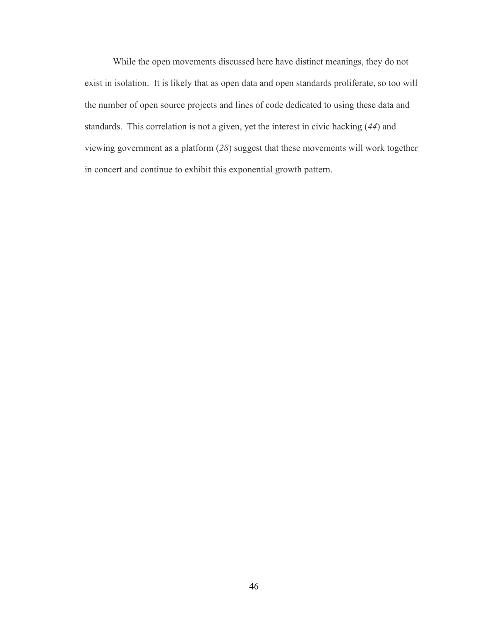While the open movements discussed here have distinct meanings, they do not exist in isolation. It is likely that as open data and open standards proliferate, so too will the number of open source projects and lines of code dedicated to using these data and standards. This correlation is not a given, yet the interest in civic hacking (*44*) and viewing government as a platform (*28*) suggest that these movements will work together in concert and continue to exhibit this exponential growth pattern.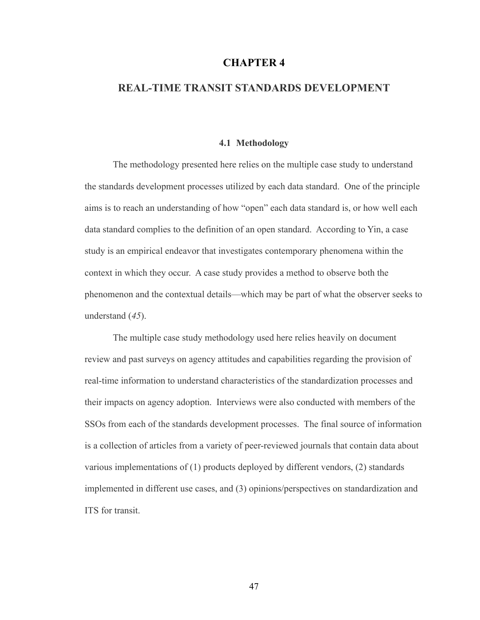# **CHAPTER 4**

# **REAL-TIME TRANSIT STANDARDS DEVELOPMENT**

#### **4.1 Methodology**

The methodology presented here relies on the multiple case study to understand the standards development processes utilized by each data standard. One of the principle aims is to reach an understanding of how "open" each data standard is, or how well each data standard complies to the definition of an open standard. According to Yin, a case study is an empirical endeavor that investigates contemporary phenomena within the context in which they occur. A case study provides a method to observe both the phenomenon and the contextual details—which may be part of what the observer seeks to understand (*45*).

The multiple case study methodology used here relies heavily on document review and past surveys on agency attitudes and capabilities regarding the provision of real-time information to understand characteristics of the standardization processes and their impacts on agency adoption. Interviews were also conducted with members of the SSOs from each of the standards development processes. The final source of information is a collection of articles from a variety of peer-reviewed journals that contain data about various implementations of (1) products deployed by different vendors, (2) standards implemented in different use cases, and (3) opinions/perspectives on standardization and ITS for transit.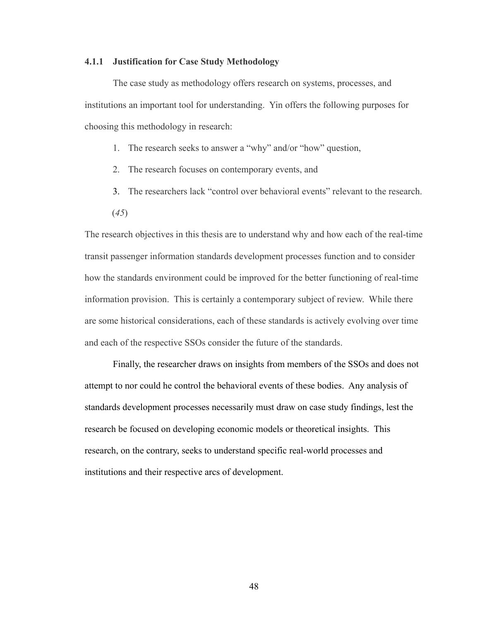#### **4.1.1 Justification for Case Study Methodology**

The case study as methodology offers research on systems, processes, and institutions an important tool for understanding. Yin offers the following purposes for choosing this methodology in research:

- 1. The research seeks to answer a "why" and/or "how" question,
- 2. The research focuses on contemporary events, and
- 3. The researchers lack "control over behavioral events" relevant to the research.
- (*45*)

The research objectives in this thesis are to understand why and how each of the real-time transit passenger information standards development processes function and to consider how the standards environment could be improved for the better functioning of real-time information provision. This is certainly a contemporary subject of review. While there are some historical considerations, each of these standards is actively evolving over time and each of the respective SSOs consider the future of the standards.

Finally, the researcher draws on insights from members of the SSOs and does not attempt to nor could he control the behavioral events of these bodies. Any analysis of standards development processes necessarily must draw on case study findings, lest the research be focused on developing economic models or theoretical insights. This research, on the contrary, seeks to understand specific real-world processes and institutions and their respective arcs of development.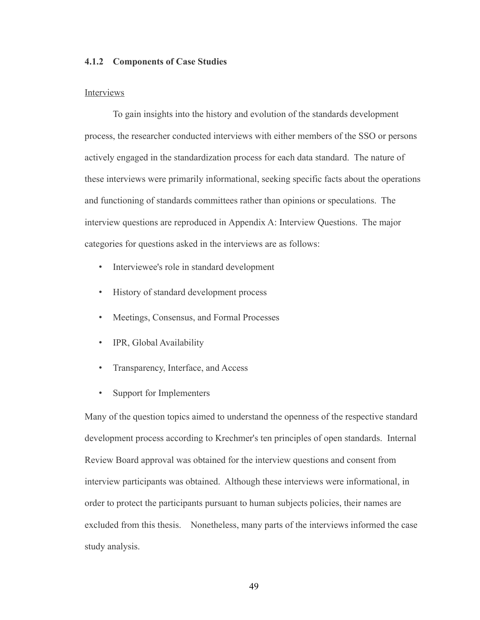## **4.1.2 Components of Case Studies**

#### Interviews

To gain insights into the history and evolution of the standards development process, the researcher conducted interviews with either members of the SSO or persons actively engaged in the standardization process for each data standard. The nature of these interviews were primarily informational, seeking specific facts about the operations and functioning of standards committees rather than opinions or speculations. The interview questions are reproduced in Appendix A: Interview Questions. The major categories for questions asked in the interviews are as follows:

- Interviewee's role in standard development
- History of standard development process
- Meetings, Consensus, and Formal Processes
- IPR, Global Availability
- Transparency, Interface, and Access
- Support for Implementers

Many of the question topics aimed to understand the openness of the respective standard development process according to Krechmer's ten principles of open standards. Internal Review Board approval was obtained for the interview questions and consent from interview participants was obtained. Although these interviews were informational, in order to protect the participants pursuant to human subjects policies, their names are excluded from this thesis. Nonetheless, many parts of the interviews informed the case study analysis.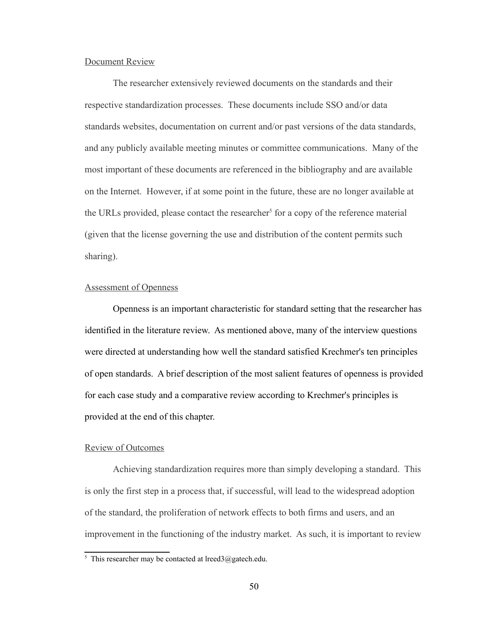#### Document Review

The researcher extensively reviewed documents on the standards and their respective standardization processes. These documents include SSO and/or data standards websites, documentation on current and/or past versions of the data standards, and any publicly available meeting minutes or committee communications. Many of the most important of these documents are referenced in the bibliography and are available on the Internet. However, if at some point in the future, these are no longer available at the URLs provided, please contact the researcher<sup>[5](#page-60-0)</sup> for a copy of the reference material (given that the license governing the use and distribution of the content permits such sharing).

## Assessment of Openness

Openness is an important characteristic for standard setting that the researcher has identified in the literature review. As mentioned above, many of the interview questions were directed at understanding how well the standard satisfied Krechmer's ten principles of open standards. A brief description of the most salient features of openness is provided for each case study and a comparative review according to Krechmer's principles is provided at the end of this chapter.

# Review of Outcomes

Achieving standardization requires more than simply developing a standard. This is only the first step in a process that, if successful, will lead to the widespread adoption of the standard, the proliferation of network effects to both firms and users, and an improvement in the functioning of the industry market. As such, it is important to review

<span id="page-60-0"></span><sup>&</sup>lt;sup>5</sup> This researcher may be contacted at lreed3@gatech.edu.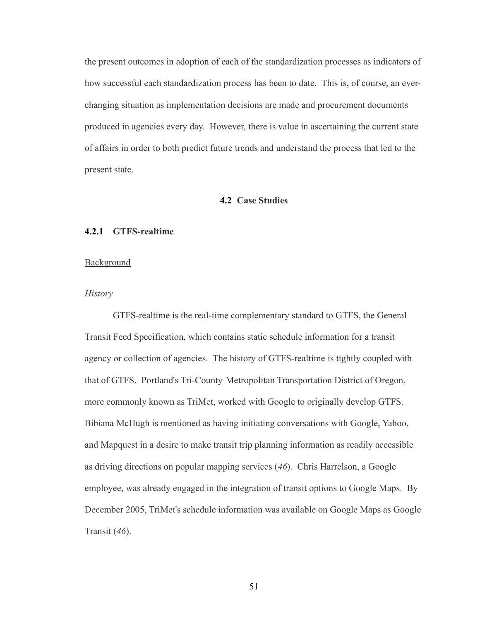the present outcomes in adoption of each of the standardization processes as indicators of how successful each standardization process has been to date. This is, of course, an everchanging situation as implementation decisions are made and procurement documents produced in agencies every day. However, there is value in ascertaining the current state of affairs in order to both predict future trends and understand the process that led to the present state.

#### **4.2 Case Studies**

### **4.2.1 GTFS-realtime**

### **Background**

## *History*

GTFS-realtime is the real-time complementary standard to GTFS, the General Transit Feed Specification, which contains static schedule information for a transit agency or collection of agencies. The history of GTFS-realtime is tightly coupled with that of GTFS. Portland's Tri-County Metropolitan Transportation District of Oregon, more commonly known as TriMet, worked with Google to originally develop GTFS. Bibiana McHugh is mentioned as having initiating conversations with Google, Yahoo, and Mapquest in a desire to make transit trip planning information as readily accessible as driving directions on popular mapping services (*46*). Chris Harrelson, a Google employee, was already engaged in the integration of transit options to Google Maps. By December 2005, TriMet's schedule information was available on Google Maps as Google Transit (*46*).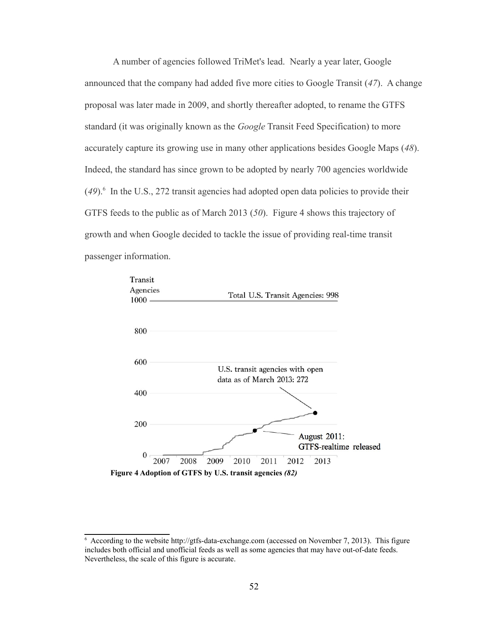A number of agencies followed TriMet's lead. Nearly a year later, Google announced that the company had added five more cities to Google Transit (*47*). A change proposal was later made in 2009, and shortly thereafter adopted, to rename the GTFS standard (it was originally known as the *Google* Transit Feed Specification) to more accurately capture its growing use in many other applications besides Google Maps (*48*). Indeed, the standard has since grown to be adopted by nearly 700 agencies worldwide (*49*). [6](#page-62-1) In the U.S., 272 transit agencies had adopted open data policies to provide their GTFS feeds to the public as of March 2013 (*50*). [Figure 4](#page-62-0) shows this trajectory of growth and when Google decided to tackle the issue of providing real-time transit passenger information.



<span id="page-62-1"></span><span id="page-62-0"></span><sup>6</sup> According to the website [http://gtfs-data-exchange.com](http://gtfs-data-exchange.com/) (accessed on November 7, 2013). This figure includes both official and unofficial feeds as well as some agencies that may have out-of-date feeds. Nevertheless, the scale of this figure is accurate.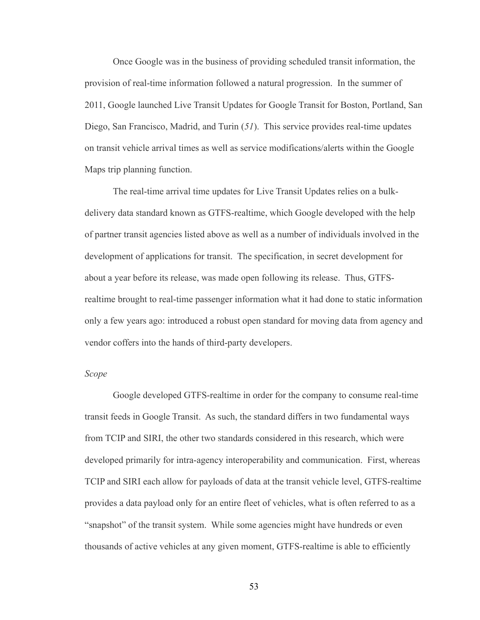Once Google was in the business of providing scheduled transit information, the provision of real-time information followed a natural progression. In the summer of 2011, Google launched Live Transit Updates for Google Transit for Boston, Portland, San Diego, San Francisco, Madrid, and Turin (*51*). This service provides real-time updates on transit vehicle arrival times as well as service modifications/alerts within the Google Maps trip planning function.

The real-time arrival time updates for Live Transit Updates relies on a bulkdelivery data standard known as GTFS-realtime, which Google developed with the help of partner transit agencies listed above as well as a number of individuals involved in the development of applications for transit. The specification, in secret development for about a year before its release, was made open following its release. Thus, GTFSrealtime brought to real-time passenger information what it had done to static information only a few years ago: introduced a robust open standard for moving data from agency and vendor coffers into the hands of third-party developers.

#### *Scope*

Google developed GTFS-realtime in order for the company to consume real-time transit feeds in Google Transit. As such, the standard differs in two fundamental ways from TCIP and SIRI, the other two standards considered in this research, which were developed primarily for intra-agency interoperability and communication. First, whereas TCIP and SIRI each allow for payloads of data at the transit vehicle level, GTFS-realtime provides a data payload only for an entire fleet of vehicles, what is often referred to as a "snapshot" of the transit system. While some agencies might have hundreds or even thousands of active vehicles at any given moment, GTFS-realtime is able to efficiently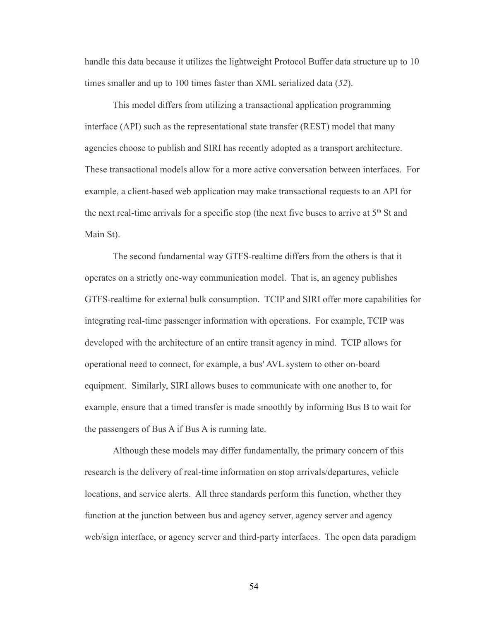handle this data because it utilizes the lightweight Protocol Buffer data structure up to 10 times smaller and up to 100 times faster than XML serialized data (*52*).

This model differs from utilizing a transactional application programming interface (API) such as the representational state transfer (REST) model that many agencies choose to publish and SIRI has recently adopted as a transport architecture. These transactional models allow for a more active conversation between interfaces. For example, a client-based web application may make transactional requests to an API for the next real-time arrivals for a specific stop (the next five buses to arrive at  $5<sup>th</sup>$  St and Main St).

The second fundamental way GTFS-realtime differs from the others is that it operates on a strictly one-way communication model. That is, an agency publishes GTFS-realtime for external bulk consumption. TCIP and SIRI offer more capabilities for integrating real-time passenger information with operations. For example, TCIP was developed with the architecture of an entire transit agency in mind. TCIP allows for operational need to connect, for example, a bus' AVL system to other on-board equipment. Similarly, SIRI allows buses to communicate with one another to, for example, ensure that a timed transfer is made smoothly by informing Bus B to wait for the passengers of Bus A if Bus A is running late.

Although these models may differ fundamentally, the primary concern of this research is the delivery of real-time information on stop arrivals/departures, vehicle locations, and service alerts. All three standards perform this function, whether they function at the junction between bus and agency server, agency server and agency web/sign interface, or agency server and third-party interfaces. The open data paradigm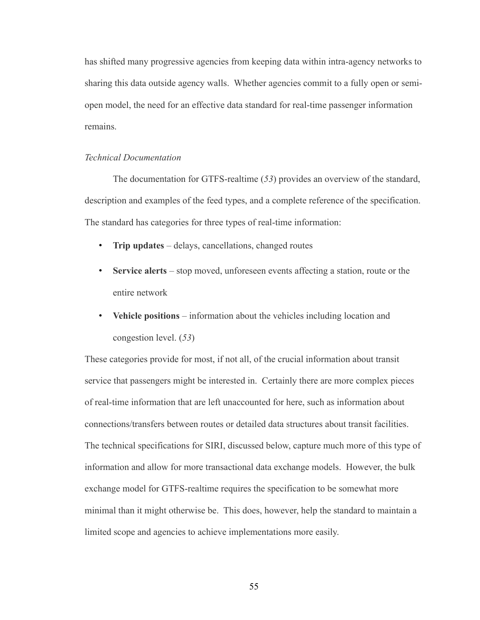has shifted many progressive agencies from keeping data within intra-agency networks to sharing this data outside agency walls. Whether agencies commit to a fully open or semiopen model, the need for an effective data standard for real-time passenger information remains.

## *Technical Documentation*

The documentation for GTFS-realtime (*53*) provides an overview of the standard, description and examples of the feed types, and a complete reference of the specification. The standard has categories for three types of real-time information:

- **Trip updates** delays, cancellations, changed routes
- **Service alerts** stop moved, unforeseen events affecting a station, route or the entire network
- **Vehicle positions** information about the vehicles including location and congestion level. (*53*)

These categories provide for most, if not all, of the crucial information about transit service that passengers might be interested in. Certainly there are more complex pieces of real-time information that are left unaccounted for here, such as information about connections/transfers between routes or detailed data structures about transit facilities. The technical specifications for SIRI, discussed below, capture much more of this type of information and allow for more transactional data exchange models. However, the bulk exchange model for GTFS-realtime requires the specification to be somewhat more minimal than it might otherwise be. This does, however, help the standard to maintain a limited scope and agencies to achieve implementations more easily.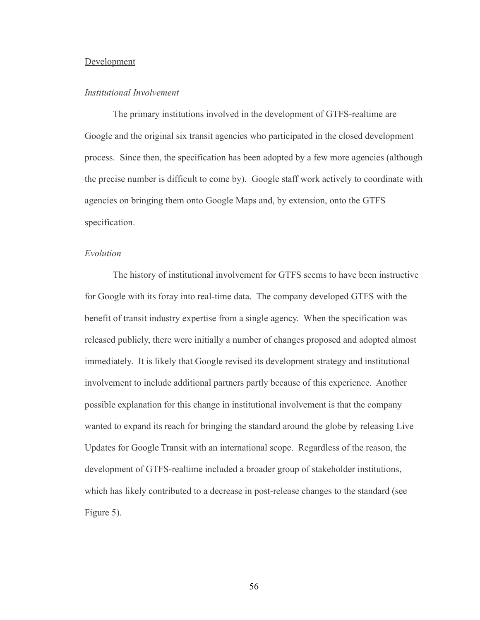## Development

### *Institutional Involvement*

The primary institutions involved in the development of GTFS-realtime are Google and the original six transit agencies who participated in the closed development process. Since then, the specification has been adopted by a few more agencies (although the precise number is difficult to come by). Google staff work actively to coordinate with agencies on bringing them onto Google Maps and, by extension, onto the GTFS specification.

### *Evolution*

The history of institutional involvement for GTFS seems to have been instructive for Google with its foray into real-time data. The company developed GTFS with the benefit of transit industry expertise from a single agency. When the specification was released publicly, there were initially a number of changes proposed and adopted almost immediately. It is likely that Google revised its development strategy and institutional involvement to include additional partners partly because of this experience. Another possible explanation for this change in institutional involvement is that the company wanted to expand its reach for bringing the standard around the globe by releasing Live Updates for Google Transit with an international scope. Regardless of the reason, the development of GTFS-realtime included a broader group of stakeholder institutions, which has likely contributed to a decrease in post-release changes to the standard (se[e](#page-67-0) [Figure 5\)](#page-67-0).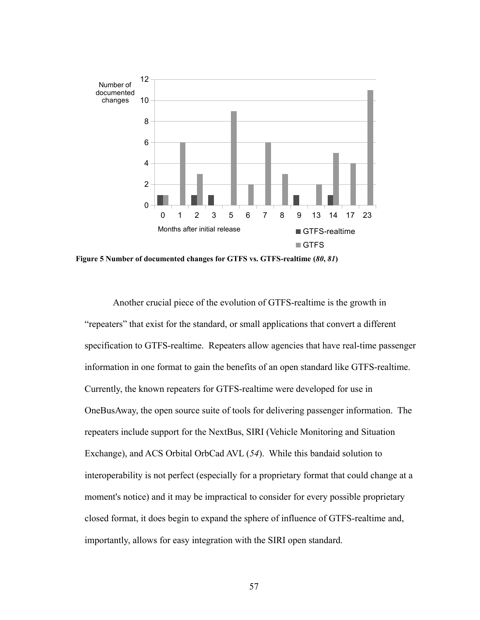

<span id="page-67-0"></span>**Figure 5 Number of documented changes for GTFS vs. GTFS-realtime (***80***,** *81***)**

Another crucial piece of the evolution of GTFS-realtime is the growth in "repeaters" that exist for the standard, or small applications that convert a different specification to GTFS-realtime. Repeaters allow agencies that have real-time passenger information in one format to gain the benefits of an open standard like GTFS-realtime. Currently, the known repeaters for GTFS-realtime were developed for use in OneBusAway, the open source suite of tools for delivering passenger information. The repeaters include support for the NextBus, SIRI (Vehicle Monitoring and Situation Exchange), and ACS Orbital OrbCad AVL (*54*). While this bandaid solution to interoperability is not perfect (especially for a proprietary format that could change at a moment's notice) and it may be impractical to consider for every possible proprietary closed format, it does begin to expand the sphere of influence of GTFS-realtime and, importantly, allows for easy integration with the SIRI open standard.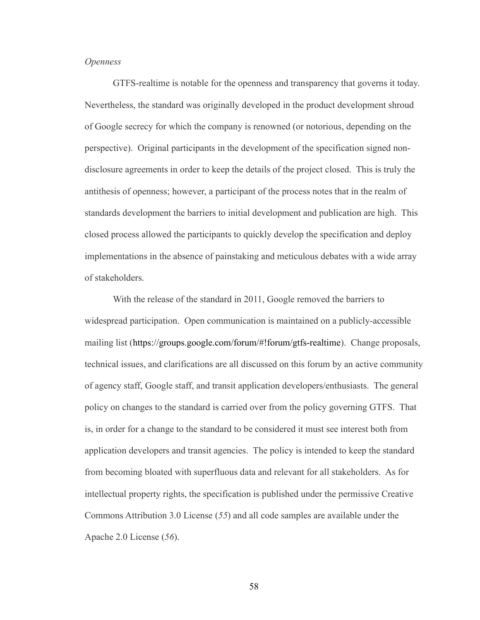# *Openness*

GTFS-realtime is notable for the openness and transparency that governs it today. Nevertheless, the standard was originally developed in the product development shroud of Google secrecy for which the company is renowned (or notorious, depending on the perspective). Original participants in the development of the specification signed nondisclosure agreements in order to keep the details of the project closed. This is truly the antithesis of openness; however, a participant of the process notes that in the realm of standards development the barriers to initial development and publication are high. This closed process allowed the participants to quickly develop the specification and deploy implementations in the absence of painstaking and meticulous debates with a wide array of stakeholders.

With the release of the standard in 2011, Google removed the barriers to widespread participation. Open communication is maintained on a publicly-accessible mailing list [\(https://groups.google.com/forum/#!forum/gtfs-realtime\)](https://groups.google.com/forum/#!forum/gtfs-realtime). Change proposals, technical issues, and clarifications are all discussed on this forum by an active community of agency staff, Google staff, and transit application developers/enthusiasts. The general policy on changes to the standard is carried over from the policy governing GTFS. That is, in order for a change to the standard to be considered it must see interest both from application developers and transit agencies. The policy is intended to keep the standard from becoming bloated with superfluous data and relevant for all stakeholders. As for intellectual property rights, the specification is published under the permissive Creative Commons Attribution 3.0 License (*55*) and all code samples are available under the Apache 2.0 License (*56*).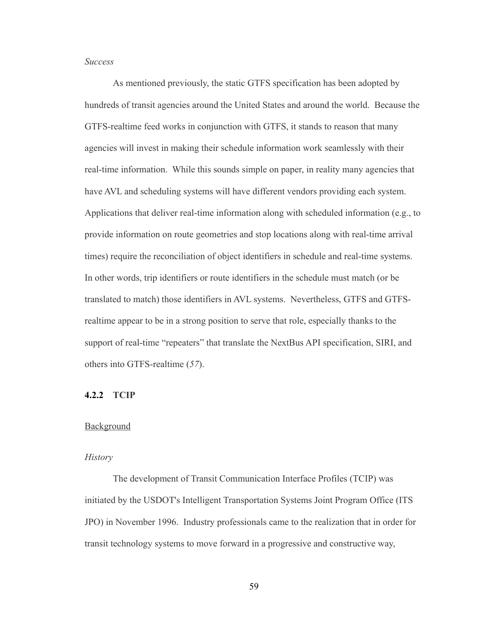## *Success*

As mentioned previously, the static GTFS specification has been adopted by hundreds of transit agencies around the United States and around the world. Because the GTFS-realtime feed works in conjunction with GTFS, it stands to reason that many agencies will invest in making their schedule information work seamlessly with their real-time information. While this sounds simple on paper, in reality many agencies that have AVL and scheduling systems will have different vendors providing each system. Applications that deliver real-time information along with scheduled information (e.g., to provide information on route geometries and stop locations along with real-time arrival times) require the reconciliation of object identifiers in schedule and real-time systems. In other words, trip identifiers or route identifiers in the schedule must match (or be translated to match) those identifiers in AVL systems. Nevertheless, GTFS and GTFSrealtime appear to be in a strong position to serve that role, especially thanks to the support of real-time "repeaters" that translate the NextBus API specification, SIRI, and others into GTFS-realtime (*57*).

# **4.2.2 TCIP**

## **Background**

#### *History*

The development of Transit Communication Interface Profiles (TCIP) was initiated by the USDOT's Intelligent Transportation Systems Joint Program Office (ITS JPO) in November 1996. Industry professionals came to the realization that in order for transit technology systems to move forward in a progressive and constructive way,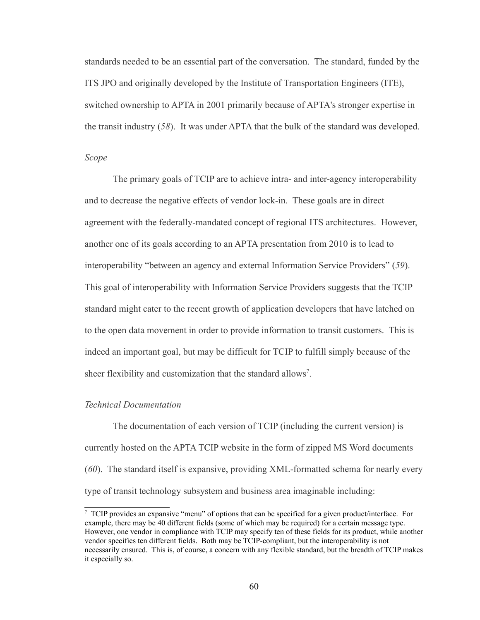standards needed to be an essential part of the conversation. The standard, funded by the ITS JPO and originally developed by the Institute of Transportation Engineers (ITE), switched ownership to APTA in 2001 primarily because of APTA's stronger expertise in the transit industry (*58*). It was under APTA that the bulk of the standard was developed.

# *Scope*

The primary goals of TCIP are to achieve intra- and inter-agency interoperability and to decrease the negative effects of vendor lock-in. These goals are in direct agreement with the federally-mandated concept of regional ITS architectures. However, another one of its goals according to an APTA presentation from 2010 is to lead to interoperability "between an agency and external Information Service Providers" (*59*). This goal of interoperability with Information Service Providers suggests that the TCIP standard might cater to the recent growth of application developers that have latched on to the open data movement in order to provide information to transit customers. This is indeed an important goal, but may be difficult for TCIP to fulfill simply because of the sheer flexibility and customization that the standard allows<sup>[7](#page-70-0)</sup>.

## *Technical Documentation*

The documentation of each version of TCIP (including the current version) is currently hosted on the APTA TCIP website in the form of zipped MS Word documents (*60*). The standard itself is expansive, providing XML-formatted schema for nearly every type of transit technology subsystem and business area imaginable including:

<span id="page-70-0"></span><sup>7</sup> TCIP provides an expansive "menu" of options that can be specified for a given product/interface. For example, there may be 40 different fields (some of which may be required) for a certain message type. However, one vendor in compliance with TCIP may specify ten of these fields for its product, while another vendor specifies ten different fields. Both may be TCIP-compliant, but the interoperability is not necessarily ensured. This is, of course, a concern with any flexible standard, but the breadth of TCIP makes it especially so.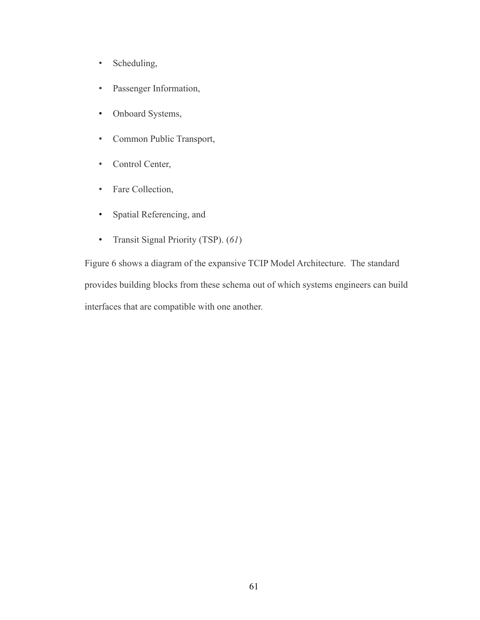- Scheduling,
- Passenger Information,
- Onboard Systems,
- Common Public Transport,
- Control Center,
- Fare Collection,
- Spatial Referencing, and
- Transit Signal Priority (TSP). (*61*)

[Figure 6](#page-72-0) shows a diagram of the expansive TCIP Model Architecture. The standard provides building blocks from these schema out of which systems engineers can build interfaces that are compatible with one another.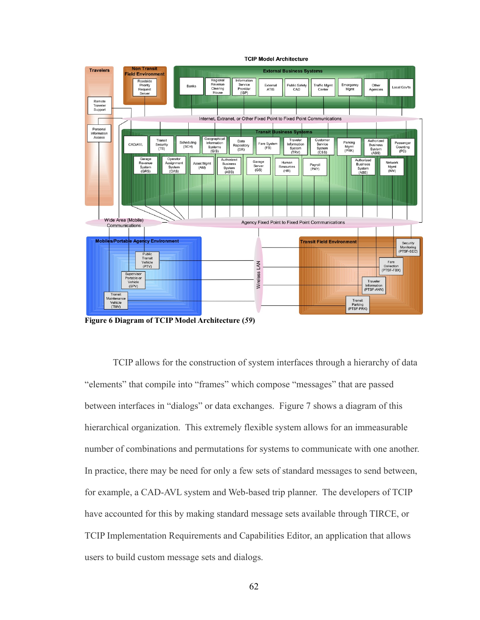

**TCIP Model Architecture** 

**Figure 6 Diagram of TCIP Model Architecture (***59***)**

TCIP allows for the construction of system interfaces through a hierarchy of data "elements" that compile into "frames" which compose "messages" that are passed between interfaces in "dialogs" or data exchanges. [Figure 7](#page-73-0) shows a diagram of this hierarchical organization. This extremely flexible system allows for an immeasurable number of combinations and permutations for systems to communicate with one another. In practice, there may be need for only a few sets of standard messages to send between, for example, a CAD-AVL system and Web-based trip planner. The developers of TCIP have accounted for this by making standard message sets available through TIRCE, or TCIP Implementation Requirements and Capabilities Editor, an application that allows users to build custom message sets and dialogs.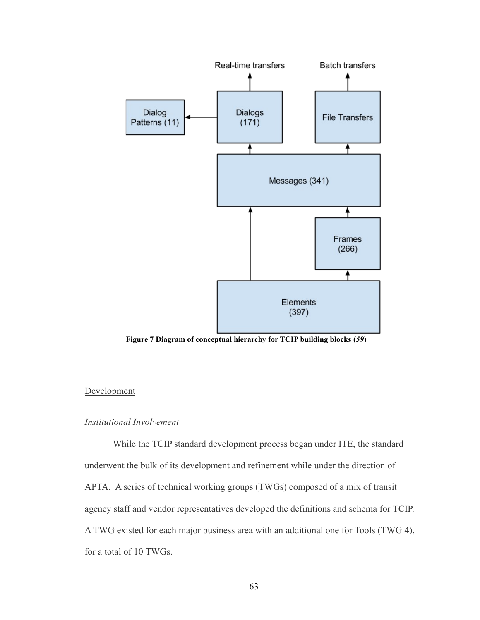

<span id="page-73-0"></span>**Figure 7 Diagram of conceptual hierarchy for TCIP building blocks (***59***)**

### **Development**

## *Institutional Involvement*

While the TCIP standard development process began under ITE, the standard underwent the bulk of its development and refinement while under the direction of APTA. A series of technical working groups (TWGs) composed of a mix of transit agency staff and vendor representatives developed the definitions and schema for TCIP. A TWG existed for each major business area with an additional one for Tools (TWG 4), for a total of 10 TWGs.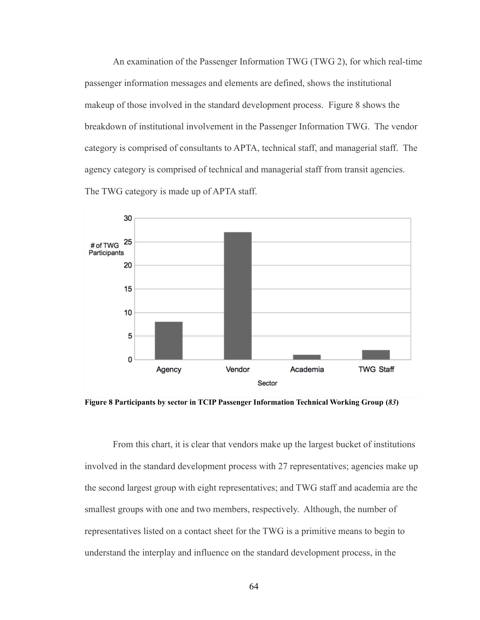An examination of the Passenger Information TWG (TWG 2), for which real-time passenger information messages and elements are defined, shows the institutional makeup of those involved in the standard development process. [Figure 8](#page-74-0) shows the breakdown of institutional involvement in the Passenger Information TWG. The vendor category is comprised of consultants to APTA, technical staff, and managerial staff. The agency category is comprised of technical and managerial staff from transit agencies. The TWG category is made up of APTA staff.



<span id="page-74-0"></span>**Figure 8 Participants by sector in TCIP Passenger Information Technical Working Group (***83***)**

From this chart, it is clear that vendors make up the largest bucket of institutions involved in the standard development process with 27 representatives; agencies make up the second largest group with eight representatives; and TWG staff and academia are the smallest groups with one and two members, respectively. Although, the number of representatives listed on a contact sheet for the TWG is a primitive means to begin to understand the interplay and influence on the standard development process, in the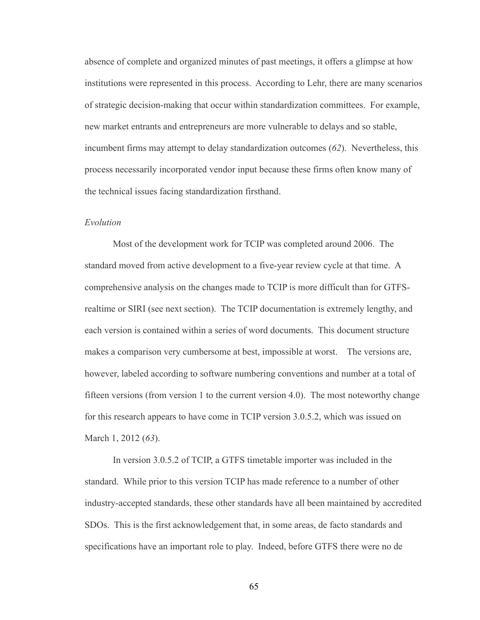absence of complete and organized minutes of past meetings, it offers a glimpse at how institutions were represented in this process. According to Lehr, there are many scenarios of strategic decision-making that occur within standardization committees. For example, new market entrants and entrepreneurs are more vulnerable to delays and so stable, incumbent firms may attempt to delay standardization outcomes (*62*). Nevertheless, this process necessarily incorporated vendor input because these firms often know many of the technical issues facing standardization firsthand.

#### *Evolution*

Most of the development work for TCIP was completed around 2006. The standard moved from active development to a five-year review cycle at that time. A comprehensive analysis on the changes made to TCIP is more difficult than for GTFSrealtime or SIRI (see next section). The TCIP documentation is extremely lengthy, and each version is contained within a series of word documents. This document structure makes a comparison very cumbersome at best, impossible at worst. The versions are, however, labeled according to software numbering conventions and number at a total of fifteen versions (from version 1 to the current version 4.0). The most noteworthy change for this research appears to have come in TCIP version 3.0.5.2, which was issued on March 1, 2012 (*63*).

In version 3.0.5.2 of TCIP, a GTFS timetable importer was included in the standard. While prior to this version TCIP has made reference to a number of other industry-accepted standards, these other standards have all been maintained by accredited SDOs. This is the first acknowledgement that, in some areas, de facto standards and specifications have an important role to play. Indeed, before GTFS there were no de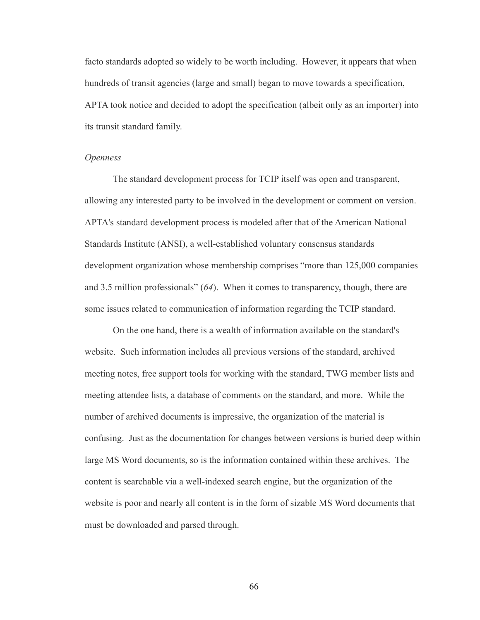facto standards adopted so widely to be worth including. However, it appears that when hundreds of transit agencies (large and small) began to move towards a specification, APTA took notice and decided to adopt the specification (albeit only as an importer) into its transit standard family.

#### *Openness*

The standard development process for TCIP itself was open and transparent, allowing any interested party to be involved in the development or comment on version. APTA's standard development process is modeled after that of the American National Standards Institute (ANSI), a well-established voluntary consensus standards development organization whose membership comprises "more than 125,000 companies and 3.5 million professionals" (*64*). When it comes to transparency, though, there are some issues related to communication of information regarding the TCIP standard.

On the one hand, there is a wealth of information available on the standard's website. Such information includes all previous versions of the standard, archived meeting notes, free support tools for working with the standard, TWG member lists and meeting attendee lists, a database of comments on the standard, and more. While the number of archived documents is impressive, the organization of the material is confusing. Just as the documentation for changes between versions is buried deep within large MS Word documents, so is the information contained within these archives. The content is searchable via a well-indexed search engine, but the organization of the website is poor and nearly all content is in the form of sizable MS Word documents that must be downloaded and parsed through.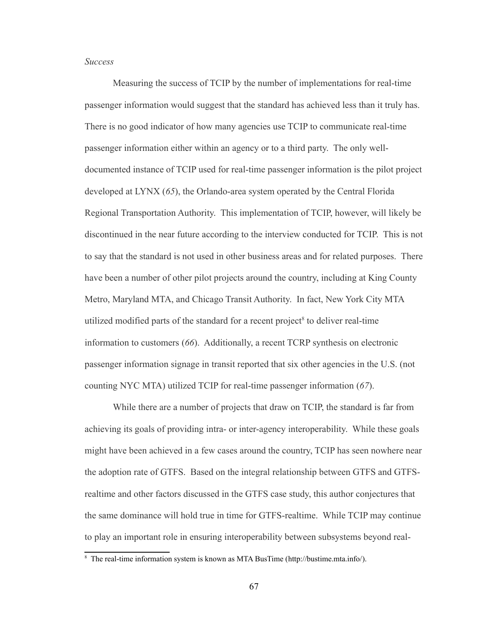#### *Success*

Measuring the success of TCIP by the number of implementations for real-time passenger information would suggest that the standard has achieved less than it truly has. There is no good indicator of how many agencies use TCIP to communicate real-time passenger information either within an agency or to a third party. The only welldocumented instance of TCIP used for real-time passenger information is the pilot project developed at LYNX (*65*), the Orlando-area system operated by the Central Florida Regional Transportation Authority. This implementation of TCIP, however, will likely be discontinued in the near future according to the interview conducted for TCIP. This is not to say that the standard is not used in other business areas and for related purposes. There have been a number of other pilot projects around the country, including at King County Metro, Maryland MTA, and Chicago Transit Authority. In fact, New York City MTA utilized modified parts of the standard for a recent project $\delta$  to deliver real-time information to customers (*66*). Additionally, a recent TCRP synthesis on electronic passenger information signage in transit reported that six other agencies in the U.S. (not counting NYC MTA) utilized TCIP for real-time passenger information (*67*).

While there are a number of projects that draw on TCIP, the standard is far from achieving its goals of providing intra- or inter-agency interoperability. While these goals might have been achieved in a few cases around the country, TCIP has seen nowhere near the adoption rate of GTFS. Based on the integral relationship between GTFS and GTFSrealtime and other factors discussed in the GTFS case study, this author conjectures that the same dominance will hold true in time for GTFS-realtime. While TCIP may continue to play an important role in ensuring interoperability between subsystems beyond real-

<span id="page-77-0"></span><sup>8</sup> The real-time information system is known as MTA BusTime [\(http://bustime.mta.info/\)](http://bustime.mta.info/).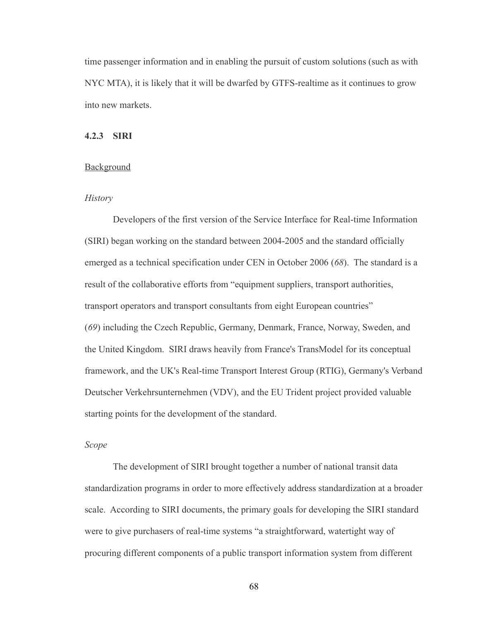time passenger information and in enabling the pursuit of custom solutions (such as with NYC MTA), it is likely that it will be dwarfed by GTFS-realtime as it continues to grow into new markets.

#### **4.2.3 SIRI**

#### Background

### *History*

Developers of the first version of the Service Interface for Real-time Information (SIRI) began working on the standard between 2004-2005 and the standard officially emerged as a technical specification under CEN in October 2006 (*68*). The standard is a result of the collaborative efforts from "equipment suppliers, transport authorities, transport operators and transport consultants from eight European countries" (*69*) including the Czech Republic, Germany, Denmark, France, Norway, Sweden, and the United Kingdom. SIRI draws heavily from France's TransModel for its conceptual framework, and the UK's Real-time Transport Interest Group (RTIG), Germany's Verband Deutscher Verkehrsunternehmen (VDV), and the EU Trident project provided valuable starting points for the development of the standard.

#### *Scope*

The development of SIRI brought together a number of national transit data standardization programs in order to more effectively address standardization at a broader scale. According to SIRI documents, the primary goals for developing the SIRI standard were to give purchasers of real-time systems "a straightforward, watertight way of procuring different components of a public transport information system from different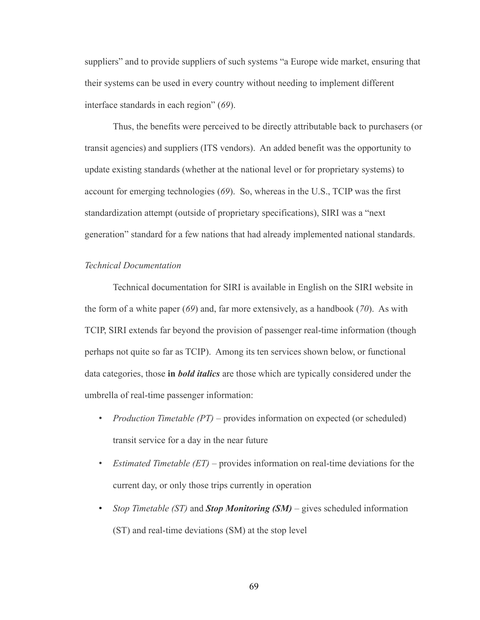suppliers" and to provide suppliers of such systems "a Europe wide market, ensuring that their systems can be used in every country without needing to implement different interface standards in each region" (*69*).

Thus, the benefits were perceived to be directly attributable back to purchasers (or transit agencies) and suppliers (ITS vendors). An added benefit was the opportunity to update existing standards (whether at the national level or for proprietary systems) to account for emerging technologies (*69*). So, whereas in the U.S., TCIP was the first standardization attempt (outside of proprietary specifications), SIRI was a "next generation" standard for a few nations that had already implemented national standards.

#### *Technical Documentation*

Technical documentation for SIRI is available in English on the SIRI website in the form of a white paper (*69*) and, far more extensively, as a handbook (*70*). As with TCIP, SIRI extends far beyond the provision of passenger real-time information (though perhaps not quite so far as TCIP). Among its ten services shown below, or functional data categories, those **in** *bold italics* are those which are typically considered under the umbrella of real-time passenger information:

- *Production Timetable (PT)* provides information on expected (or scheduled) transit service for a day in the near future
- *Estimated Timetable (ET)* provides information on real-time deviations for the current day, or only those trips currently in operation
- *Stop Timetable (ST)* and *Stop Monitoring (SM)* gives scheduled information (ST) and real-time deviations (SM) at the stop level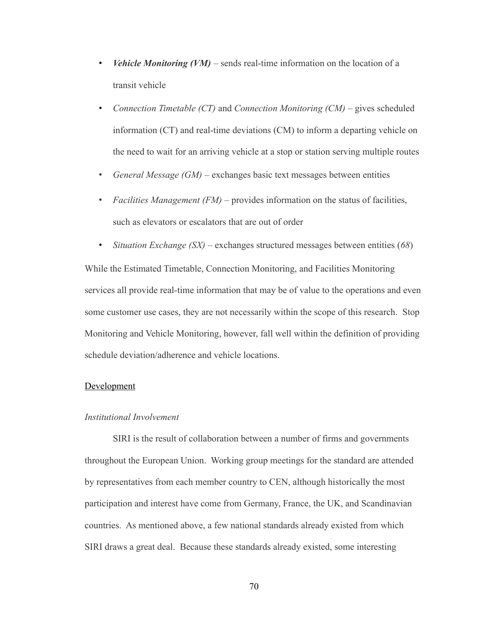- *Vehicle Monitoring (VM)* sends real-time information on the location of a transit vehicle
- *Connection Timetable (CT)* and *Connection Monitoring (CM)* gives scheduled information (CT) and real-time deviations (CM) to inform a departing vehicle on the need to wait for an arriving vehicle at a stop or station serving multiple routes
- *General Message (GM)* exchanges basic text messages between entities
- *Facilities Management (FM)* provides information on the status of facilities, such as elevators or escalators that are out of order
- *Situation Exchange (SX)* exchanges structured messages between entities (*68*) While the Estimated Timetable, Connection Monitoring, and Facilities Monitoring services all provide real-time information that may be of value to the operations and even some customer use cases, they are not necessarily within the scope of this research. Stop Monitoring and Vehicle Monitoring, however, fall well within the definition of providing schedule deviation/adherence and vehicle locations.

#### **Development**

### *Institutional Involvement*

SIRI is the result of collaboration between a number of firms and governments throughout the European Union. Working group meetings for the standard are attended by representatives from each member country to CEN, although historically the most participation and interest have come from Germany, France, the UK, and Scandinavian countries. As mentioned above, a few national standards already existed from which SIRI draws a great deal. Because these standards already existed, some interesting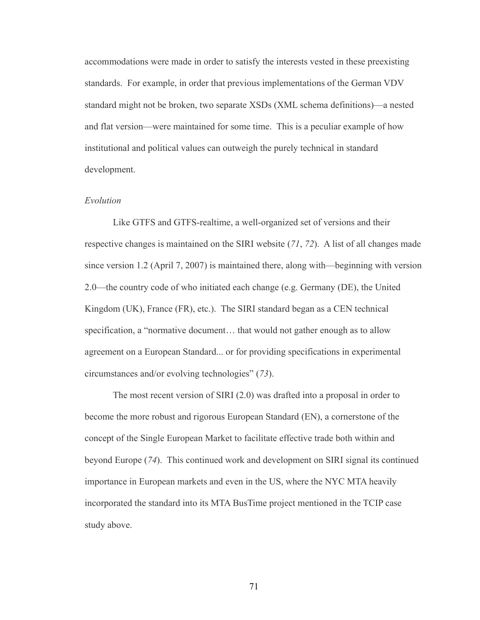accommodations were made in order to satisfy the interests vested in these preexisting standards. For example, in order that previous implementations of the German VDV standard might not be broken, two separate XSDs (XML schema definitions)—a nested and flat version—were maintained for some time. This is a peculiar example of how institutional and political values can outweigh the purely technical in standard development.

#### *Evolution*

Like GTFS and GTFS-realtime, a well-organized set of versions and their respective changes is maintained on the SIRI website (*71*, *72*). A list of all changes made since version 1.2 (April 7, 2007) is maintained there, along with—beginning with version 2.0—the country code of who initiated each change (e.g. Germany (DE), the United Kingdom (UK), France (FR), etc.). The SIRI standard began as a CEN technical specification, a "normative document… that would not gather enough as to allow agreement on a European Standard... or for providing specifications in experimental circumstances and/or evolving technologies" (*73*).

The most recent version of SIRI (2.0) was drafted into a proposal in order to become the more robust and rigorous European Standard (EN), a cornerstone of the concept of the Single European Market to facilitate effective trade both within and beyond Europe (*74*). This continued work and development on SIRI signal its continued importance in European markets and even in the US, where the NYC MTA heavily incorporated the standard into its MTA BusTime project mentioned in the TCIP case study above.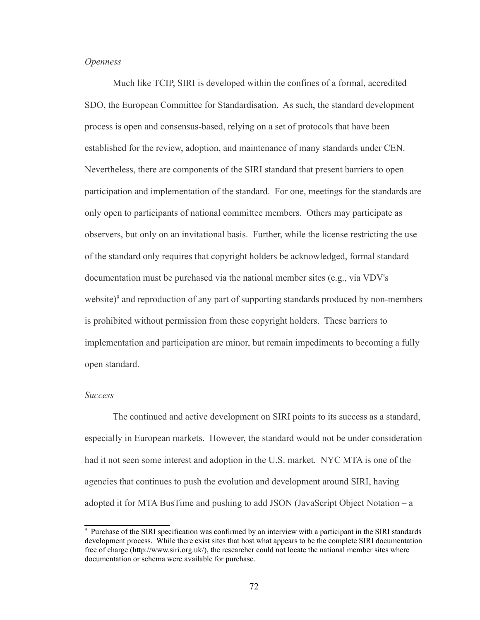#### *Openness*

Much like TCIP, SIRI is developed within the confines of a formal, accredited SDO, the European Committee for Standardisation. As such, the standard development process is open and consensus-based, relying on a set of protocols that have been established for the review, adoption, and maintenance of many standards under CEN. Nevertheless, there are components of the SIRI standard that present barriers to open participation and implementation of the standard. For one, meetings for the standards are only open to participants of national committee members. Others may participate as observers, but only on an invitational basis. Further, while the license restricting the use of the standard only requires that copyright holders be acknowledged, formal standard documentation must be purchased via the national member sites (e.g., via VDV's website) $\degree$  and reproduction of any part of supporting standards produced by non-members is prohibited without permission from these copyright holders. These barriers to implementation and participation are minor, but remain impediments to becoming a fully open standard.

#### *Success*

The continued and active development on SIRI points to its success as a standard, especially in European markets. However, the standard would not be under consideration had it not seen some interest and adoption in the U.S. market. NYC MTA is one of the agencies that continues to push the evolution and development around SIRI, having adopted it for MTA BusTime and pushing to add JSON (JavaScript Object Notation – a

<span id="page-82-0"></span><sup>9</sup> Purchase of the SIRI specification was confirmed by an interview with a participant in the SIRI standards development process. While there exist sites that host what appears to be the complete SIRI documentation free of charge [\(http://www.siri.org.uk/\)](http://www.siri.org.uk/), the researcher could not locate the national member sites where documentation or schema were available for purchase.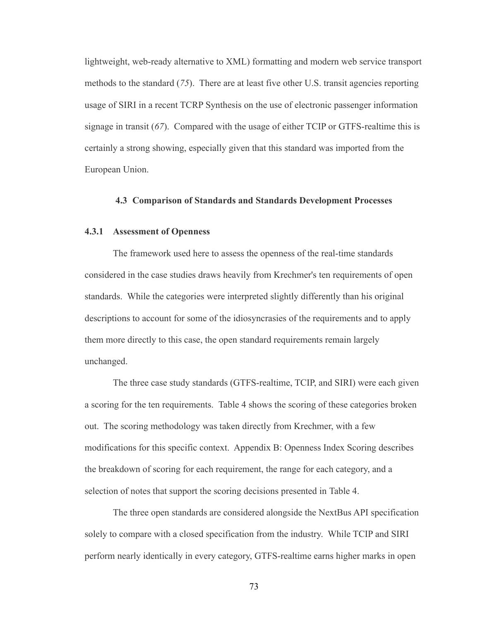lightweight, web-ready alternative to XML) formatting and modern web service transport methods to the standard (*75*). There are at least five other U.S. transit agencies reporting usage of SIRI in a recent TCRP Synthesis on the use of electronic passenger information signage in transit (*67*). Compared with the usage of either TCIP or GTFS-realtime this is certainly a strong showing, especially given that this standard was imported from the European Union.

#### **4.3 Comparison of Standards and Standards Development Processes**

#### **4.3.1 Assessment of Openness**

The framework used here to assess the openness of the real-time standards considered in the case studies draws heavily from Krechmer's ten requirements of open standards. While the categories were interpreted slightly differently than his original descriptions to account for some of the idiosyncrasies of the requirements and to apply them more directly to this case, the open standard requirements remain largely unchanged.

The three case study standards (GTFS-realtime, TCIP, and SIRI) were each given a scoring for the ten requirements. [Table 4](#page-84-0) shows the scoring of these categories broken out. The scoring methodology was taken directly from Krechmer, with a few modifications for this specific context. Appendix B: Openness Index Scoring describes the breakdown of scoring for each requirement, the range for each category, and a selection of notes that support the scoring decisions presented in [Table 4.](#page-84-0)

The three open standards are considered alongside the NextBus API specification solely to compare with a closed specification from the industry. While TCIP and SIRI perform nearly identically in every category, GTFS-realtime earns higher marks in open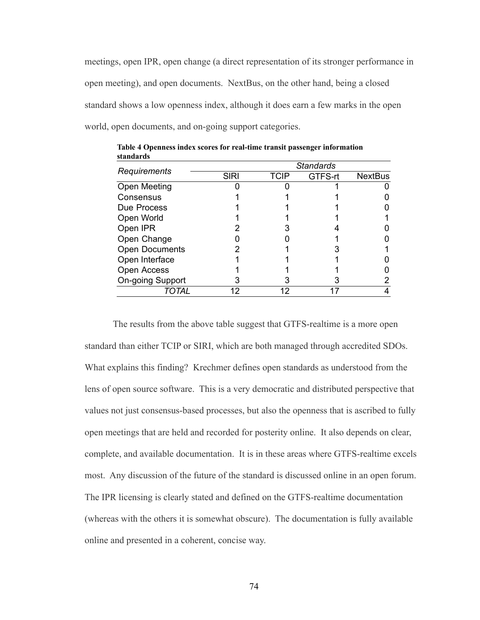meetings, open IPR, open change (a direct representation of its stronger performance in open meeting), and open documents. NextBus, on the other hand, being a closed standard shows a low openness index, although it does earn a few marks in the open world, open documents, and on-going support categories.

|                         | <b>Standards</b> |             |         |                |
|-------------------------|------------------|-------------|---------|----------------|
| Requirements            | <b>SIRI</b>      | <b>TCIP</b> | GTFS-rt | <b>NextBus</b> |
| Open Meeting            |                  |             |         |                |
| Consensus               |                  |             |         |                |
| Due Process             |                  |             |         |                |
| Open World              |                  |             |         |                |
| Open IPR                |                  |             |         |                |
| Open Change             |                  |             |         |                |
| <b>Open Documents</b>   |                  |             |         |                |
| Open Interface          |                  |             |         |                |
| <b>Open Access</b>      |                  |             |         |                |
| <b>On-going Support</b> |                  |             |         |                |
| TOTAI                   | 12               |             |         |                |

<span id="page-84-0"></span>**Table 4 Openness index scores for real-time transit passenger information standards**

The results from the above table suggest that GTFS-realtime is a more open standard than either TCIP or SIRI, which are both managed through accredited SDOs. What explains this finding? Krechmer defines open standards as understood from the lens of open source software. This is a very democratic and distributed perspective that values not just consensus-based processes, but also the openness that is ascribed to fully open meetings that are held and recorded for posterity online. It also depends on clear, complete, and available documentation. It is in these areas where GTFS-realtime excels most. Any discussion of the future of the standard is discussed online in an open forum. The IPR licensing is clearly stated and defined on the GTFS-realtime documentation (whereas with the others it is somewhat obscure). The documentation is fully available online and presented in a coherent, concise way.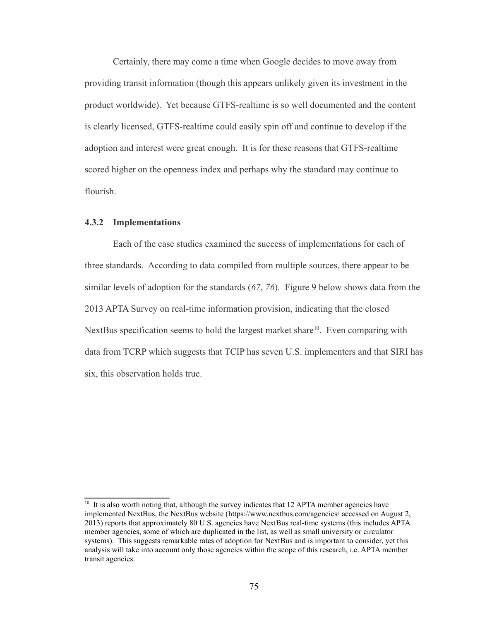Certainly, there may come a time when Google decides to move away from providing transit information (though this appears unlikely given its investment in the product worldwide). Yet because GTFS-realtime is so well documented and the content is clearly licensed, GTFS-realtime could easily spin off and continue to develop if the adoption and interest were great enough. It is for these reasons that GTFS-realtime scored higher on the openness index and perhaps why the standard may continue to flourish.

#### **4.3.2 Implementations**

Each of the case studies examined the success of implementations for each of three standards. According to data compiled from multiple sources, there appear to be similar levels of adoption for the standards (*67*, *76*). [Figure 9](#page-86-0) below shows data from the 2013 APTA Survey on real-time information provision, indicating that the closed NextBus specification seems to hold the largest market share<sup>[10](#page-85-0)</sup>. Even comparing with data from TCRP which suggests that TCIP has seven U.S. implementers and that SIRI has six, this observation holds true.

<span id="page-85-0"></span><sup>&</sup>lt;sup>10</sup> It is also worth noting that, although the survey indicates that 12 APTA member agencies have implemented NextBus, the NextBus website [\(https://www.nextbus.com/agencies/](https://www.nextbus.com/agencies/) accessed on August 2, 2013) reports that approximately 80 U.S. agencies have NextBus real-time systems (this includes APTA member agencies, some of which are duplicated in the list, as well as small university or circulator systems). This suggests remarkable rates of adoption for NextBus and is important to consider, yet this analysis will take into account only those agencies within the scope of this research, i.e. APTA member transit agencies.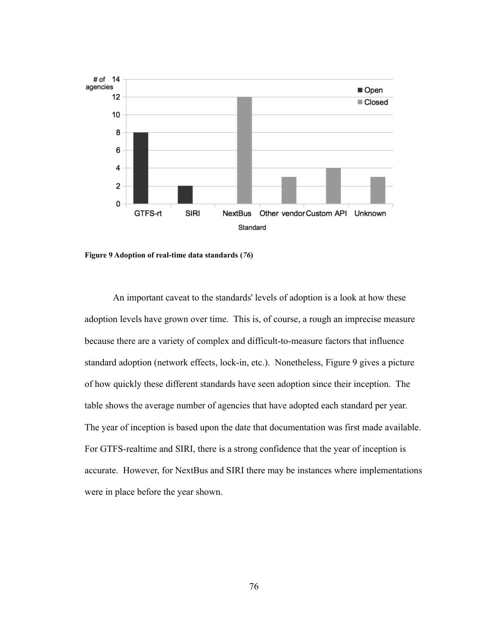

<span id="page-86-0"></span>**Figure 9 Adoption of real-time data standards (***76***)**

An important caveat to the standards' levels of adoption is a look at how these adoption levels have grown over time. This is, of course, a rough an imprecise measure because there are a variety of complex and difficult-to-measure factors that influence standard adoption (network effects, lock-in, etc.). Nonetheless, [Figure 9](#page-86-0) gives a picture of how quickly these different standards have seen adoption since their inception. The table shows the average number of agencies that have adopted each standard per year. The year of inception is based upon the date that documentation was first made available. For GTFS-realtime and SIRI, there is a strong confidence that the year of inception is accurate. However, for NextBus and SIRI there may be instances where implementations were in place before the year shown.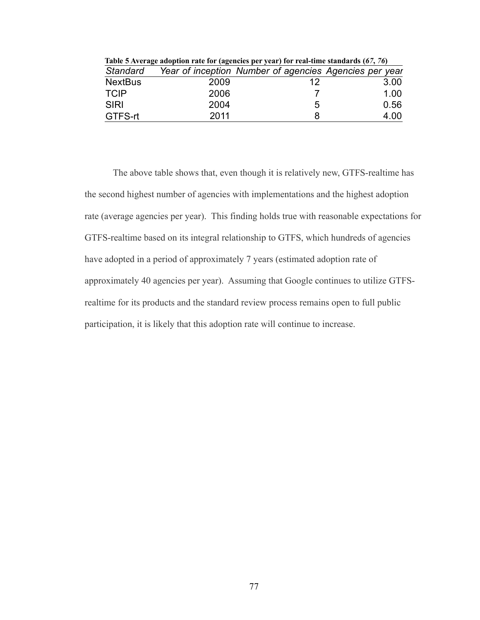| Table 5 Average adoption rate for (agencies per year) for real-time standards (67, 76) |      |                                                        |      |  |  |
|----------------------------------------------------------------------------------------|------|--------------------------------------------------------|------|--|--|
| Standard                                                                               |      | Year of inception Number of agencies Agencies per year |      |  |  |
| <b>NextBus</b>                                                                         | 2009 | 12                                                     | 3.00 |  |  |
| <b>TCIP</b>                                                                            | 2006 |                                                        | 1.00 |  |  |
| <b>SIRI</b>                                                                            | 2004 | 5                                                      | 0.56 |  |  |
| GTFS-rt                                                                                | 2011 |                                                        | 4.00 |  |  |

The above table shows that, even though it is relatively new, GTFS-realtime has the second highest number of agencies with implementations and the highest adoption rate (average agencies per year). This finding holds true with reasonable expectations for GTFS-realtime based on its integral relationship to GTFS, which hundreds of agencies have adopted in a period of approximately 7 years (estimated adoption rate of approximately 40 agencies per year). Assuming that Google continues to utilize GTFSrealtime for its products and the standard review process remains open to full public participation, it is likely that this adoption rate will continue to increase.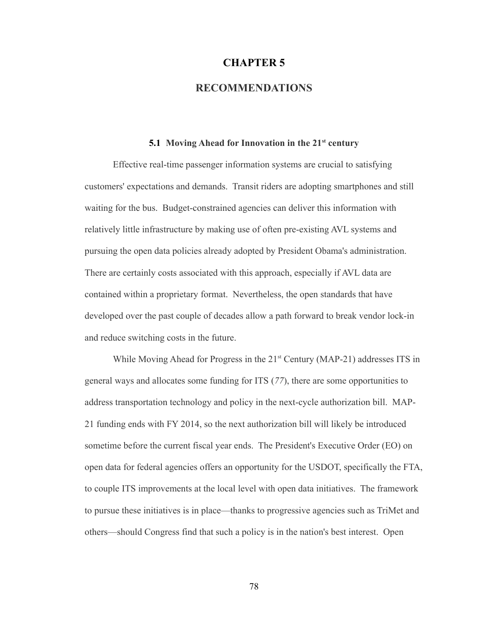#### **CHAPTER 5**

## **RECOMMENDATIONS**

#### **5.1 Moving Ahead for Innovation in the 21st century**

Effective real-time passenger information systems are crucial to satisfying customers' expectations and demands. Transit riders are adopting smartphones and still waiting for the bus. Budget-constrained agencies can deliver this information with relatively little infrastructure by making use of often pre-existing AVL systems and pursuing the open data policies already adopted by President Obama's administration. There are certainly costs associated with this approach, especially if AVL data are contained within a proprietary format. Nevertheless, the open standards that have developed over the past couple of decades allow a path forward to break vendor lock-in and reduce switching costs in the future.

While Moving Ahead for Progress in the  $21<sup>st</sup>$  Century (MAP-21) addresses ITS in general ways and allocates some funding for ITS (*77*), there are some opportunities to address transportation technology and policy in the next-cycle authorization bill. MAP-21 funding ends with FY 2014, so the next authorization bill will likely be introduced sometime before the current fiscal year ends. The President's Executive Order (EO) on open data for federal agencies offers an opportunity for the USDOT, specifically the FTA, to couple ITS improvements at the local level with open data initiatives. The framework to pursue these initiatives is in place—thanks to progressive agencies such as TriMet and others—should Congress find that such a policy is in the nation's best interest. Open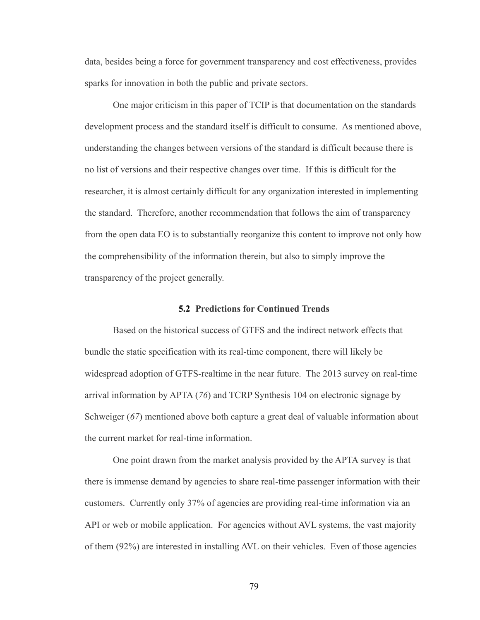data, besides being a force for government transparency and cost effectiveness, provides sparks for innovation in both the public and private sectors.

One major criticism in this paper of TCIP is that documentation on the standards development process and the standard itself is difficult to consume. As mentioned above, understanding the changes between versions of the standard is difficult because there is no list of versions and their respective changes over time. If this is difficult for the researcher, it is almost certainly difficult for any organization interested in implementing the standard. Therefore, another recommendation that follows the aim of transparency from the open data EO is to substantially reorganize this content to improve not only how the comprehensibility of the information therein, but also to simply improve the transparency of the project generally.

#### **5.2 Predictions for Continued Trends**

Based on the historical success of GTFS and the indirect network effects that bundle the static specification with its real-time component, there will likely be widespread adoption of GTFS-realtime in the near future. The 2013 survey on real-time arrival information by APTA (*76*) and TCRP Synthesis 104 on electronic signage by Schweiger (*67*) mentioned above both capture a great deal of valuable information about the current market for real-time information.

One point drawn from the market analysis provided by the APTA survey is that there is immense demand by agencies to share real-time passenger information with their customers. Currently only 37% of agencies are providing real-time information via an API or web or mobile application. For agencies without AVL systems, the vast majority of them (92%) are interested in installing AVL on their vehicles. Even of those agencies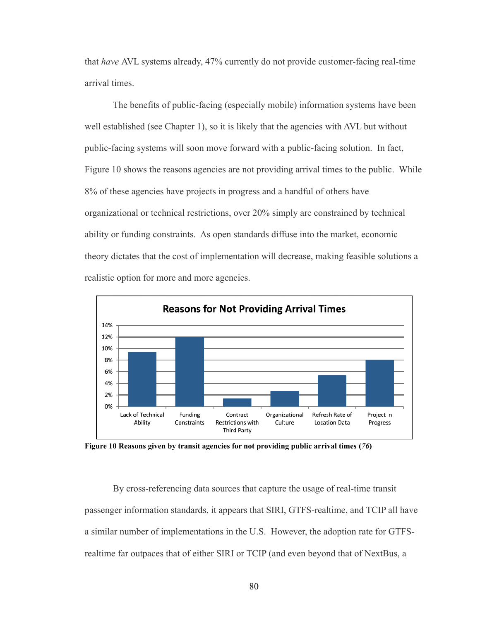that *have* AVL systems already, 47% currently do not provide customer-facing real-time arrival times.

The benefits of public-facing (especially mobile) information systems have been well established (see Chapter 1), so it is likely that the agencies with AVL but without public-facing systems will soon move forward with a public-facing solution. In fact[,](#page-90-0) [Figure 10](#page-90-0) shows the reasons agencies are not providing arrival times to the public. While 8% of these agencies have projects in progress and a handful of others have organizational or technical restrictions, over 20% simply are constrained by technical ability or funding constraints. As open standards diffuse into the market, economic theory dictates that the cost of implementation will decrease, making feasible solutions a realistic option for more and more agencies.



<span id="page-90-0"></span>**Figure 10 Reasons given by transit agencies for not providing public arrival times (***76***)**

By cross-referencing data sources that capture the usage of real-time transit passenger information standards, it appears that SIRI, GTFS-realtime, and TCIP all have a similar number of implementations in the U.S. However, the adoption rate for GTFSrealtime far outpaces that of either SIRI or TCIP (and even beyond that of NextBus, a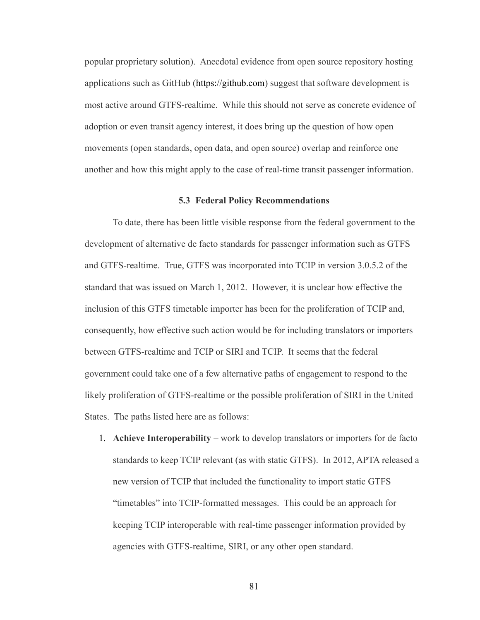popular proprietary solution). Anecdotal evidence from open source repository hosting applications such as GitHub [\(https://github.com\)](https://github.com/) suggest that software development is most active around GTFS-realtime. While this should not serve as concrete evidence of adoption or even transit agency interest, it does bring up the question of how open movements (open standards, open data, and open source) overlap and reinforce one another and how this might apply to the case of real-time transit passenger information.

#### **5.3 Federal Policy Recommendations**

To date, there has been little visible response from the federal government to the development of alternative de facto standards for passenger information such as GTFS and GTFS-realtime. True, GTFS was incorporated into TCIP in version 3.0.5.2 of the standard that was issued on March 1, 2012. However, it is unclear how effective the inclusion of this GTFS timetable importer has been for the proliferation of TCIP and, consequently, how effective such action would be for including translators or importers between GTFS-realtime and TCIP or SIRI and TCIP. It seems that the federal government could take one of a few alternative paths of engagement to respond to the likely proliferation of GTFS-realtime or the possible proliferation of SIRI in the United States. The paths listed here are as follows:

1. **Achieve Interoperability** – work to develop translators or importers for de facto standards to keep TCIP relevant (as with static GTFS). In 2012, APTA released a new version of TCIP that included the functionality to import static GTFS "timetables" into TCIP-formatted messages. This could be an approach for keeping TCIP interoperable with real-time passenger information provided by agencies with GTFS-realtime, SIRI, or any other open standard.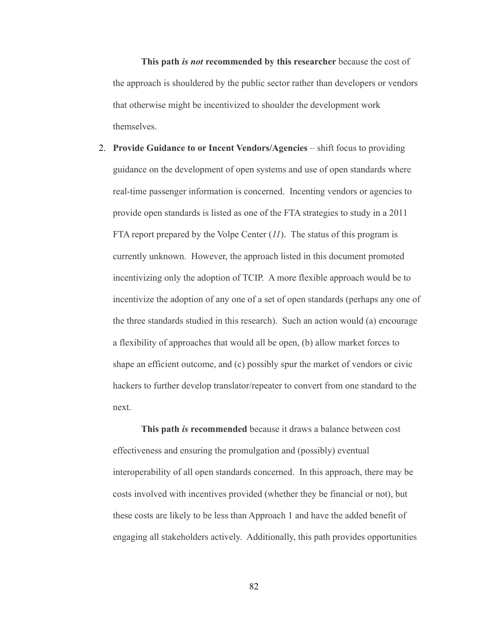**This path** *is not* **recommended by this researcher** because the cost of the approach is shouldered by the public sector rather than developers or vendors that otherwise might be incentivized to shoulder the development work themselves.

2. **Provide Guidance to or Incent Vendors/Agencies** – shift focus to providing guidance on the development of open systems and use of open standards where real-time passenger information is concerned. Incenting vendors or agencies to provide open standards is listed as one of the FTA strategies to study in a 2011 FTA report prepared by the Volpe Center (*11*). The status of this program is currently unknown. However, the approach listed in this document promoted incentivizing only the adoption of TCIP. A more flexible approach would be to incentivize the adoption of any one of a set of open standards (perhaps any one of the three standards studied in this research). Such an action would (a) encourage a flexibility of approaches that would all be open, (b) allow market forces to shape an efficient outcome, and (c) possibly spur the market of vendors or civic hackers to further develop translator/repeater to convert from one standard to the next.

**This path** *is* **recommended** because it draws a balance between cost effectiveness and ensuring the promulgation and (possibly) eventual interoperability of all open standards concerned. In this approach, there may be costs involved with incentives provided (whether they be financial or not), but these costs are likely to be less than Approach 1 and have the added benefit of engaging all stakeholders actively. Additionally, this path provides opportunities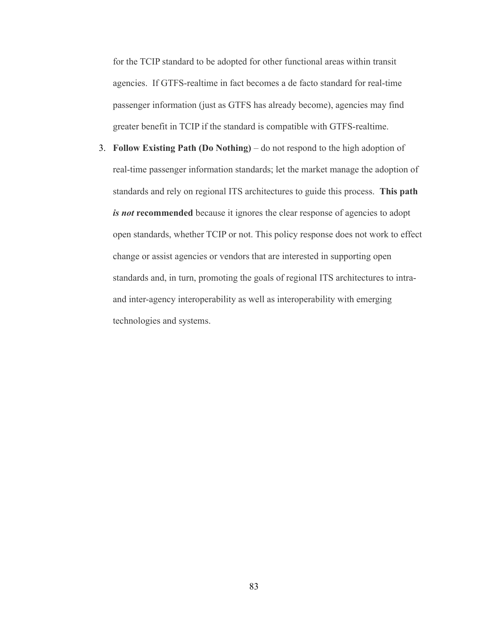for the TCIP standard to be adopted for other functional areas within transit agencies. If GTFS-realtime in fact becomes a de facto standard for real-time passenger information (just as GTFS has already become), agencies may find greater benefit in TCIP if the standard is compatible with GTFS-realtime.

3. **Follow Existing Path (Do Nothing)** – do not respond to the high adoption of real-time passenger information standards; let the market manage the adoption of standards and rely on regional ITS architectures to guide this process. **This path**  *is not* recommended because it ignores the clear response of agencies to adopt open standards, whether TCIP or not. This policy response does not work to effect change or assist agencies or vendors that are interested in supporting open standards and, in turn, promoting the goals of regional ITS architectures to intraand inter-agency interoperability as well as interoperability with emerging technologies and systems.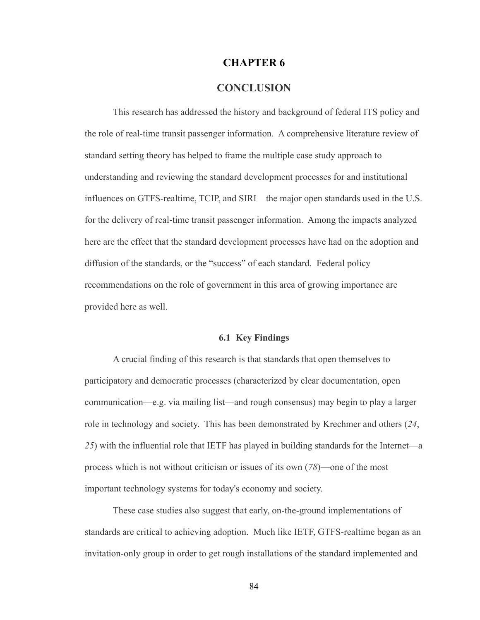## **CHAPTER 6**

# **CONCLUSION**

This research has addressed the history and background of federal ITS policy and the role of real-time transit passenger information. A comprehensive literature review of standard setting theory has helped to frame the multiple case study approach to understanding and reviewing the standard development processes for and institutional influences on GTFS-realtime, TCIP, and SIRI—the major open standards used in the U.S. for the delivery of real-time transit passenger information. Among the impacts analyzed here are the effect that the standard development processes have had on the adoption and diffusion of the standards, or the "success" of each standard. Federal policy recommendations on the role of government in this area of growing importance are provided here as well.

#### **6.1 Key Findings**

A crucial finding of this research is that standards that open themselves to participatory and democratic processes (characterized by clear documentation, open communication—e.g. via mailing list—and rough consensus) may begin to play a larger role in technology and society. This has been demonstrated by Krechmer and others (*24*, *25*) with the influential role that IETF has played in building standards for the Internet—a process which is not without criticism or issues of its own (*78*)—one of the most important technology systems for today's economy and society.

These case studies also suggest that early, on-the-ground implementations of standards are critical to achieving adoption. Much like IETF, GTFS-realtime began as an invitation-only group in order to get rough installations of the standard implemented and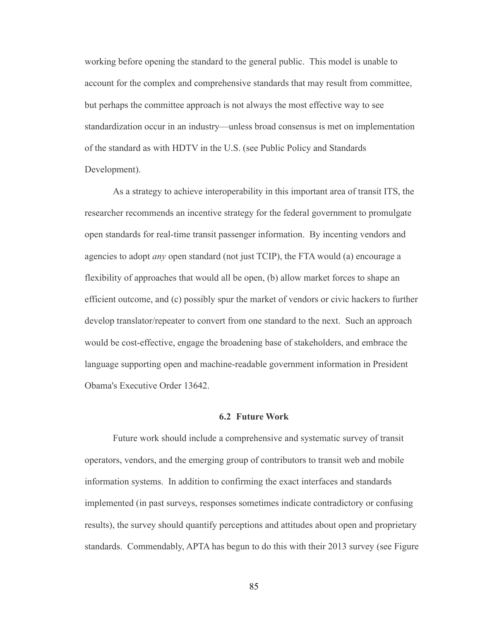working before opening the standard to the general public. This model is unable to account for the complex and comprehensive standards that may result from committee, but perhaps the committee approach is not always the most effective way to see standardization occur in an industry—unless broad consensus is met on implementation of the standard as with HDTV in the U.S. (see [Public Policy and Standards](#page-43-0)  [Development\)](#page-43-0).

As a strategy to achieve interoperability in this important area of transit ITS, the researcher recommends an incentive strategy for the federal government to promulgate open standards for real-time transit passenger information. By incenting vendors and agencies to adopt *any* open standard (not just TCIP), the FTA would (a) encourage a flexibility of approaches that would all be open, (b) allow market forces to shape an efficient outcome, and (c) possibly spur the market of vendors or civic hackers to further develop translator/repeater to convert from one standard to the next. Such an approach would be cost-effective, engage the broadening base of stakeholders, and embrace the language supporting open and machine-readable government information in President Obama's Executive Order 13642.

#### **6.2 Future Work**

Future work should include a comprehensive and systematic survey of transit operators, vendors, and the emerging group of contributors to transit web and mobile information systems. In addition to confirming the exact interfaces and standards implemented (in past surveys, responses sometimes indicate contradictory or confusing results), the survey should quantify perceptions and attitudes about open and proprietary standards. Commendably, APTA has begun to do this with their 2013 survey (see [Figure](#page-96-0)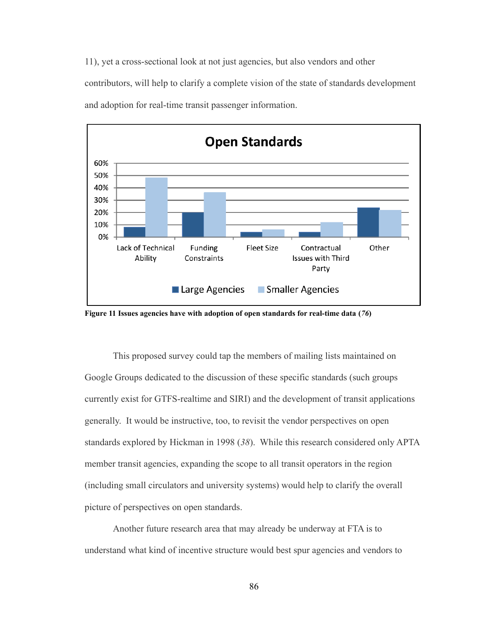[11\)](#page-96-0), yet a cross-sectional look at not just agencies, but also vendors and other contributors, will help to clarify a complete vision of the state of standards development and adoption for real-time transit passenger information.



<span id="page-96-0"></span>**Figure 11 Issues agencies have with adoption of open standards for real-time data (***76***)**

This proposed survey could tap the members of mailing lists maintained on Google Groups dedicated to the discussion of these specific standards (such groups currently exist for GTFS-realtime and SIRI) and the development of transit applications generally. It would be instructive, too, to revisit the vendor perspectives on open standards explored by Hickman in 1998 (*38*). While this research considered only APTA member transit agencies, expanding the scope to all transit operators in the region (including small circulators and university systems) would help to clarify the overall picture of perspectives on open standards.

Another future research area that may already be underway at FTA is to understand what kind of incentive structure would best spur agencies and vendors to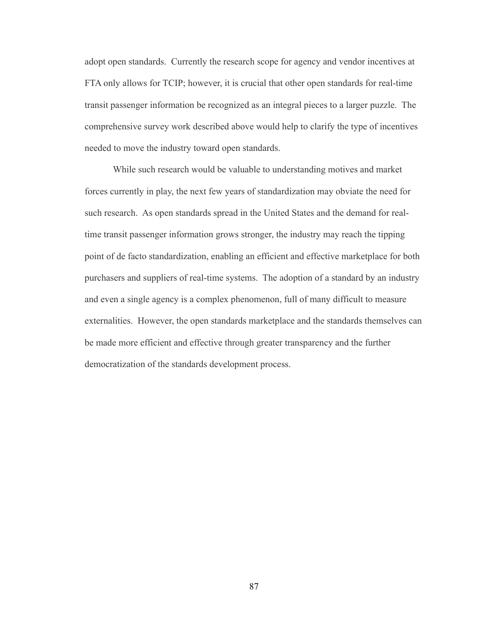adopt open standards. Currently the research scope for agency and vendor incentives at FTA only allows for TCIP; however, it is crucial that other open standards for real-time transit passenger information be recognized as an integral pieces to a larger puzzle. The comprehensive survey work described above would help to clarify the type of incentives needed to move the industry toward open standards.

While such research would be valuable to understanding motives and market forces currently in play, the next few years of standardization may obviate the need for such research. As open standards spread in the United States and the demand for realtime transit passenger information grows stronger, the industry may reach the tipping point of de facto standardization, enabling an efficient and effective marketplace for both purchasers and suppliers of real-time systems. The adoption of a standard by an industry and even a single agency is a complex phenomenon, full of many difficult to measure externalities. However, the open standards marketplace and the standards themselves can be made more efficient and effective through greater transparency and the further democratization of the standards development process.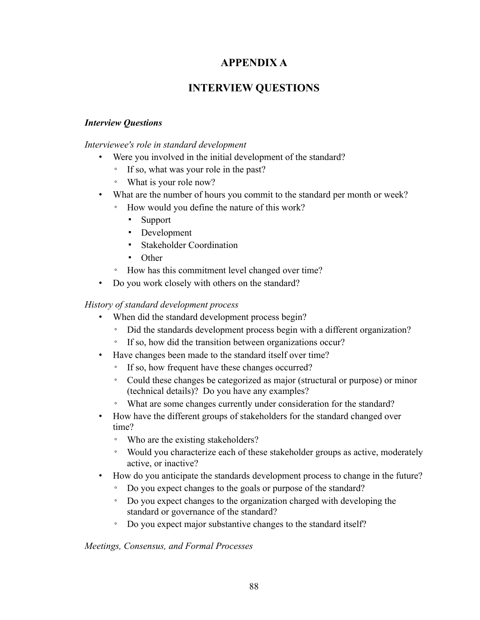# **APPENDIX A**

# **INTERVIEW QUESTIONS**

# *Interview Questions*

*Interviewee's role in standard development*

- Were you involved in the initial development of the standard?
	- If so, what was your role in the past?
	- What is your role now?
- What are the number of hours you commit to the standard per month or week?
	- How would you define the nature of this work?
		- Support
		- Development
		- Stakeholder Coordination
		- Other
	- How has this commitment level changed over time?
- Do you work closely with others on the standard?

# *History of standard development process*

- When did the standard development process begin?
	- Did the standards development process begin with a different organization?
	- If so, how did the transition between organizations occur?
- Have changes been made to the standard itself over time?
	- If so, how frequent have these changes occurred?
	- Could these changes be categorized as major (structural or purpose) or minor (technical details)? Do you have any examples?
	- What are some changes currently under consideration for the standard?
- How have the different groups of stakeholders for the standard changed over time?
	- Who are the existing stakeholders?
	- Would you characterize each of these stakeholder groups as active, moderately active, or inactive?
- How do you anticipate the standards development process to change in the future?
	- Do you expect changes to the goals or purpose of the standard?
	- Do you expect changes to the organization charged with developing the standard or governance of the standard?
	- Do you expect major substantive changes to the standard itself?

## *Meetings, Consensus, and Formal Processes*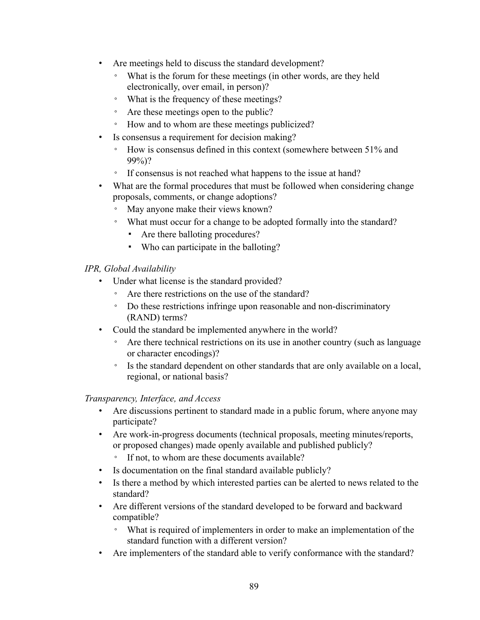- Are meetings held to discuss the standard development?
	- What is the forum for these meetings (in other words, are they held electronically, over email, in person)?
	- What is the frequency of these meetings?
	- Are these meetings open to the public?
	- How and to whom are these meetings publicized?
- Is consensus a requirement for decision making?
	- How is consensus defined in this context (somewhere between 51% and 99%)?
	- If consensus is not reached what happens to the issue at hand?
- What are the formal procedures that must be followed when considering change proposals, comments, or change adoptions?
	- May anyone make their views known?
	- What must occur for a change to be adopted formally into the standard?
		- Are there balloting procedures?
		- Who can participate in the balloting?

# *IPR, Global Availability*

- Under what license is the standard provided?
	- Are there restrictions on the use of the standard?
	- Do these restrictions infringe upon reasonable and non-discriminatory (RAND) terms?
- Could the standard be implemented anywhere in the world?
	- Are there technical restrictions on its use in another country (such as language) or character encodings)?
	- Is the standard dependent on other standards that are only available on a local, regional, or national basis?

# *Transparency, Interface, and Access*

- Are discussions pertinent to standard made in a public forum, where anyone may participate?
- Are work-in-progress documents (technical proposals, meeting minutes/reports, or proposed changes) made openly available and published publicly?
	- If not, to whom are these documents available?
- Is documentation on the final standard available publicly?
- Is there a method by which interested parties can be alerted to news related to the standard?
- Are different versions of the standard developed to be forward and backward compatible?
	- What is required of implementers in order to make an implementation of the standard function with a different version?
- Are implementers of the standard able to verify conformance with the standard?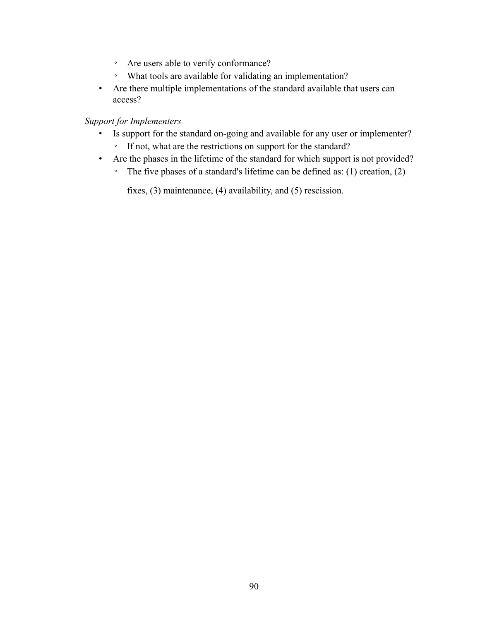- Are users able to verify conformance?
- What tools are available for validating an implementation?
- Are there multiple implementations of the standard available that users can access?

## *Support for Implementers*

- Is support for the standard on-going and available for any user or implementer?
	- If not, what are the restrictions on support for the standard?
- Are the phases in the lifetime of the standard for which support is not provided?
	- The five phases of a standard's lifetime can be defined as: (1) creation, (2)

fixes, (3) maintenance, (4) availability, and (5) rescission.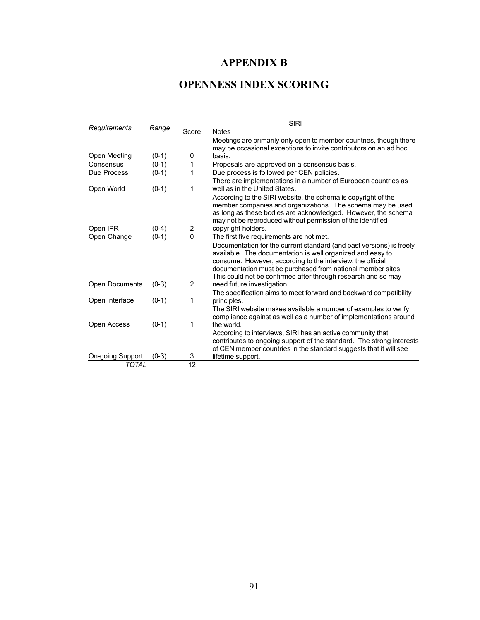# **APPENDIX B**

# **OPENNESS INDEX SCORING**

|                       |         | <b>SIRI</b>    |                                                                      |  |
|-----------------------|---------|----------------|----------------------------------------------------------------------|--|
| Requirements          | Range   | Score          | <b>Notes</b>                                                         |  |
|                       |         |                | Meetings are primarily only open to member countries, though there   |  |
|                       |         |                | may be occasional exceptions to invite contributors on an ad hoc     |  |
| Open Meeting          | $(0-1)$ | 0              | basis.                                                               |  |
| Consensus             | $(0-1)$ | 1              | Proposals are approved on a consensus basis.                         |  |
| Due Process           | $(0-1)$ | 1              | Due process is followed per CEN policies.                            |  |
|                       |         |                | There are implementations in a number of European countries as       |  |
| Open World            | $(0-1)$ | 1              | well as in the United States.                                        |  |
|                       |         |                | According to the SIRI website, the schema is copyright of the        |  |
|                       |         |                | member companies and organizations. The schema may be used           |  |
|                       |         |                | as long as these bodies are acknowledged. However, the schema        |  |
|                       |         |                | may not be reproduced without permission of the identified           |  |
| Open IPR              | $(0-4)$ | 2              | copyright holders.                                                   |  |
| Open Change           | $(0-1)$ | $\Omega$       | The first five requirements are not met.                             |  |
|                       |         |                | Documentation for the current standard (and past versions) is freely |  |
|                       |         |                | available. The documentation is well organized and easy to           |  |
|                       |         |                | consume. However, according to the interview, the official           |  |
|                       |         |                | documentation must be purchased from national member sites.          |  |
|                       |         |                | This could not be confirmed after through research and so may        |  |
| <b>Open Documents</b> | $(0-3)$ | $\overline{2}$ | need future investigation.                                           |  |
|                       |         |                | The specification aims to meet forward and backward compatibility    |  |
| Open Interface        | $(0-1)$ | 1              | principles.                                                          |  |
|                       |         |                | The SIRI website makes available a number of examples to verify      |  |
|                       |         |                | compliance against as well as a number of implementations around     |  |
| Open Access           | $(0-1)$ | 1              | the world.                                                           |  |
|                       |         |                | According to interviews, SIRI has an active community that           |  |
|                       |         |                | contributes to ongoing support of the standard. The strong interests |  |
|                       |         |                | of CEN member countries in the standard suggests that it will see    |  |
| On-going Support      | $(0-3)$ | 3<br>12        | lifetime support.                                                    |  |
| <b>TOTAL</b>          |         |                |                                                                      |  |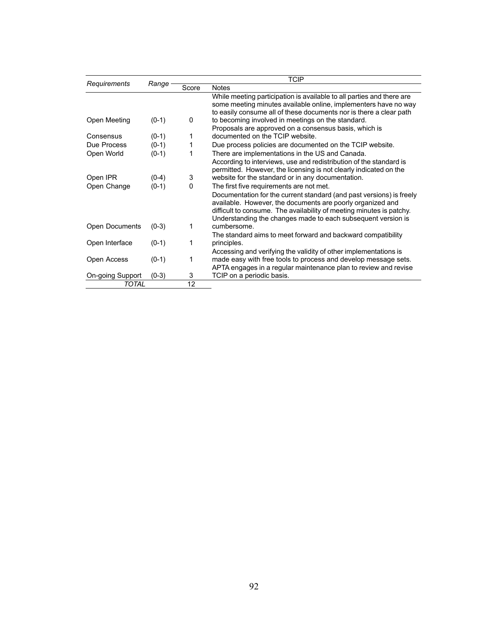|                       | Range   | <b>TCIP</b> |                                                                                                                                                                                                                                                                            |  |  |
|-----------------------|---------|-------------|----------------------------------------------------------------------------------------------------------------------------------------------------------------------------------------------------------------------------------------------------------------------------|--|--|
| Requirements          |         | Score       | <b>Notes</b>                                                                                                                                                                                                                                                               |  |  |
| Open Meeting          | $(0-1)$ | 0           | While meeting participation is available to all parties and there are<br>some meeting minutes available online, implementers have no way<br>to easily consume all of these documents nor is there a clear path<br>to becoming involved in meetings on the standard.        |  |  |
|                       |         |             | Proposals are approved on a consensus basis, which is                                                                                                                                                                                                                      |  |  |
| Consensus             | $(0-1)$ | 1           | documented on the TCIP website.                                                                                                                                                                                                                                            |  |  |
| Due Process           | $(0-1)$ | 1           | Due process policies are documented on the TCIP website.                                                                                                                                                                                                                   |  |  |
| Open World            | $(0-1)$ | 1           | There are implementations in the US and Canada.                                                                                                                                                                                                                            |  |  |
|                       |         |             | According to interviews, use and redistribution of the standard is<br>permitted. However, the licensing is not clearly indicated on the                                                                                                                                    |  |  |
| Open IPR              | $(0-4)$ | 3           | website for the standard or in any documentation.                                                                                                                                                                                                                          |  |  |
| Open Change           | $(0-1)$ | 0           | The first five requirements are not met.                                                                                                                                                                                                                                   |  |  |
|                       |         |             | Documentation for the current standard (and past versions) is freely<br>available. However, the documents are poorly organized and<br>difficult to consume. The availability of meeting minutes is patchy.<br>Understanding the changes made to each subsequent version is |  |  |
| <b>Open Documents</b> | $(0-3)$ | 1           | cumbersome.                                                                                                                                                                                                                                                                |  |  |
|                       |         |             | The standard aims to meet forward and backward compatibility                                                                                                                                                                                                               |  |  |
| Open Interface        | $(0-1)$ | 1           | principles.                                                                                                                                                                                                                                                                |  |  |
|                       |         |             | Accessing and verifying the validity of other implementations is                                                                                                                                                                                                           |  |  |
| Open Access           | $(0-1)$ | 1           | made easy with free tools to process and develop message sets.                                                                                                                                                                                                             |  |  |
|                       |         |             | APTA engages in a regular maintenance plan to review and revise                                                                                                                                                                                                            |  |  |
| On-going Support      | $(0-3)$ | 3           | TCIP on a periodic basis.                                                                                                                                                                                                                                                  |  |  |
| TOTAL                 |         | 12          |                                                                                                                                                                                                                                                                            |  |  |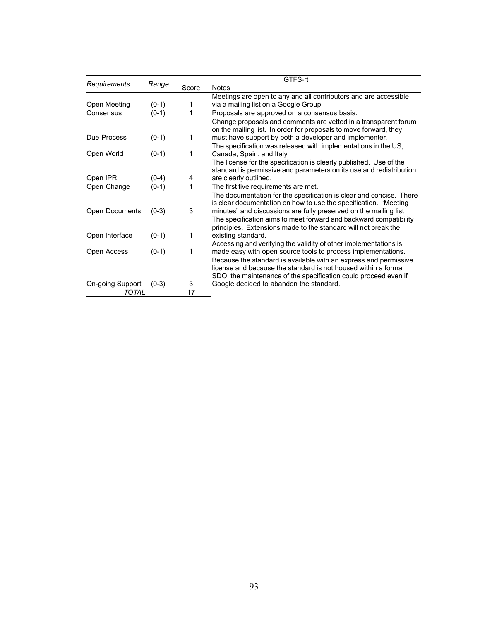|                  | Range   | GTFS-rt |                                                                                                                                           |  |  |
|------------------|---------|---------|-------------------------------------------------------------------------------------------------------------------------------------------|--|--|
| Requirements     |         | Score   | <b>Notes</b>                                                                                                                              |  |  |
| Open Meeting     | $(0-1)$ | 1       | Meetings are open to any and all contributors and are accessible<br>via a mailing list on a Google Group.                                 |  |  |
| Consensus        | $(0-1)$ | 1       | Proposals are approved on a consensus basis.                                                                                              |  |  |
|                  |         |         | Change proposals and comments are vetted in a transparent forum<br>on the mailing list. In order for proposals to move forward, they      |  |  |
| Due Process      | $(0-1)$ | 1       | must have support by both a developer and implementer.                                                                                    |  |  |
|                  |         |         | The specification was released with implementations in the US,                                                                            |  |  |
| Open World       | $(0-1)$ | 1       | Canada, Spain, and Italy.                                                                                                                 |  |  |
|                  |         |         | The license for the specification is clearly published. Use of the<br>standard is permissive and parameters on its use and redistribution |  |  |
| Open IPR         | $(0-4)$ | 4       | are clearly outlined.                                                                                                                     |  |  |
| Open Change      | $(0-1)$ | 1       | The first five requirements are met.                                                                                                      |  |  |
|                  |         |         | The documentation for the specification is clear and concise. There<br>is clear documentation on how to use the specification. "Meeting   |  |  |
| Open Documents   | $(0-3)$ | 3       | minutes" and discussions are fully preserved on the mailing list                                                                          |  |  |
|                  |         |         | The specification aims to meet forward and backward compatibility                                                                         |  |  |
|                  |         |         | principles. Extensions made to the standard will not break the                                                                            |  |  |
| Open Interface   | $(0-1)$ | 1       | existing standard.                                                                                                                        |  |  |
|                  |         |         | Accessing and verifying the validity of other implementations is                                                                          |  |  |
| Open Access      | $(0-1)$ | 1       | made easy with open source tools to process implementations.                                                                              |  |  |
|                  |         |         | Because the standard is available with an express and permissive                                                                          |  |  |
|                  |         |         | license and because the standard is not housed within a formal                                                                            |  |  |
|                  |         |         | SDO, the maintenance of the specification could proceed even if                                                                           |  |  |
| On-going Support | $(0-3)$ | 3       | Google decided to abandon the standard.                                                                                                   |  |  |
| <b>TOTAL</b>     |         | 17      |                                                                                                                                           |  |  |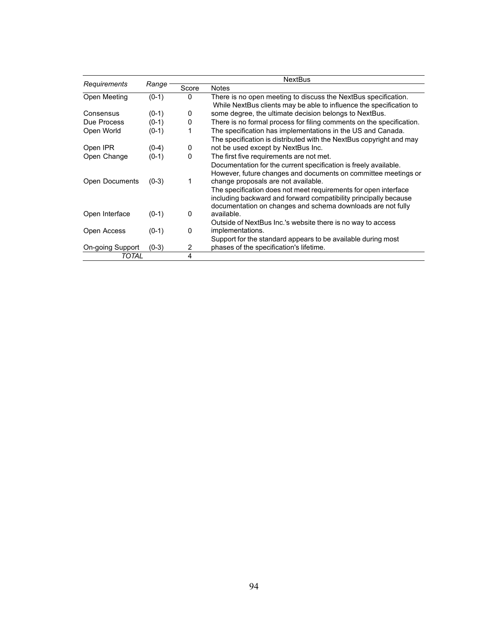|                       | Range   | <b>NextBus</b> |                                                                      |  |
|-----------------------|---------|----------------|----------------------------------------------------------------------|--|
| Requirements          |         | Score          | <b>Notes</b>                                                         |  |
| Open Meeting          | $(0-1)$ | $\Omega$       | There is no open meeting to discuss the NextBus specification.       |  |
|                       |         |                | While NextBus clients may be able to influence the specification to  |  |
| Consensus             | $(0-1)$ | 0              | some degree, the ultimate decision belongs to NextBus.               |  |
| Due Process           | $(0-1)$ | 0              | There is no formal process for filing comments on the specification. |  |
| Open World            | $(0-1)$ |                | The specification has implementations in the US and Canada.          |  |
|                       |         |                | The specification is distributed with the NextBus copyright and may  |  |
| Open IPR              | $(0-4)$ | 0              | not be used except by NextBus Inc.                                   |  |
| Open Change           | $(0-1)$ | $\Omega$       | The first five requirements are not met.                             |  |
|                       |         |                | Documentation for the current specification is freely available.     |  |
|                       |         |                | However, future changes and documents on committee meetings or       |  |
| <b>Open Documents</b> | $(0-3)$ | 1              | change proposals are not available.                                  |  |
|                       |         |                | The specification does not meet requirements for open interface      |  |
|                       |         |                | including backward and forward compatibility principally because     |  |
|                       |         |                | documentation on changes and schema downloads are not fully          |  |
| Open Interface        | $(0-1)$ | 0              | available.                                                           |  |
|                       |         |                | Outside of NextBus Inc.'s website there is no way to access          |  |
| Open Access           | $(0-1)$ | 0              | implementations.                                                     |  |
|                       |         |                | Support for the standard appears to be available during most         |  |
| On-going Support      | $(0-3)$ | 2              | phases of the specification's lifetime.                              |  |
| TOTAL                 |         | 4              |                                                                      |  |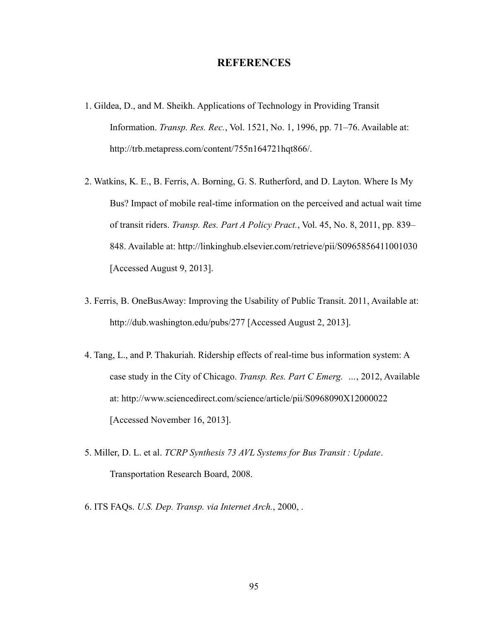## **REFERENCES**

- 1. Gildea, D., and M. Sheikh. Applications of Technology in Providing Transit Information. *Transp. Res. Rec.*, Vol. 1521, No. 1, 1996, pp. 71–76. Available at: http://trb.metapress.com/content/755n164721hqt866/.
- 2. Watkins, K. E., B. Ferris, A. Borning, G. S. Rutherford, and D. Layton. Where Is My Bus? Impact of mobile real-time information on the perceived and actual wait time of transit riders. *Transp. Res. Part A Policy Pract.*, Vol. 45, No. 8, 2011, pp. 839– 848. Available at: http://linkinghub.elsevier.com/retrieve/pii/S0965856411001030 [Accessed August 9, 2013].
- 3. Ferris, B. OneBusAway: Improving the Usability of Public Transit. 2011, Available at: http://dub.washington.edu/pubs/277 [Accessed August 2, 2013].
- 4. Tang, L., and P. Thakuriah. Ridership effects of real-time bus information system: A case study in the City of Chicago. *Transp. Res. Part C Emerg. …*, 2012, Available at: http://www.sciencedirect.com/science/article/pii/S0968090X12000022 [Accessed November 16, 2013].
- 5. Miller, D. L. et al. *TCRP Synthesis 73 AVL Systems for Bus Transit : Update*. Transportation Research Board, 2008.
- 6. ITS FAQs. *U.S. Dep. Transp. via Internet Arch.*, 2000, .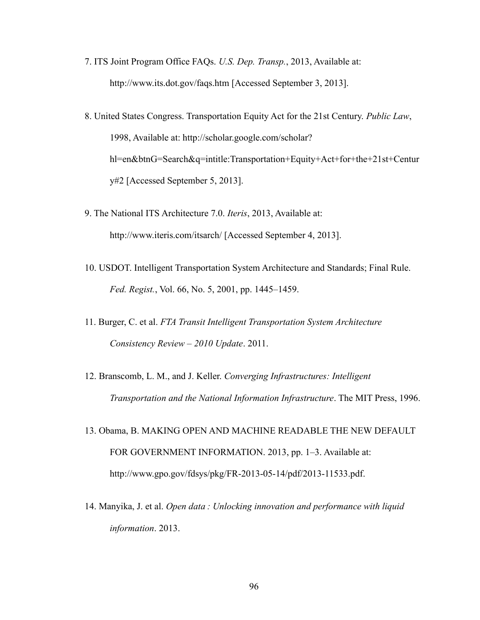- 7. ITS Joint Program Office FAQs. *U.S. Dep. Transp.*, 2013, Available at: http://www.its.dot.gov/faqs.htm [Accessed September 3, 2013].
- 8. United States Congress. Transportation Equity Act for the 21st Century. *Public Law*, 1998, Available at: http://scholar.google.com/scholar? hl=en&btnG=Search&q=intitle:Transportation+Equity+Act+for+the+21st+Centur y#2 [Accessed September 5, 2013].
- 9. The National ITS Architecture 7.0. *Iteris*, 2013, Available at: http://www.iteris.com/itsarch/ [Accessed September 4, 2013].
- 10. USDOT. Intelligent Transportation System Architecture and Standards; Final Rule. *Fed. Regist.*, Vol. 66, No. 5, 2001, pp. 1445–1459.
- 11. Burger, C. et al. *FTA Transit Intelligent Transportation System Architecture Consistency Review – 2010 Update*. 2011.
- 12. Branscomb, L. M., and J. Keller. *Converging Infrastructures: Intelligent Transportation and the National Information Infrastructure*. The MIT Press, 1996.
- 13. Obama, B. MAKING OPEN AND MACHINE READABLE THE NEW DEFAULT FOR GOVERNMENT INFORMATION. 2013, pp. 1–3. Available at: http://www.gpo.gov/fdsys/pkg/FR-2013-05-14/pdf/2013-11533.pdf.
- 14. Manyika, J. et al. *Open data : Unlocking innovation and performance with liquid information*. 2013.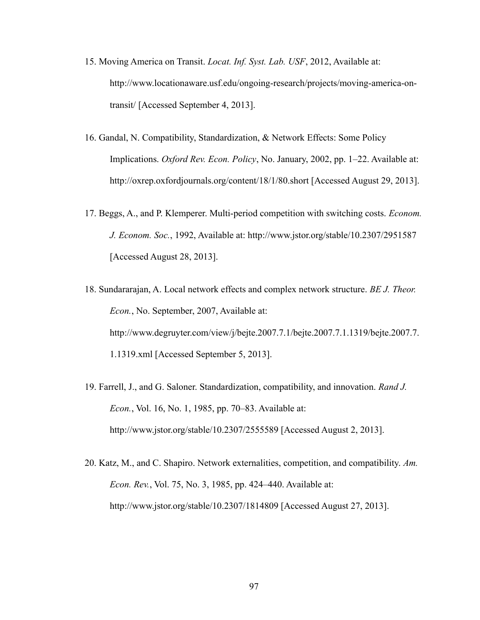- 15. Moving America on Transit. *Locat. Inf. Syst. Lab. USF*, 2012, Available at: http://www.locationaware.usf.edu/ongoing-research/projects/moving-america-ontransit/ [Accessed September 4, 2013].
- 16. Gandal, N. Compatibility, Standardization, & Network Effects: Some Policy Implications. *Oxford Rev. Econ. Policy*, No. January, 2002, pp. 1–22. Available at: http://oxrep.oxfordjournals.org/content/18/1/80.short [Accessed August 29, 2013].
- 17. Beggs, A., and P. Klemperer. Multi-period competition with switching costs. *Econom. J. Econom. Soc.*, 1992, Available at: http://www.jstor.org/stable/10.2307/2951587 [Accessed August 28, 2013].
- 18. Sundararajan, A. Local network effects and complex network structure. *BE J. Theor. Econ.*, No. September, 2007, Available at: http://www.degruyter.com/view/j/bejte.2007.7.1/bejte.2007.7.1.1319/bejte.2007.7. 1.1319.xml [Accessed September 5, 2013].
- 19. Farrell, J., and G. Saloner. Standardization, compatibility, and innovation. *Rand J. Econ.*, Vol. 16, No. 1, 1985, pp. 70–83. Available at: http://www.jstor.org/stable/10.2307/2555589 [Accessed August 2, 2013].
- 20. Katz, M., and C. Shapiro. Network externalities, competition, and compatibility. *Am. Econ. Rev.*, Vol. 75, No. 3, 1985, pp. 424–440. Available at: http://www.jstor.org/stable/10.2307/1814809 [Accessed August 27, 2013].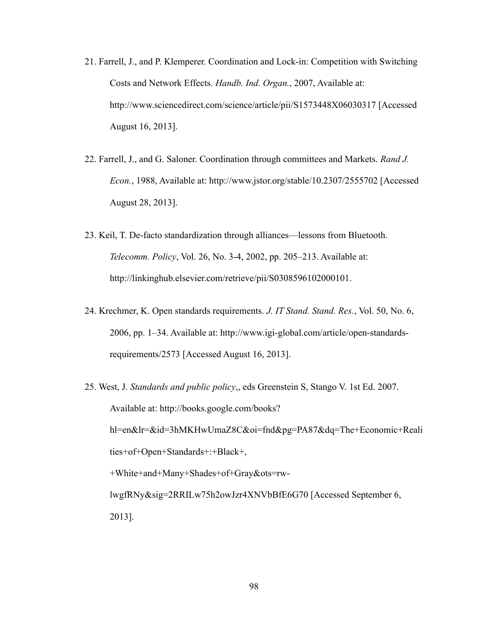- 21. Farrell, J., and P. Klemperer. Coordination and Lock-in: Competition with Switching Costs and Network Effects. *Handb. Ind. Organ.*, 2007, Available at: http://www.sciencedirect.com/science/article/pii/S1573448X06030317 [Accessed August 16, 2013].
- 22. Farrell, J., and G. Saloner. Coordination through committees and Markets. *Rand J. Econ.*, 1988, Available at: http://www.jstor.org/stable/10.2307/2555702 [Accessed August 28, 2013].
- 23. Keil, T. De-facto standardization through alliances—lessons from Bluetooth. *Telecomm. Policy*, Vol. 26, No. 3-4, 2002, pp. 205–213. Available at: http://linkinghub.elsevier.com/retrieve/pii/S0308596102000101.
- 24. Krechmer, K. Open standards requirements. *J. IT Stand. Stand. Res.*, Vol. 50, No. 6, 2006, pp. 1–34. Available at: http://www.igi-global.com/article/open-standardsrequirements/2573 [Accessed August 16, 2013].
- 25. West, J. *Standards and public policy*,, eds Greenstein S, Stango V. 1st Ed. 2007. Available at: http://books.google.com/books? hl=en&lr=&id=3hMKHwUmaZ8C&oi=fnd&pg=PA87&dq=The+Economic+Reali ties+of+Open+Standards+:+Black+, +White+and+Many+Shades+of+Gray&ots=rwlwgfRNy&sig=2RRILw75h2owJzr4XNVbBfE6G70 [Accessed September 6, 2013].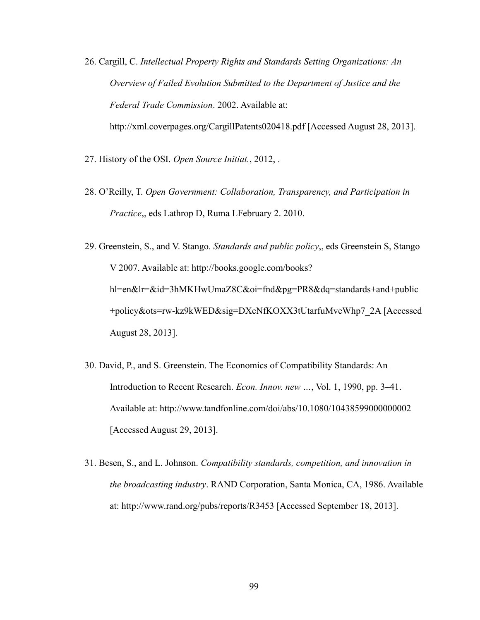- 26. Cargill, C. *Intellectual Property Rights and Standards Setting Organizations: An Overview of Failed Evolution Submitted to the Department of Justice and the Federal Trade Commission*. 2002. Available at: http://xml.coverpages.org/CargillPatents020418.pdf [Accessed August 28, 2013].
- 27. History of the OSI. *Open Source Initiat.*, 2012, .
- 28. O'Reilly, T. *Open Government: Collaboration, Transparency, and Participation in Practice*,, eds Lathrop D, Ruma LFebruary 2. 2010.

29. Greenstein, S., and V. Stango. *Standards and public policy*,, eds Greenstein S, Stango V 2007. Available at: http://books.google.com/books? hl=en&lr=&id=3hMKHwUmaZ8C&oi=fnd&pg=PR8&dq=standards+and+public +policy&ots=rw-kz9kWED&sig=DXcNfKOXX3tUtarfuMveWhp7\_2A [Accessed August 28, 2013].

- 30. David, P., and S. Greenstein. The Economics of Compatibility Standards: An Introduction to Recent Research. *Econ. Innov. new …*, Vol. 1, 1990, pp. 3–41. Available at: http://www.tandfonline.com/doi/abs/10.1080/10438599000000002 [Accessed August 29, 2013].
- 31. Besen, S., and L. Johnson. *Compatibility standards, competition, and innovation in the broadcasting industry*. RAND Corporation, Santa Monica, CA, 1986. Available at: http://www.rand.org/pubs/reports/R3453 [Accessed September 18, 2013].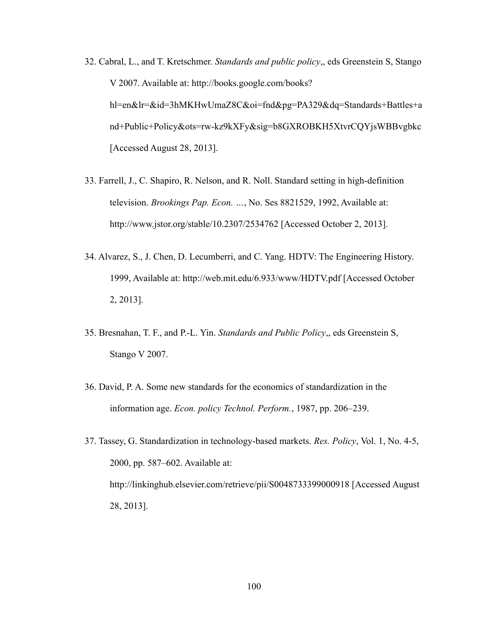- 32. Cabral, L., and T. Kretschmer. *Standards and public policy*,, eds Greenstein S, Stango V 2007. Available at: http://books.google.com/books? hl=en&lr=&id=3hMKHwUmaZ8C&oi=fnd&pg=PA329&dq=Standards+Battles+a nd+Public+Policy&ots=rw-kz9kXFy&sig=b8GXROBKH5XtvrCQYjsWBBvgbkc [Accessed August 28, 2013].
- 33. Farrell, J., C. Shapiro, R. Nelson, and R. Noll. Standard setting in high-definition television. *Brookings Pap. Econ. …*, No. Ses 8821529, 1992, Available at: http://www.jstor.org/stable/10.2307/2534762 [Accessed October 2, 2013].
- 34. Alvarez, S., J. Chen, D. Lecumberri, and C. Yang. HDTV: The Engineering History. 1999, Available at: http://web.mit.edu/6.933/www/HDTV.pdf [Accessed October 2, 2013].
- 35. Bresnahan, T. F., and P.-L. Yin. *Standards and Public Policy*,, eds Greenstein S, Stango V 2007.
- 36. David, P. A. Some new standards for the economics of standardization in the information age. *Econ. policy Technol. Perform.*, 1987, pp. 206–239.
- 37. Tassey, G. Standardization in technology-based markets. *Res. Policy*, Vol. 1, No. 4-5, 2000, pp. 587–602. Available at: http://linkinghub.elsevier.com/retrieve/pii/S0048733399000918 [Accessed August 28, 2013].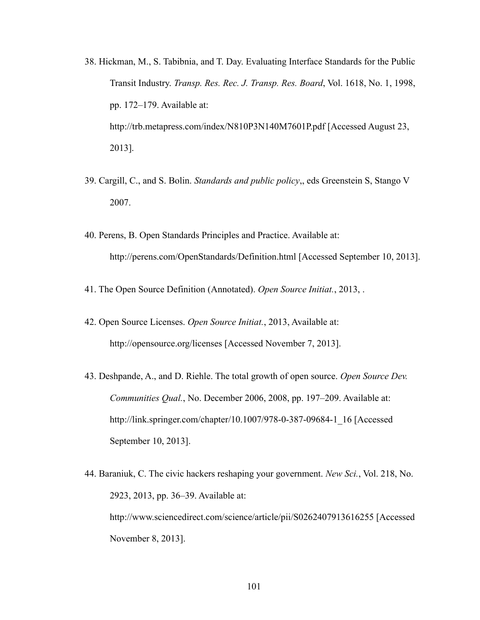- 38. Hickman, M., S. Tabibnia, and T. Day. Evaluating Interface Standards for the Public Transit Industry. *Transp. Res. Rec. J. Transp. Res. Board*, Vol. 1618, No. 1, 1998, pp. 172–179. Available at: http://trb.metapress.com/index/N810P3N140M7601P.pdf [Accessed August 23, 2013].
- 39. Cargill, C., and S. Bolin. *Standards and public policy*,, eds Greenstein S, Stango V 2007.
- 40. Perens, B. Open Standards Principles and Practice. Available at: http://perens.com/OpenStandards/Definition.html [Accessed September 10, 2013].
- 41. The Open Source Definition (Annotated). *Open Source Initiat.*, 2013, .
- 42. Open Source Licenses. *Open Source Initiat.*, 2013, Available at: http://opensource.org/licenses [Accessed November 7, 2013].
- 43. Deshpande, A., and D. Riehle. The total growth of open source. *Open Source Dev. Communities Qual.*, No. December 2006, 2008, pp. 197–209. Available at: http://link.springer.com/chapter/10.1007/978-0-387-09684-1\_16 [Accessed September 10, 2013].
- 44. Baraniuk, C. The civic hackers reshaping your government. *New Sci.*, Vol. 218, No. 2923, 2013, pp. 36–39. Available at: http://www.sciencedirect.com/science/article/pii/S0262407913616255 [Accessed November 8, 2013].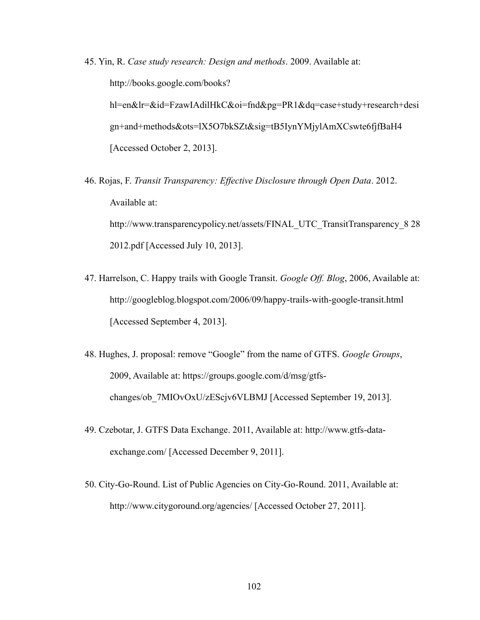- 45. Yin, R. *Case study research: Design and methods*. 2009. Available at: http://books.google.com/books? hl=en&lr=&id=FzawIAdilHkC&oi=fnd&pg=PR1&dq=case+study+research+desi gn+and+methods&ots=lX5O7bkSZt&sig=tB5IynYMjylAmXCswte6fjfBaH4 [Accessed October 2, 2013].
- 46. Rojas, F. *Transit Transparency: Effective Disclosure through Open Data*. 2012. Available at: http://www.transparencypolicy.net/assets/FINAL\_UTC\_TransitTransparency\_8 28 2012.pdf [Accessed July 10, 2013].
- 47. Harrelson, C. Happy trails with Google Transit. *Google Off. Blog*, 2006, Available at: http://googleblog.blogspot.com/2006/09/happy-trails-with-google-transit.html [Accessed September 4, 2013].
- 48. Hughes, J. proposal: remove "Google" from the name of GTFS. *Google Groups*, 2009, Available at: https://groups.google.com/d/msg/gtfschanges/ob\_7MIOvOxU/zEScjv6VLBMJ [Accessed September 19, 2013].
- 49. Czebotar, J. GTFS Data Exchange. 2011, Available at: http://www.gtfs-dataexchange.com/ [Accessed December 9, 2011].
- 50. City-Go-Round. List of Public Agencies on City-Go-Round. 2011, Available at: http://www.citygoround.org/agencies/ [Accessed October 27, 2011].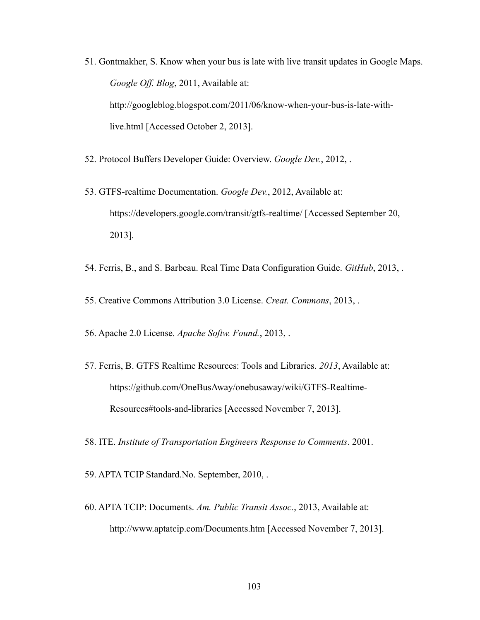- 51. Gontmakher, S. Know when your bus is late with live transit updates in Google Maps. *Google Off. Blog*, 2011, Available at: http://googleblog.blogspot.com/2011/06/know-when-your-bus-is-late-withlive.html [Accessed October 2, 2013].
- 52. Protocol Buffers Developer Guide: Overview. *Google Dev.*, 2012, .
- 53. GTFS-realtime Documentation. *Google Dev.*, 2012, Available at: https://developers.google.com/transit/gtfs-realtime/ [Accessed September 20, 2013].
- 54. Ferris, B., and S. Barbeau. Real Time Data Configuration Guide. *GitHub*, 2013, .
- 55. Creative Commons Attribution 3.0 License. *Creat. Commons*, 2013, .
- 56. Apache 2.0 License. *Apache Softw. Found.*, 2013, .
- 57. Ferris, B. GTFS Realtime Resources: Tools and Libraries. *2013*, Available at: https://github.com/OneBusAway/onebusaway/wiki/GTFS-Realtime-Resources#tools-and-libraries [Accessed November 7, 2013].
- 58. ITE. *Institute of Transportation Engineers Response to Comments*. 2001.
- 59. APTA TCIP Standard.No. September, 2010, .
- 60. APTA TCIP: Documents. *Am. Public Transit Assoc.*, 2013, Available at: http://www.aptatcip.com/Documents.htm [Accessed November 7, 2013].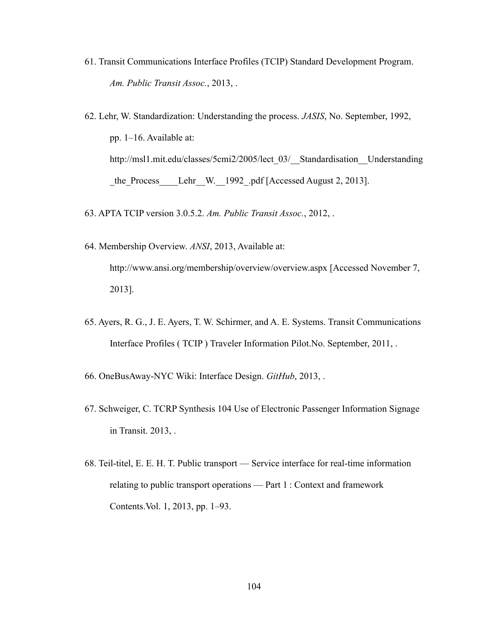- 61. Transit Communications Interface Profiles (TCIP) Standard Development Program. *Am. Public Transit Assoc.*, 2013, .
- 62. Lehr, W. Standardization: Understanding the process. *JASIS*, No. September, 1992, pp. 1–16. Available at: http://msl1.mit.edu/classes/5cmi2/2005/lect\_03/\_\_Standardisation\_\_Understanding the Process Lehr W. 1992 .pdf [Accessed August 2, 2013].
- 63. APTA TCIP version 3.0.5.2. *Am. Public Transit Assoc.*, 2012, .
- 64. Membership Overview. *ANSI*, 2013, Available at: http://www.ansi.org/membership/overview/overview.aspx [Accessed November 7, 2013].
- 65. Ayers, R. G., J. E. Ayers, T. W. Schirmer, and A. E. Systems. Transit Communications Interface Profiles ( TCIP ) Traveler Information Pilot.No. September, 2011, .
- 66. OneBusAway-NYC Wiki: Interface Design. *GitHub*, 2013, .
- 67. Schweiger, C. TCRP Synthesis 104 Use of Electronic Passenger Information Signage in Transit. 2013, .
- 68. Teil-titel, E. E. H. T. Public transport Service interface for real-time information relating to public transport operations — Part 1 : Context and framework Contents.Vol. 1, 2013, pp. 1–93.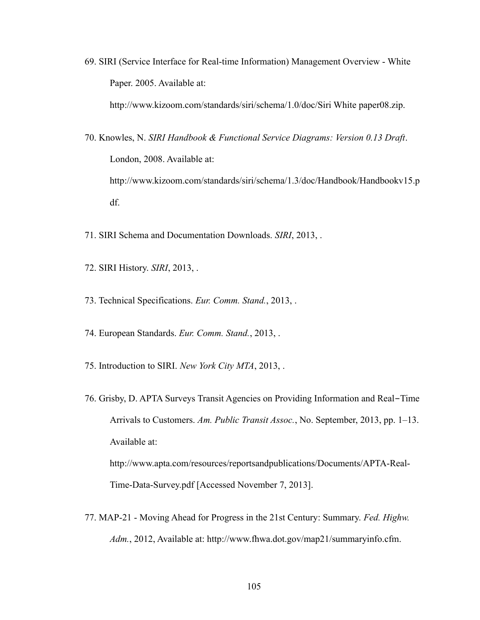69. SIRI (Service Interface for Real-time Information) Management Overview - White Paper. 2005. Available at:

http://www.kizoom.com/standards/siri/schema/1.0/doc/Siri White paper08.zip.

- 70. Knowles, N. *SIRI Handbook & Functional Service Diagrams: Version 0.13 Draft*. London, 2008. Available at: http://www.kizoom.com/standards/siri/schema/1.3/doc/Handbook/Handbookv15.p df.
- 71. SIRI Schema and Documentation Downloads. *SIRI*, 2013, .
- 72. SIRI History. *SIRI*, 2013, .
- 73. Technical Specifications. *Eur. Comm. Stand.*, 2013, .
- 74. European Standards. *Eur. Comm. Stand.*, 2013, .
- 75. Introduction to SIRI. *New York City MTA*, 2013, .
- 76. Grisby, D. APTA Surveys Transit Agencies on Providing Information and Real‐Time Arrivals to Customers. *Am. Public Transit Assoc.*, No. September, 2013, pp. 1–13. Available at:

http://www.apta.com/resources/reportsandpublications/Documents/APTA-Real-Time-Data-Survey.pdf [Accessed November 7, 2013].

77. MAP-21 - Moving Ahead for Progress in the 21st Century: Summary. *Fed. Highw. Adm.*, 2012, Available at: http://www.fhwa.dot.gov/map21/summaryinfo.cfm.